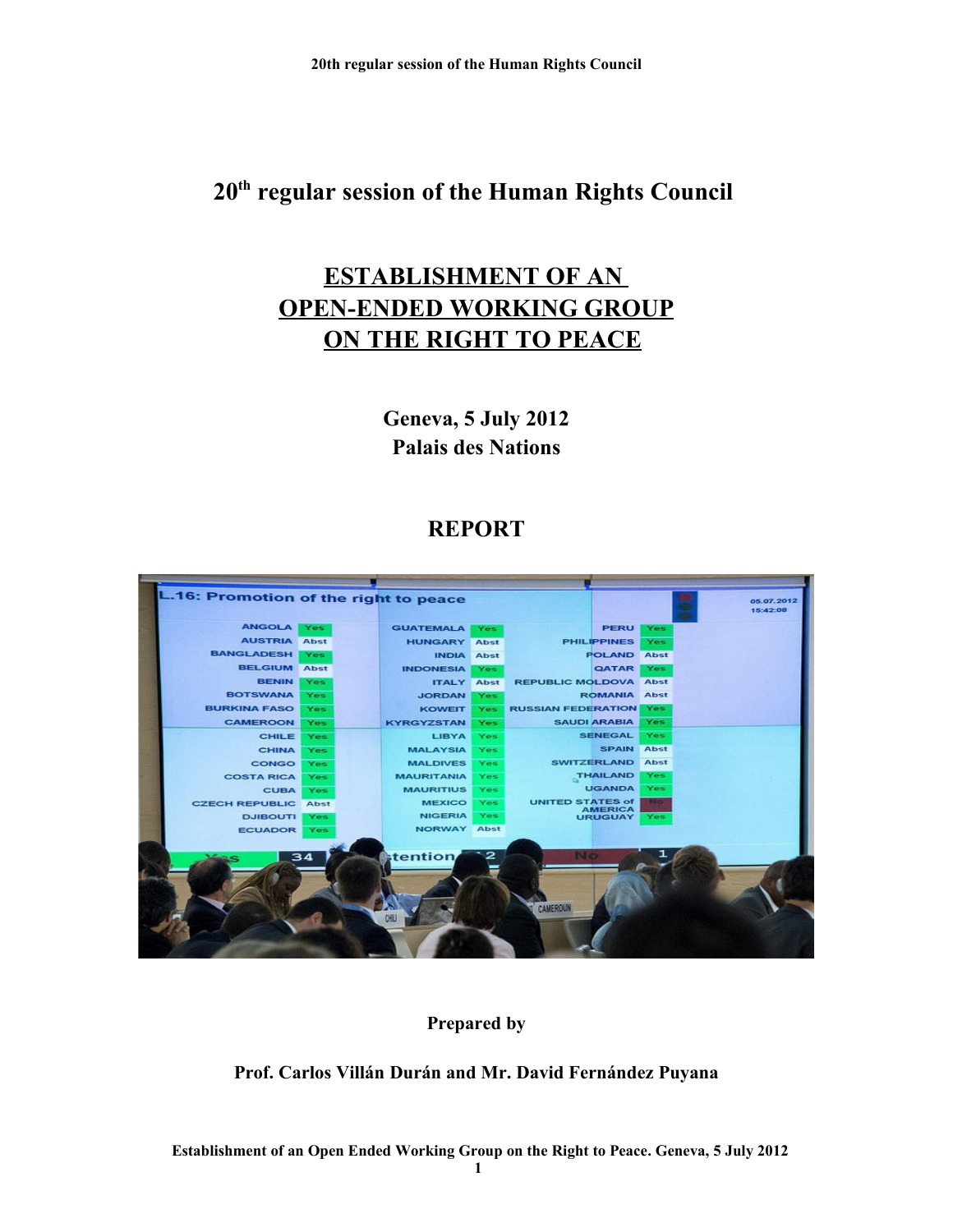# **ESTABLISHMENT OF AN OPEN-ENDED WORKING GROUP ON THE RIGHT TO PEACE**

**Geneva, 5 July 2012 Palais des Nations**

# **REPORT**



# **Prepared by**

# **Prof. Carlos Villán Durán and Mr. David Fernández Puyana**

 **Establishment of an Open Ended Working Group on the Right to Peace. Geneva, 5 July 2012**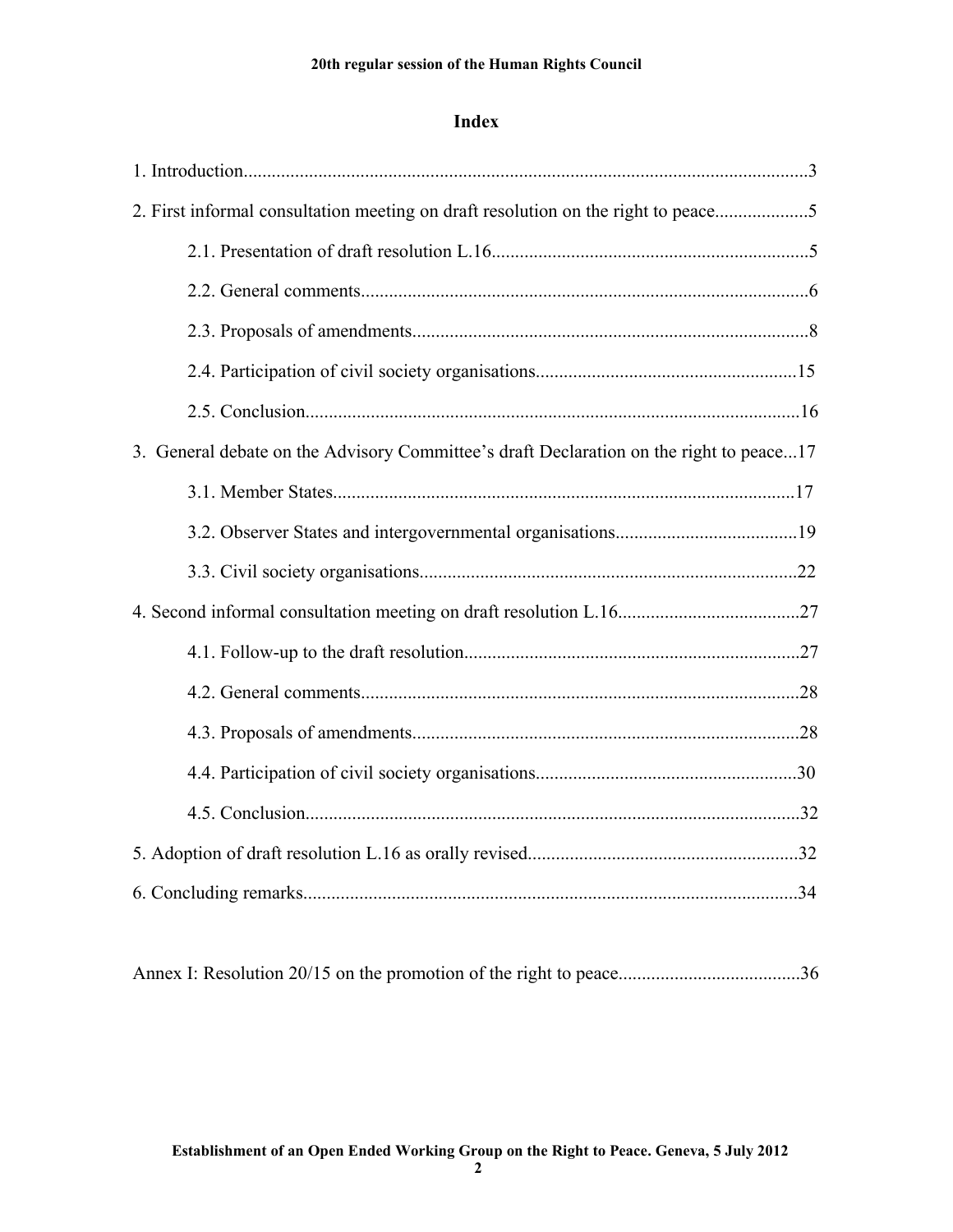## **Index**

| 2. First informal consultation meeting on draft resolution on the right to peace5       |  |  |  |  |
|-----------------------------------------------------------------------------------------|--|--|--|--|
|                                                                                         |  |  |  |  |
|                                                                                         |  |  |  |  |
|                                                                                         |  |  |  |  |
|                                                                                         |  |  |  |  |
|                                                                                         |  |  |  |  |
| 3. General debate on the Advisory Committee's draft Declaration on the right to peace17 |  |  |  |  |
|                                                                                         |  |  |  |  |
|                                                                                         |  |  |  |  |
|                                                                                         |  |  |  |  |
|                                                                                         |  |  |  |  |
|                                                                                         |  |  |  |  |
|                                                                                         |  |  |  |  |
|                                                                                         |  |  |  |  |
|                                                                                         |  |  |  |  |
|                                                                                         |  |  |  |  |
|                                                                                         |  |  |  |  |
|                                                                                         |  |  |  |  |
|                                                                                         |  |  |  |  |

|--|--|--|--|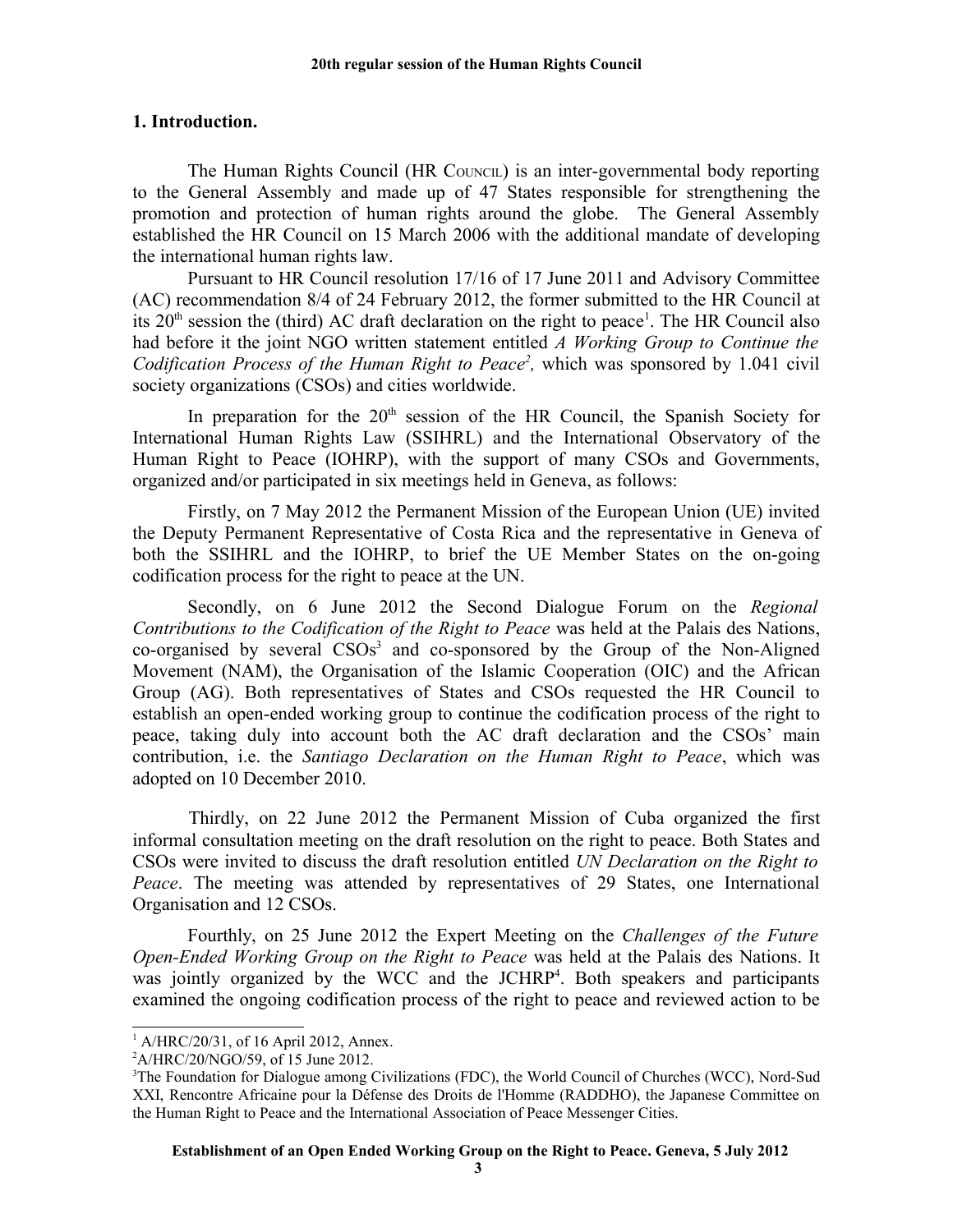### **1. Introduction.**

The Human Rights Council (HR COUNCIL) is an inter-governmental body reporting to the General Assembly and made up of 47 States responsible for strengthening the promotion and protection of human rights around the globe. The General Assembly established the HR Council on 15 March 2006 with the additional mandate of developing the international human rights law.

Pursuant to HR Council resolution 17/16 of 17 June 2011 and Advisory Committee (AC) recommendation 8/4 of 24 February 2012, the former submitted to the HR Council at its  $20<sup>th</sup>$  session the (third) AC draft declaration on the right to peace<sup>[1](#page-2-0)</sup>. The HR Council also had before it the joint NGO written statement entitled *A Working Group to Continue the* Codification Process of the Human Right to Peace<sup>[2](#page-2-1)</sup>, which was sponsored by 1.041 civil society organizations (CSOs) and cities worldwide.

In preparation for the 20<sup>th</sup> session of the HR Council, the Spanish Society for International Human Rights Law (SSIHRL) and the International Observatory of the Human Right to Peace (IOHRP), with the support of many CSOs and Governments, organized and/or participated in six meetings held in Geneva, as follows:

Firstly, on 7 May 2012 the Permanent Mission of the European Union (UE) invited the Deputy Permanent Representative of Costa Rica and the representative in Geneva of both the SSIHRL and the IOHRP, to brief the UE Member States on the on-going codification process for the right to peace at the UN.

Secondly, on 6 June 2012 the Second Dialogue Forum on the *Regional Contributions to the Codification of the Right to Peace* was held at the Palais des Nations, co-organised by several CSOs<sup>[3](#page-2-2)</sup> and co-sponsored by the Group of the Non-Aligned Movement (NAM), the Organisation of the Islamic Cooperation (OIC) and the African Group (AG). Both representatives of States and CSOs requested the HR Council to establish an open-ended working group to continue the codification process of the right to peace, taking duly into account both the AC draft declaration and the CSOs' main contribution, i.e. the *Santiago Declaration on the Human Right to Peace*, which was adopted on 10 December 2010.

Thirdly, on 22 June 2012 the Permanent Mission of Cuba organized the first informal consultation meeting on the draft resolution on the right to peace. Both States and CSOs were invited to discuss the draft resolution entitled *UN Declaration on the Right to Peace*. The meeting was attended by representatives of 29 States, one International Organisation and 12 CSOs.

Fourthly, on 25 June 2012 the Expert Meeting on the *Challenges of the Future Open-Ended Working Group on the Right to Peace* was held at the Palais des Nations. It was jointly organized by the WCC and the JCHRP<sup>[4](#page-3-0)</sup>. Both speakers and participants examined the ongoing codification process of the right to peace and reviewed action to be

<span id="page-2-0"></span><sup>1</sup> A/HRC/20/31, of 16 April 2012, Annex.

<span id="page-2-1"></span> $^{2}$ A/HRC/20/NGO/59, of 15 June 2012.

<span id="page-2-2"></span><sup>&</sup>lt;sup>3</sup>The Foundation for Dialogue among Civilizations (FDC), the World Council of Churches (WCC), Nord-Sud XXI, Rencontre Africaine pour la Défense des Droits de l'Homme (RADDHO), the Japanese Committee on the Human Right to Peace and the International Association of Peace Messenger Cities.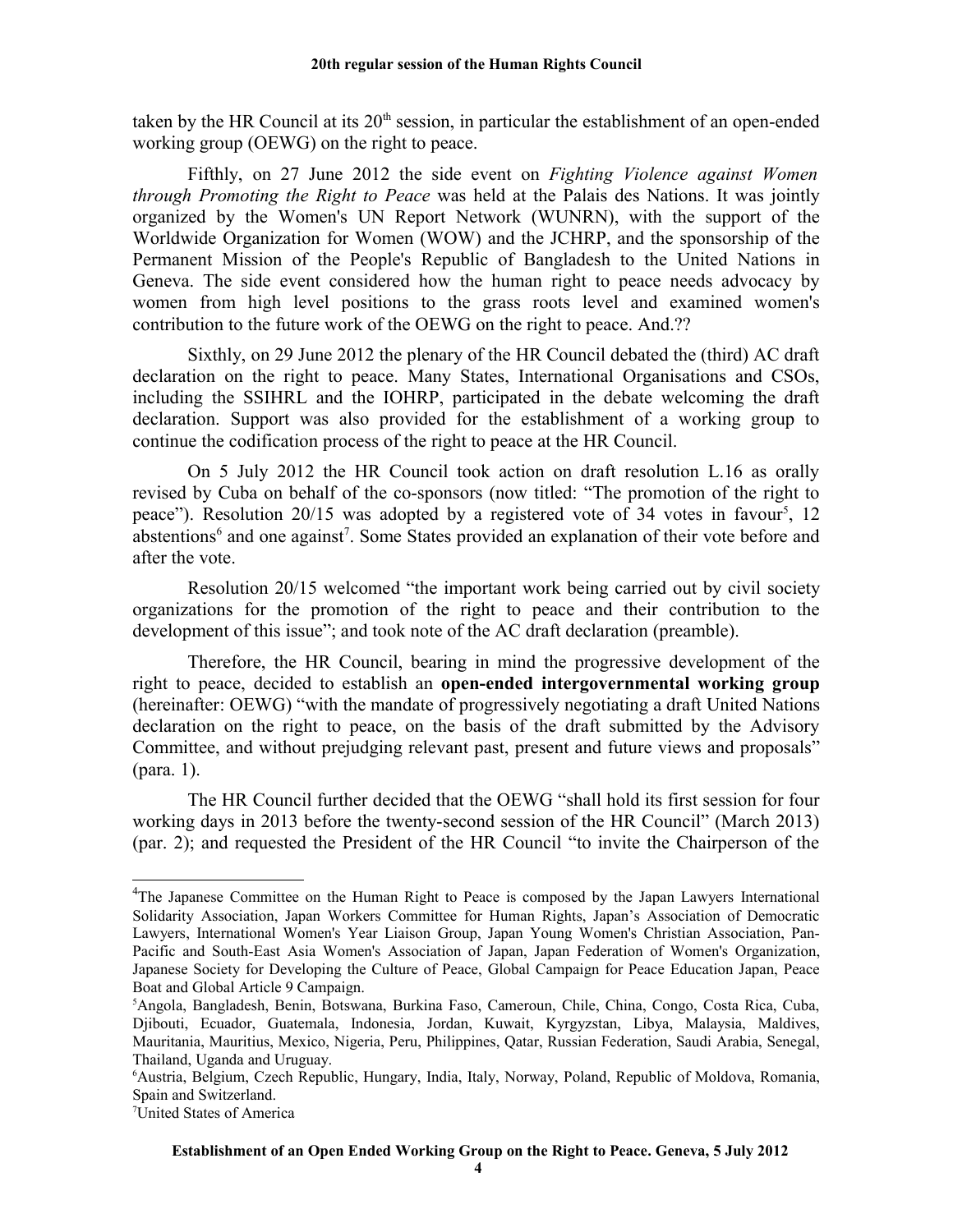taken by the HR Council at its  $20<sup>th</sup>$  session, in particular the establishment of an open-ended working group (OEWG) on the right to peace.

Fifthly, on 27 June 2012 the side event on *Fighting Violence against Women through Promoting the Right to Peace* was held at the Palais des Nations. It was jointly organized by the Women's UN Report Network (WUNRN), with the support of the Worldwide Organization for Women (WOW) and the JCHRP, and the sponsorship of the Permanent Mission of the People's Republic of Bangladesh to the United Nations in Geneva. The side event considered how the human right to peace needs advocacy by women from high level positions to the grass roots level and examined women's contribution to the future work of the OEWG on the right to peace. And.??

Sixthly, on 29 June 2012 the plenary of the HR Council debated the (third) AC draft declaration on the right to peace. Many States, International Organisations and CSOs, including the SSIHRL and the IOHRP, participated in the debate welcoming the draft declaration. Support was also provided for the establishment of a working group to continue the codification process of the right to peace at the HR Council.

On 5 July 2012 the HR Council took action on draft resolution L.16 as orally revised by Cuba on behalf of the co-sponsors (now titled: "The promotion of the right to peace"). Resolution 20/1[5](#page-3-1) was adopted by a registered vote of 34 votes in favour<sup>5</sup>, 12 abstentions<sup>[6](#page-3-2)</sup> and one against<sup>[7](#page-3-3)</sup>. Some States provided an explanation of their vote before and after the vote.

Resolution 20/15 welcomed "the important work being carried out by civil society organizations for the promotion of the right to peace and their contribution to the development of this issue"; and took note of the AC draft declaration (preamble).

Therefore, the HR Council, bearing in mind the progressive development of the right to peace, decided to establish an **open-ended intergovernmental working group** (hereinafter: OEWG) "with the mandate of progressively negotiating a draft United Nations declaration on the right to peace, on the basis of the draft submitted by the Advisory Committee, and without prejudging relevant past, present and future views and proposals" (para. 1).

The HR Council further decided that the OEWG "shall hold its first session for four working days in 2013 before the twenty-second session of the HR Council" (March 2013) (par. 2); and requested the President of the HR Council "to invite the Chairperson of the

<span id="page-3-0"></span><sup>&</sup>lt;sup>4</sup>The Japanese Committee on the Human Right to Peace is composed by the Japan Lawyers International Solidarity Association, Japan Workers Committee for Human Rights, Japan's Association of Democratic Lawyers, International Women's Year Liaison Group, Japan Young Women's Christian Association, Pan-Pacific and South-East Asia Women's Association of Japan, Japan Federation of Women's Organization, Japanese Society for Developing the Culture of Peace, Global Campaign for Peace Education Japan, Peace Boat and Global Article 9 Campaign.

<span id="page-3-1"></span><sup>5</sup>Angola, Bangladesh, Benin, Botswana, Burkina Faso, Cameroun, Chile, China, Congo, Costa Rica, Cuba, Djibouti, Ecuador, Guatemala, Indonesia, Jordan, Kuwait, Kyrgyzstan, Libya, Malaysia, Maldives, Mauritania, Mauritius, Mexico, Nigeria, Peru, Philippines, Qatar, Russian Federation, Saudi Arabia, Senegal, Thailand, Uganda and Uruguay.

<span id="page-3-2"></span><sup>6</sup>Austria, Belgium, Czech Republic, Hungary, India, Italy, Norway, Poland, Republic of Moldova, Romania, Spain and Switzerland.

<span id="page-3-3"></span><sup>7</sup>United States of America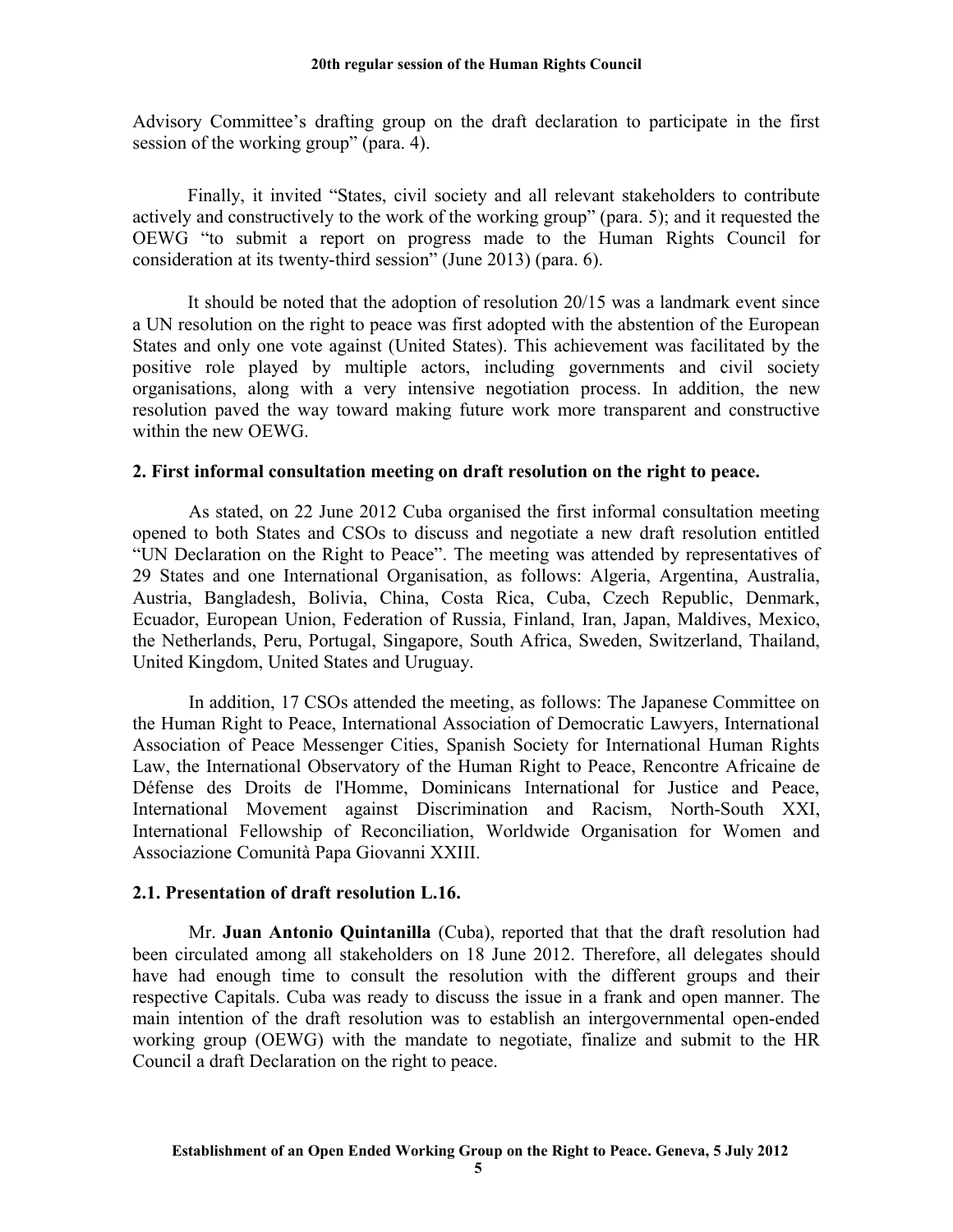Advisory Committee's drafting group on the draft declaration to participate in the first session of the working group" (para. 4).

Finally, it invited "States, civil society and all relevant stakeholders to contribute actively and constructively to the work of the working group" (para. 5); and it requested the OEWG "to submit a report on progress made to the Human Rights Council for consideration at its twenty-third session" (June 2013) (para. 6).

It should be noted that the adoption of resolution 20/15 was a landmark event since a UN resolution on the right to peace was first adopted with the abstention of the European States and only one vote against (United States). This achievement was facilitated by the positive role played by multiple actors, including governments and civil society organisations, along with a very intensive negotiation process. In addition, the new resolution paved the way toward making future work more transparent and constructive within the new OEWG.

### **2. First informal consultation meeting on draft resolution on the right to peace.**

As stated, on 22 June 2012 Cuba organised the first informal consultation meeting opened to both States and CSOs to discuss and negotiate a new draft resolution entitled "UN Declaration on the Right to Peace". The meeting was attended by representatives of 29 States and one International Organisation, as follows: Algeria, Argentina, Australia, Austria, Bangladesh, Bolivia, China, Costa Rica, Cuba, Czech Republic, Denmark, Ecuador, European Union, Federation of Russia, Finland, Iran, Japan, Maldives, Mexico, the Netherlands, Peru, Portugal, Singapore, South Africa, Sweden, Switzerland, Thailand, United Kingdom, United States and Uruguay.

In addition, 17 CSOs attended the meeting, as follows: The Japanese Committee on the Human Right to Peace, International Association of Democratic Lawyers, International Association of Peace Messenger Cities, Spanish Society for International Human Rights Law, the International Observatory of the Human Right to Peace, Rencontre Africaine de Défense des Droits de l'Homme, Dominicans International for Justice and Peace, International Movement against Discrimination and Racism, North-South XXI, International Fellowship of Reconciliation, Worldwide Organisation for Women and Associazione Comunità Papa Giovanni XXIII.

### **2.1. Presentation of draft resolution L.16.**

Mr. **Juan Antonio Quintanilla** (Cuba), reported that that the draft resolution had been circulated among all stakeholders on 18 June 2012. Therefore, all delegates should have had enough time to consult the resolution with the different groups and their respective Capitals. Cuba was ready to discuss the issue in a frank and open manner. The main intention of the draft resolution was to establish an intergovernmental open-ended working group (OEWG) with the mandate to negotiate, finalize and submit to the HR Council a draft Declaration on the right to peace.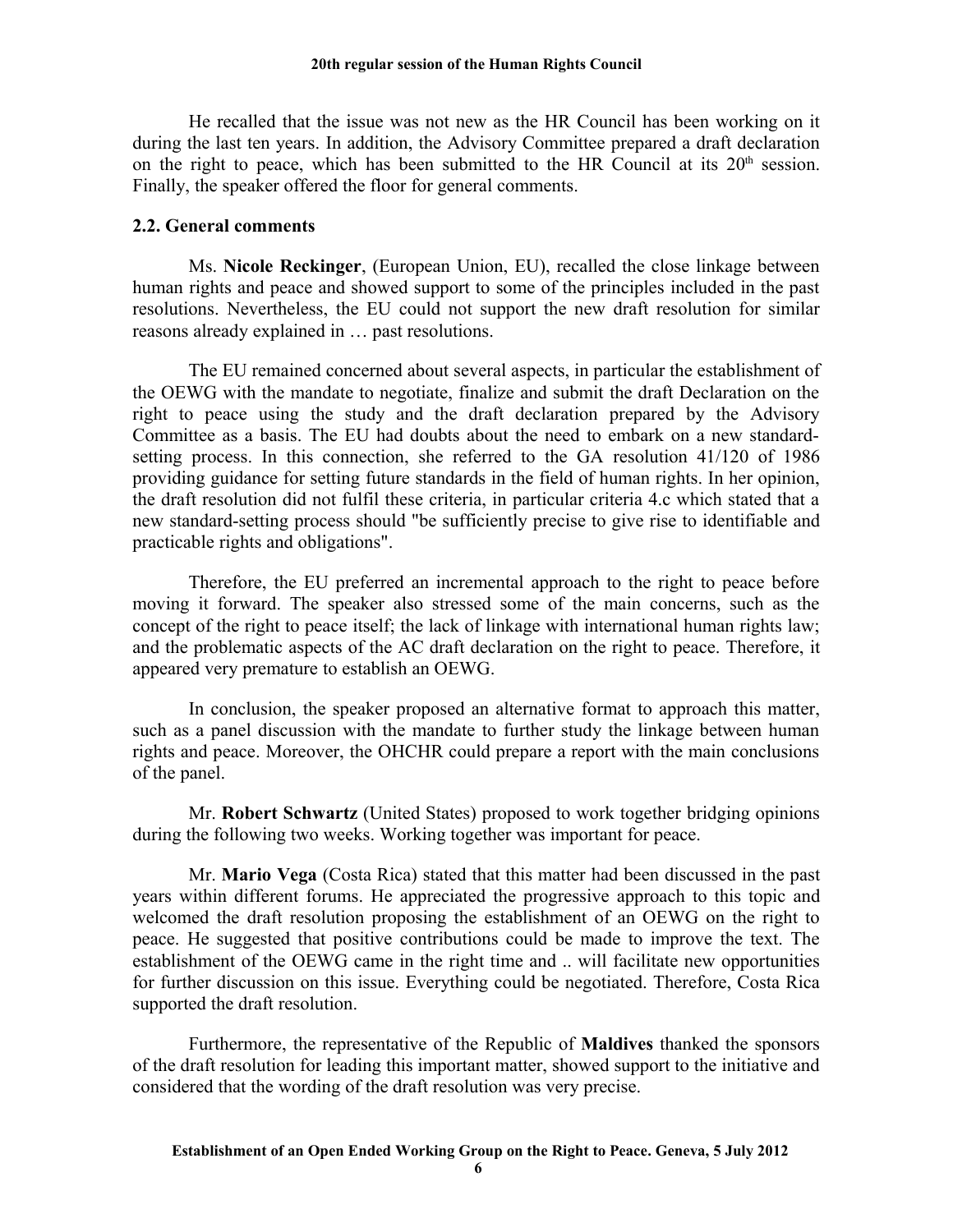He recalled that the issue was not new as the HR Council has been working on it during the last ten years. In addition, the Advisory Committee prepared a draft declaration on the right to peace, which has been submitted to the HR Council at its  $20<sup>th</sup>$  session. Finally, the speaker offered the floor for general comments.

### **2.2. General comments**

Ms. **Nicole Reckinger**, (European Union, EU), recalled the close linkage between human rights and peace and showed support to some of the principles included in the past resolutions. Nevertheless, the EU could not support the new draft resolution for similar reasons already explained in … past resolutions.

The EU remained concerned about several aspects, in particular the establishment of the OEWG with the mandate to negotiate, finalize and submit the draft Declaration on the right to peace using the study and the draft declaration prepared by the Advisory Committee as a basis. The EU had doubts about the need to embark on a new standardsetting process. In this connection, she referred to the GA resolution 41/120 of 1986 providing guidance for setting future standards in the field of human rights. In her opinion, the draft resolution did not fulfil these criteria, in particular criteria 4.c which stated that a new standard-setting process should "be sufficiently precise to give rise to identifiable and practicable rights and obligations".

Therefore, the EU preferred an incremental approach to the right to peace before moving it forward. The speaker also stressed some of the main concerns, such as the concept of the right to peace itself; the lack of linkage with international human rights law; and the problematic aspects of the AC draft declaration on the right to peace. Therefore, it appeared very premature to establish an OEWG.

In conclusion, the speaker proposed an alternative format to approach this matter, such as a panel discussion with the mandate to further study the linkage between human rights and peace. Moreover, the OHCHR could prepare a report with the main conclusions of the panel.

Mr. **Robert Schwartz** (United States) proposed to work together bridging opinions during the following two weeks. Working together was important for peace.

Mr. **Mario Vega** (Costa Rica) stated that this matter had been discussed in the past years within different forums. He appreciated the progressive approach to this topic and welcomed the draft resolution proposing the establishment of an OEWG on the right to peace. He suggested that positive contributions could be made to improve the text. The establishment of the OEWG came in the right time and .. will facilitate new opportunities for further discussion on this issue. Everything could be negotiated. Therefore, Costa Rica supported the draft resolution.

Furthermore, the representative of the Republic of **Maldives** thanked the sponsors of the draft resolution for leading this important matter, showed support to the initiative and considered that the wording of the draft resolution was very precise.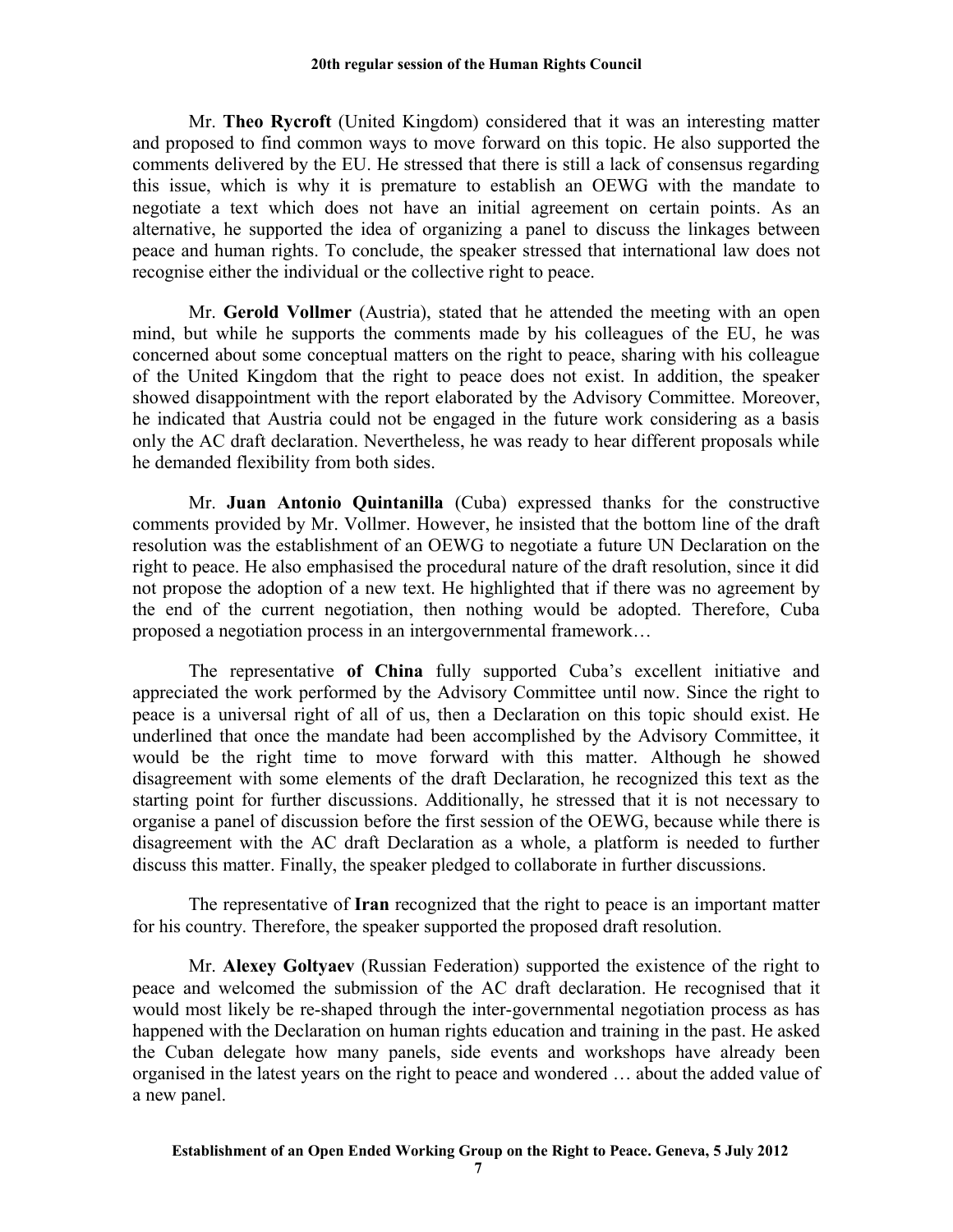Mr. **Theo Rycroft** (United Kingdom) considered that it was an interesting matter and proposed to find common ways to move forward on this topic. He also supported the comments delivered by the EU. He stressed that there is still a lack of consensus regarding this issue, which is why it is premature to establish an OEWG with the mandate to negotiate a text which does not have an initial agreement on certain points. As an alternative, he supported the idea of organizing a panel to discuss the linkages between peace and human rights. To conclude, the speaker stressed that international law does not recognise either the individual or the collective right to peace.

Mr. **Gerold Vollmer** (Austria), stated that he attended the meeting with an open mind, but while he supports the comments made by his colleagues of the EU, he was concerned about some conceptual matters on the right to peace, sharing with his colleague of the United Kingdom that the right to peace does not exist. In addition, the speaker showed disappointment with the report elaborated by the Advisory Committee. Moreover, he indicated that Austria could not be engaged in the future work considering as a basis only the AC draft declaration. Nevertheless, he was ready to hear different proposals while he demanded flexibility from both sides.

Mr. **Juan Antonio Quintanilla** (Cuba) expressed thanks for the constructive comments provided by Mr. Vollmer. However, he insisted that the bottom line of the draft resolution was the establishment of an OEWG to negotiate a future UN Declaration on the right to peace. He also emphasised the procedural nature of the draft resolution, since it did not propose the adoption of a new text. He highlighted that if there was no agreement by the end of the current negotiation, then nothing would be adopted. Therefore, Cuba proposed a negotiation process in an intergovernmental framework…

The representative **of China** fully supported Cuba's excellent initiative and appreciated the work performed by the Advisory Committee until now. Since the right to peace is a universal right of all of us, then a Declaration on this topic should exist. He underlined that once the mandate had been accomplished by the Advisory Committee, it would be the right time to move forward with this matter. Although he showed disagreement with some elements of the draft Declaration, he recognized this text as the starting point for further discussions. Additionally, he stressed that it is not necessary to organise a panel of discussion before the first session of the OEWG, because while there is disagreement with the AC draft Declaration as a whole, a platform is needed to further discuss this matter. Finally, the speaker pledged to collaborate in further discussions.

The representative of **Iran** recognized that the right to peace is an important matter for his country. Therefore, the speaker supported the proposed draft resolution.

Mr. **Alexey Goltyaev** (Russian Federation) supported the existence of the right to peace and welcomed the submission of the AC draft declaration. He recognised that it would most likely be re-shaped through the inter-governmental negotiation process as has happened with the Declaration on human rights education and training in the past. He asked the Cuban delegate how many panels, side events and workshops have already been organised in the latest years on the right to peace and wondered … about the added value of a new panel.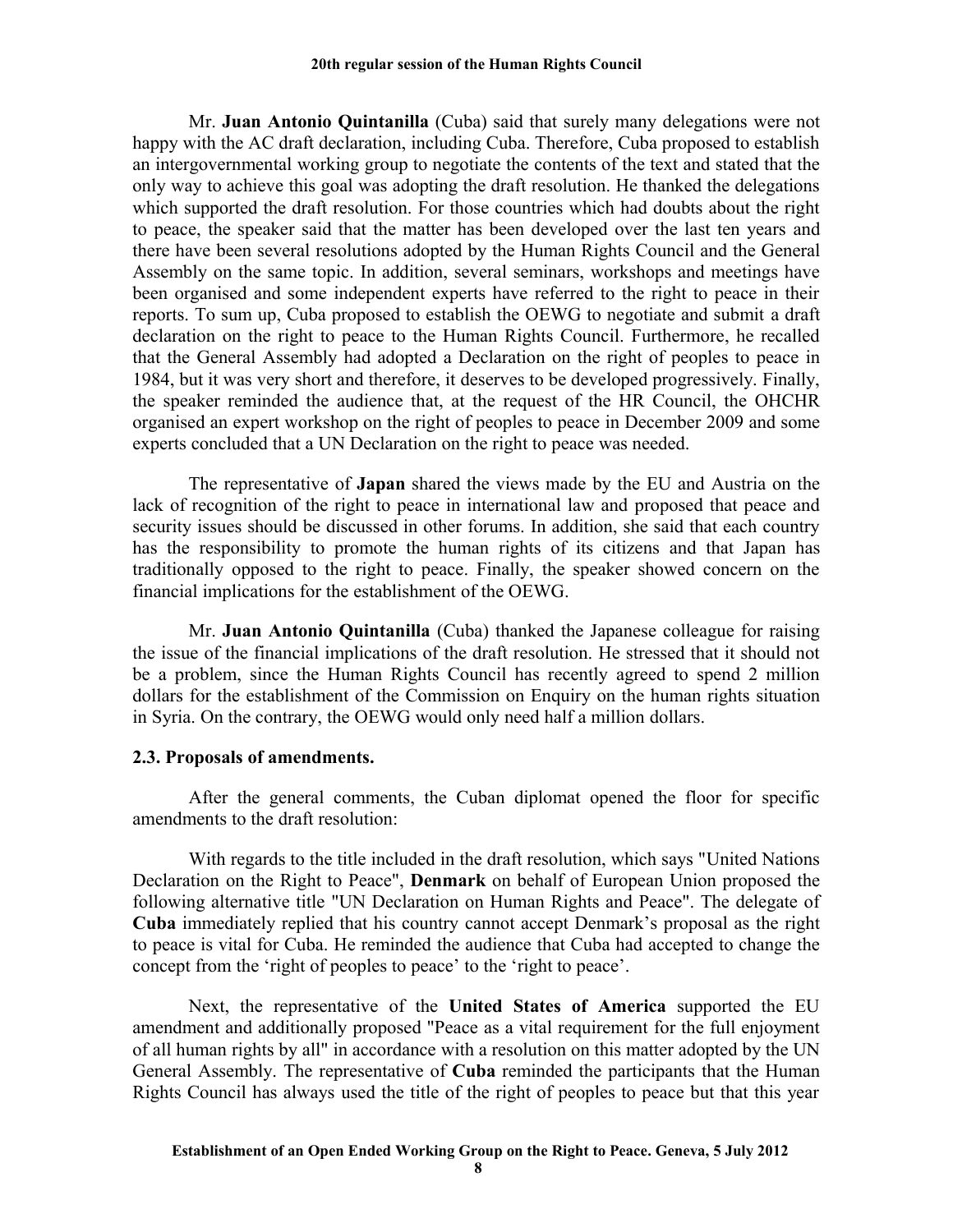Mr. **Juan Antonio Quintanilla** (Cuba) said that surely many delegations were not happy with the AC draft declaration, including Cuba. Therefore, Cuba proposed to establish an intergovernmental working group to negotiate the contents of the text and stated that the only way to achieve this goal was adopting the draft resolution. He thanked the delegations which supported the draft resolution. For those countries which had doubts about the right to peace, the speaker said that the matter has been developed over the last ten years and there have been several resolutions adopted by the Human Rights Council and the General Assembly on the same topic. In addition, several seminars, workshops and meetings have been organised and some independent experts have referred to the right to peace in their reports. To sum up, Cuba proposed to establish the OEWG to negotiate and submit a draft declaration on the right to peace to the Human Rights Council. Furthermore, he recalled that the General Assembly had adopted a Declaration on the right of peoples to peace in 1984, but it was very short and therefore, it deserves to be developed progressively. Finally, the speaker reminded the audience that, at the request of the HR Council, the OHCHR organised an expert workshop on the right of peoples to peace in December 2009 and some experts concluded that a UN Declaration on the right to peace was needed.

The representative of **Japan** shared the views made by the EU and Austria on the lack of recognition of the right to peace in international law and proposed that peace and security issues should be discussed in other forums. In addition, she said that each country has the responsibility to promote the human rights of its citizens and that Japan has traditionally opposed to the right to peace. Finally, the speaker showed concern on the financial implications for the establishment of the OEWG.

Mr. **Juan Antonio Quintanilla** (Cuba) thanked the Japanese colleague for raising the issue of the financial implications of the draft resolution. He stressed that it should not be a problem, since the Human Rights Council has recently agreed to spend 2 million dollars for the establishment of the Commission on Enquiry on the human rights situation in Syria. On the contrary, the OEWG would only need half a million dollars.

### **2.3. Proposals of amendments.**

After the general comments, the Cuban diplomat opened the floor for specific amendments to the draft resolution:

With regards to the title included in the draft resolution, which says "United Nations Declaration on the Right to Peace", **Denmark** on behalf of European Union proposed the following alternative title "UN Declaration on Human Rights and Peace". The delegate of **Cuba** immediately replied that his country cannot accept Denmark's proposal as the right to peace is vital for Cuba. He reminded the audience that Cuba had accepted to change the concept from the 'right of peoples to peace' to the 'right to peace'.

Next, the representative of the **United States of America** supported the EU amendment and additionally proposed "Peace as a vital requirement for the full enjoyment of all human rights by all" in accordance with a resolution on this matter adopted by the UN General Assembly. The representative of **Cuba** reminded the participants that the Human Rights Council has always used the title of the right of peoples to peace but that this year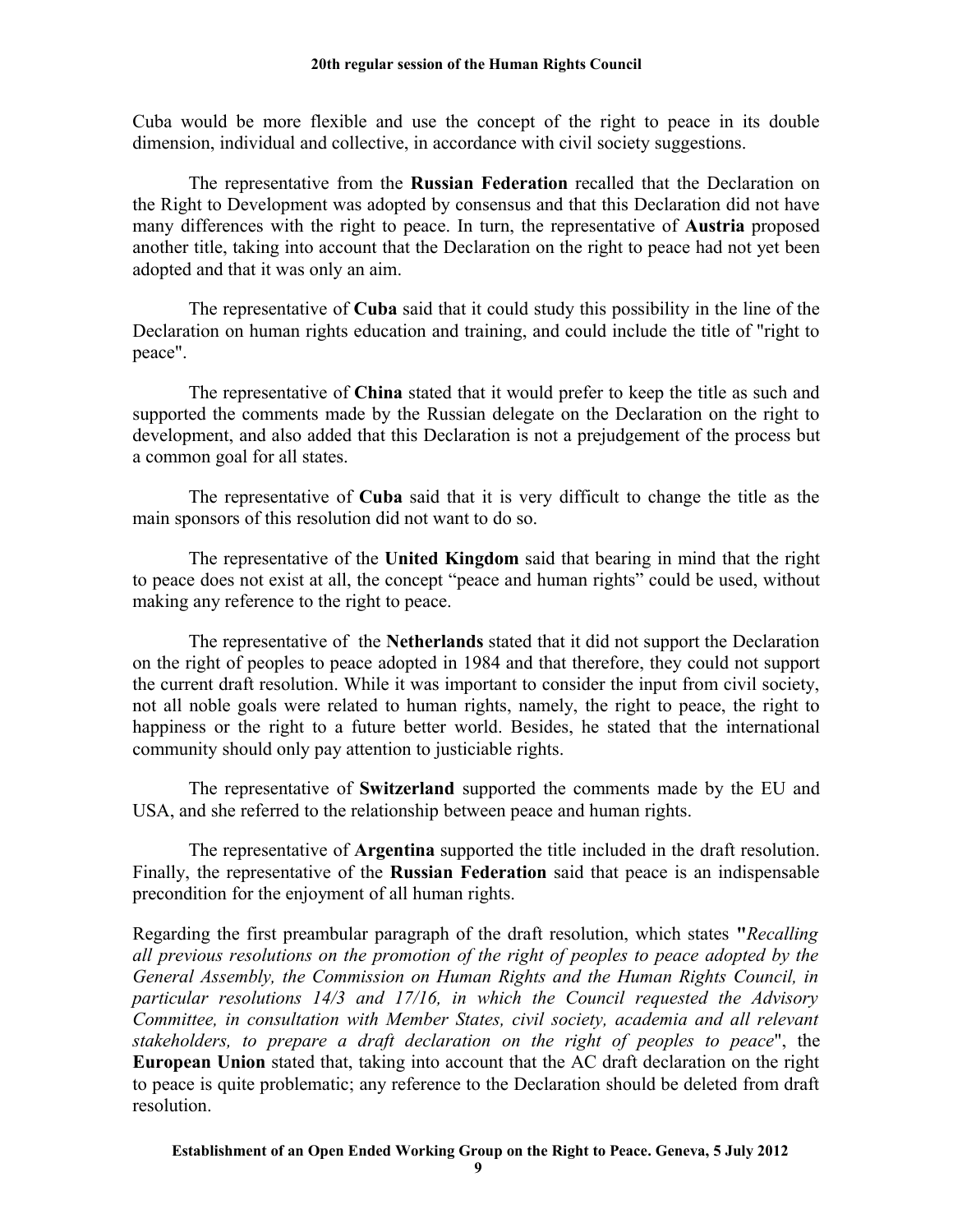Cuba would be more flexible and use the concept of the right to peace in its double dimension, individual and collective, in accordance with civil society suggestions.

The representative from the **Russian Federation** recalled that the Declaration on the Right to Development was adopted by consensus and that this Declaration did not have many differences with the right to peace. In turn, the representative of **Austria** proposed another title, taking into account that the Declaration on the right to peace had not yet been adopted and that it was only an aim.

The representative of **Cuba** said that it could study this possibility in the line of the Declaration on human rights education and training, and could include the title of "right to peace".

The representative of **China** stated that it would prefer to keep the title as such and supported the comments made by the Russian delegate on the Declaration on the right to development, and also added that this Declaration is not a prejudgement of the process but a common goal for all states.

The representative of **Cuba** said that it is very difficult to change the title as the main sponsors of this resolution did not want to do so.

The representative of the **United Kingdom** said that bearing in mind that the right to peace does not exist at all, the concept "peace and human rights" could be used, without making any reference to the right to peace.

The representative of the **Netherlands** stated that it did not support the Declaration on the right of peoples to peace adopted in 1984 and that therefore, they could not support the current draft resolution. While it was important to consider the input from civil society, not all noble goals were related to human rights, namely, the right to peace, the right to happiness or the right to a future better world. Besides, he stated that the international community should only pay attention to justiciable rights.

The representative of **Switzerland** supported the comments made by the EU and USA, and she referred to the relationship between peace and human rights.

The representative of **Argentina** supported the title included in the draft resolution. Finally, the representative of the **Russian Federation** said that peace is an indispensable precondition for the enjoyment of all human rights.

Regarding the first preambular paragraph of the draft resolution, which states **"***Recalling all previous resolutions on the promotion of the right of peoples to peace adopted by the General Assembly, the Commission on Human Rights and the Human Rights Council, in particular resolutions 14/3 and 17/16, in which the Council requested the Advisory Committee, in consultation with Member States, civil society, academia and all relevant stakeholders, to prepare a draft declaration on the right of peoples to peace*", the **European Union** stated that, taking into account that the AC draft declaration on the right to peace is quite problematic; any reference to the Declaration should be deleted from draft resolution.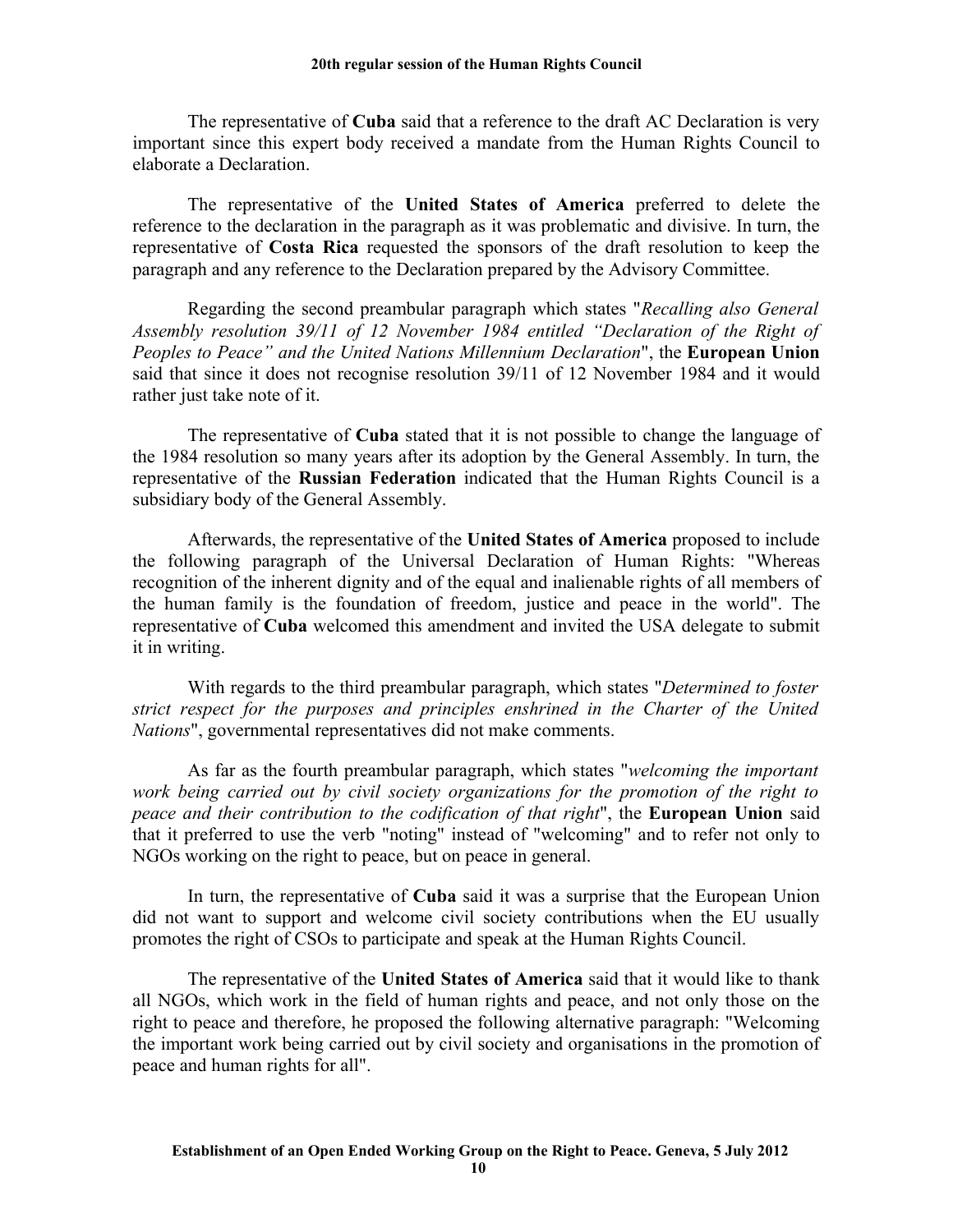The representative of **Cuba** said that a reference to the draft AC Declaration is very important since this expert body received a mandate from the Human Rights Council to elaborate a Declaration.

The representative of the **United States of America** preferred to delete the reference to the declaration in the paragraph as it was problematic and divisive. In turn, the representative of **Costa Rica** requested the sponsors of the draft resolution to keep the paragraph and any reference to the Declaration prepared by the Advisory Committee.

Regarding the second preambular paragraph which states "*Recalling also General Assembly resolution 39/11 of 12 November 1984 entitled "Declaration of the Right of Peoples to Peace" and the United Nations Millennium Declaration*", the **European Union** said that since it does not recognise resolution 39/11 of 12 November 1984 and it would rather just take note of it.

The representative of **Cuba** stated that it is not possible to change the language of the 1984 resolution so many years after its adoption by the General Assembly. In turn, the representative of the **Russian Federation** indicated that the Human Rights Council is a subsidiary body of the General Assembly.

Afterwards, the representative of the **United States of America** proposed to include the following paragraph of the Universal Declaration of Human Rights: "Whereas recognition of the inherent dignity and of the equal and inalienable rights of all members of the human family is the foundation of freedom, justice and peace in the world". The representative of **Cuba** welcomed this amendment and invited the USA delegate to submit it in writing.

With regards to the third preambular paragraph, which states "*Determined to foster strict respect for the purposes and principles enshrined in the Charter of the United Nations*", governmental representatives did not make comments.

As far as the fourth preambular paragraph, which states "*welcoming the important work being carried out by civil society organizations for the promotion of the right to peace and their contribution to the codification of that right*", the **European Union** said that it preferred to use the verb "noting" instead of "welcoming" and to refer not only to NGOs working on the right to peace, but on peace in general.

In turn, the representative of **Cuba** said it was a surprise that the European Union did not want to support and welcome civil society contributions when the EU usually promotes the right of CSOs to participate and speak at the Human Rights Council.

The representative of the **United States of America** said that it would like to thank all NGOs, which work in the field of human rights and peace, and not only those on the right to peace and therefore, he proposed the following alternative paragraph: "Welcoming the important work being carried out by civil society and organisations in the promotion of peace and human rights for all".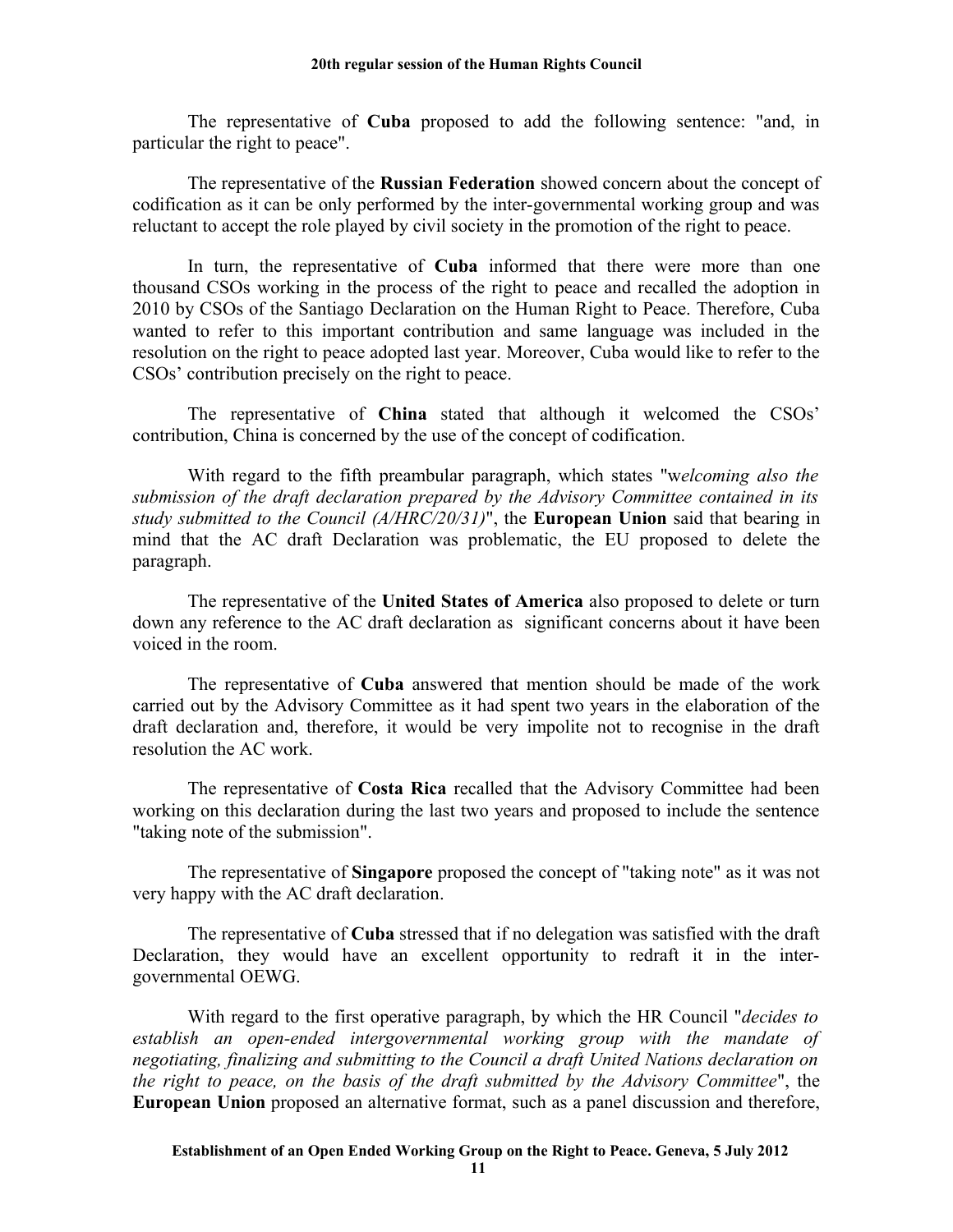The representative of **Cuba** proposed to add the following sentence: "and, in particular the right to peace".

The representative of the **Russian Federation** showed concern about the concept of codification as it can be only performed by the inter-governmental working group and was reluctant to accept the role played by civil society in the promotion of the right to peace.

In turn, the representative of **Cuba** informed that there were more than one thousand CSOs working in the process of the right to peace and recalled the adoption in 2010 by CSOs of the Santiago Declaration on the Human Right to Peace. Therefore, Cuba wanted to refer to this important contribution and same language was included in the resolution on the right to peace adopted last year. Moreover, Cuba would like to refer to the CSOs' contribution precisely on the right to peace.

The representative of **China** stated that although it welcomed the CSOs' contribution, China is concerned by the use of the concept of codification.

With regard to the fifth preambular paragraph, which states "w*elcoming also the submission of the draft declaration prepared by the Advisory Committee contained in its study submitted to the Council (A/HRC/20/31)*", the **European Union** said that bearing in mind that the AC draft Declaration was problematic, the EU proposed to delete the paragraph.

The representative of the **United States of America** also proposed to delete or turn down any reference to the AC draft declaration as significant concerns about it have been voiced in the room.

The representative of **Cuba** answered that mention should be made of the work carried out by the Advisory Committee as it had spent two years in the elaboration of the draft declaration and, therefore, it would be very impolite not to recognise in the draft resolution the AC work.

The representative of **Costa Rica** recalled that the Advisory Committee had been working on this declaration during the last two years and proposed to include the sentence "taking note of the submission".

The representative of **Singapore** proposed the concept of "taking note" as it was not very happy with the AC draft declaration.

The representative of **Cuba** stressed that if no delegation was satisfied with the draft Declaration, they would have an excellent opportunity to redraft it in the intergovernmental OEWG.

With regard to the first operative paragraph, by which the HR Council "*decides to establish an open-ended intergovernmental working group with the mandate of negotiating, finalizing and submitting to the Council a draft United Nations declaration on the right to peace, on the basis of the draft submitted by the Advisory Committee*", the **European Union** proposed an alternative format, such as a panel discussion and therefore,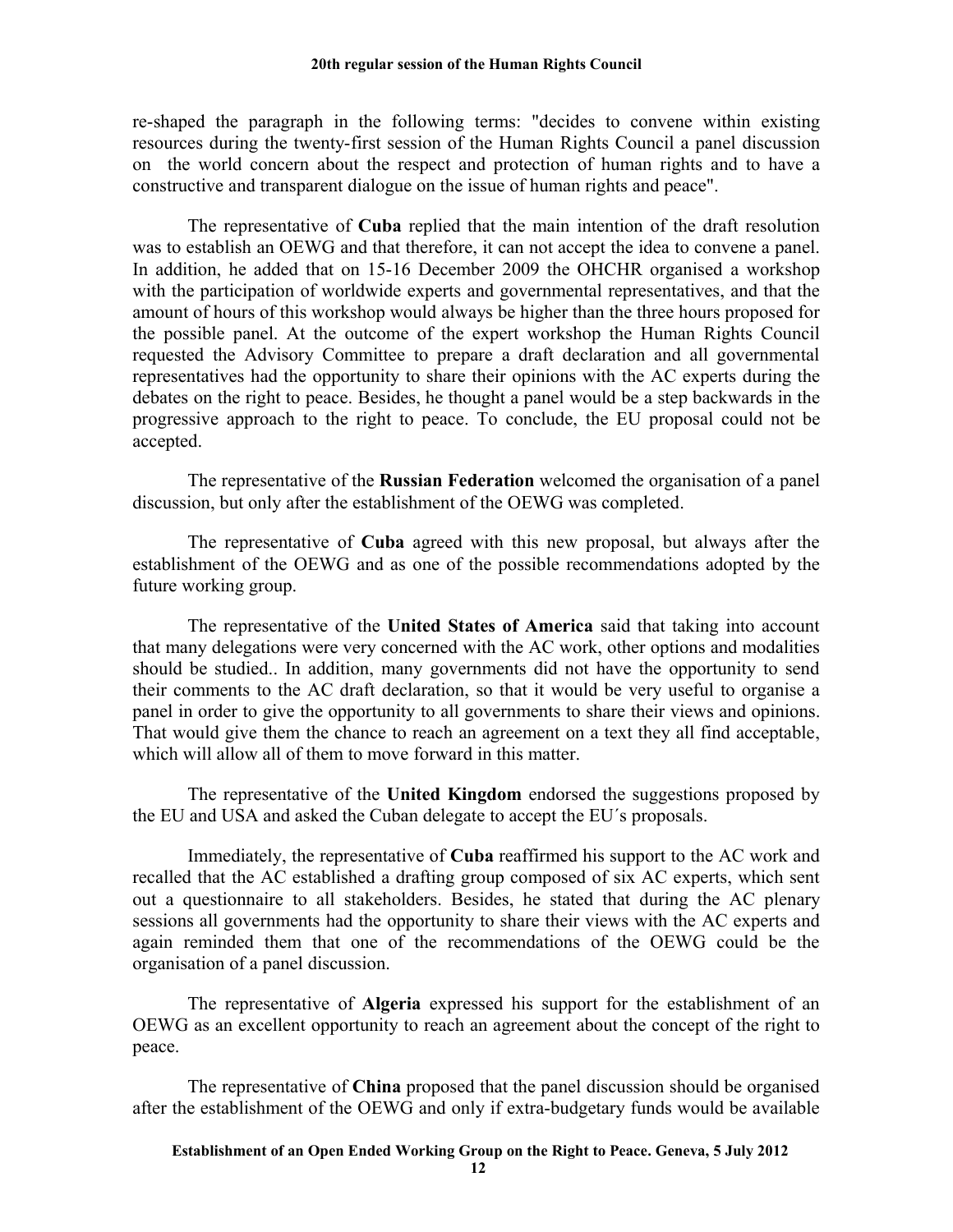re-shaped the paragraph in the following terms: "decides to convene within existing resources during the twenty-first session of the Human Rights Council a panel discussion on the world concern about the respect and protection of human rights and to have a constructive and transparent dialogue on the issue of human rights and peace".

The representative of **Cuba** replied that the main intention of the draft resolution was to establish an OEWG and that therefore, it can not accept the idea to convene a panel. In addition, he added that on 15-16 December 2009 the OHCHR organised a workshop with the participation of worldwide experts and governmental representatives, and that the amount of hours of this workshop would always be higher than the three hours proposed for the possible panel. At the outcome of the expert workshop the Human Rights Council requested the Advisory Committee to prepare a draft declaration and all governmental representatives had the opportunity to share their opinions with the AC experts during the debates on the right to peace. Besides, he thought a panel would be a step backwards in the progressive approach to the right to peace. To conclude, the EU proposal could not be accepted.

The representative of the **Russian Federation** welcomed the organisation of a panel discussion, but only after the establishment of the OEWG was completed.

The representative of **Cuba** agreed with this new proposal, but always after the establishment of the OEWG and as one of the possible recommendations adopted by the future working group.

The representative of the **United States of America** said that taking into account that many delegations were very concerned with the AC work, other options and modalities should be studied.. In addition, many governments did not have the opportunity to send their comments to the AC draft declaration, so that it would be very useful to organise a panel in order to give the opportunity to all governments to share their views and opinions. That would give them the chance to reach an agreement on a text they all find acceptable, which will allow all of them to move forward in this matter.

The representative of the **United Kingdom** endorsed the suggestions proposed by the EU and USA and asked the Cuban delegate to accept the EU´s proposals.

Immediately, the representative of **Cuba** reaffirmed his support to the AC work and recalled that the AC established a drafting group composed of six AC experts, which sent out a questionnaire to all stakeholders. Besides, he stated that during the AC plenary sessions all governments had the opportunity to share their views with the AC experts and again reminded them that one of the recommendations of the OEWG could be the organisation of a panel discussion.

The representative of **Algeria** expressed his support for the establishment of an OEWG as an excellent opportunity to reach an agreement about the concept of the right to peace.

The representative of **China** proposed that the panel discussion should be organised after the establishment of the OEWG and only if extra-budgetary funds would be available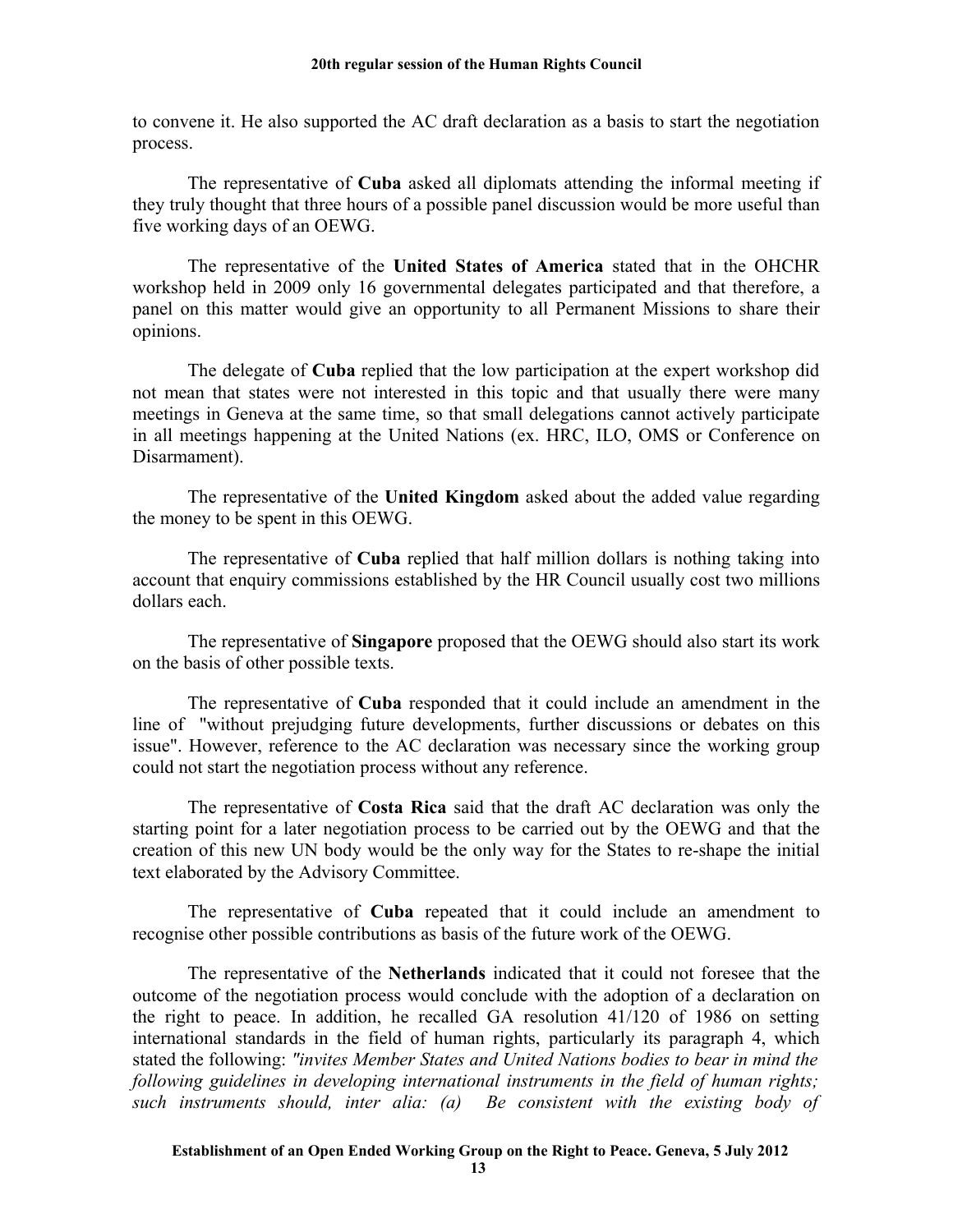to convene it. He also supported the AC draft declaration as a basis to start the negotiation process.

The representative of **Cuba** asked all diplomats attending the informal meeting if they truly thought that three hours of a possible panel discussion would be more useful than five working days of an OEWG.

The representative of the **United States of America** stated that in the OHCHR workshop held in 2009 only 16 governmental delegates participated and that therefore, a panel on this matter would give an opportunity to all Permanent Missions to share their opinions.

The delegate of **Cuba** replied that the low participation at the expert workshop did not mean that states were not interested in this topic and that usually there were many meetings in Geneva at the same time, so that small delegations cannot actively participate in all meetings happening at the United Nations (ex. HRC, ILO, OMS or Conference on Disarmament).

The representative of the **United Kingdom** asked about the added value regarding the money to be spent in this OEWG.

The representative of **Cuba** replied that half million dollars is nothing taking into account that enquiry commissions established by the HR Council usually cost two millions dollars each.

The representative of **Singapore** proposed that the OEWG should also start its work on the basis of other possible texts.

The representative of **Cuba** responded that it could include an amendment in the line of "without prejudging future developments, further discussions or debates on this issue". However, reference to the AC declaration was necessary since the working group could not start the negotiation process without any reference.

The representative of **Costa Rica** said that the draft AC declaration was only the starting point for a later negotiation process to be carried out by the OEWG and that the creation of this new UN body would be the only way for the States to re-shape the initial text elaborated by the Advisory Committee.

The representative of **Cuba** repeated that it could include an amendment to recognise other possible contributions as basis of the future work of the OEWG.

The representative of the **Netherlands** indicated that it could not foresee that the outcome of the negotiation process would conclude with the adoption of a declaration on the right to peace. In addition, he recalled GA resolution 41/120 of 1986 on setting international standards in the field of human rights, particularly its paragraph 4, which stated the following: *"invites Member States and United Nations bodies to bear in mind the following guidelines in developing international instruments in the field of human rights; such instruments should, inter alia: (a) Be consistent with the existing body of*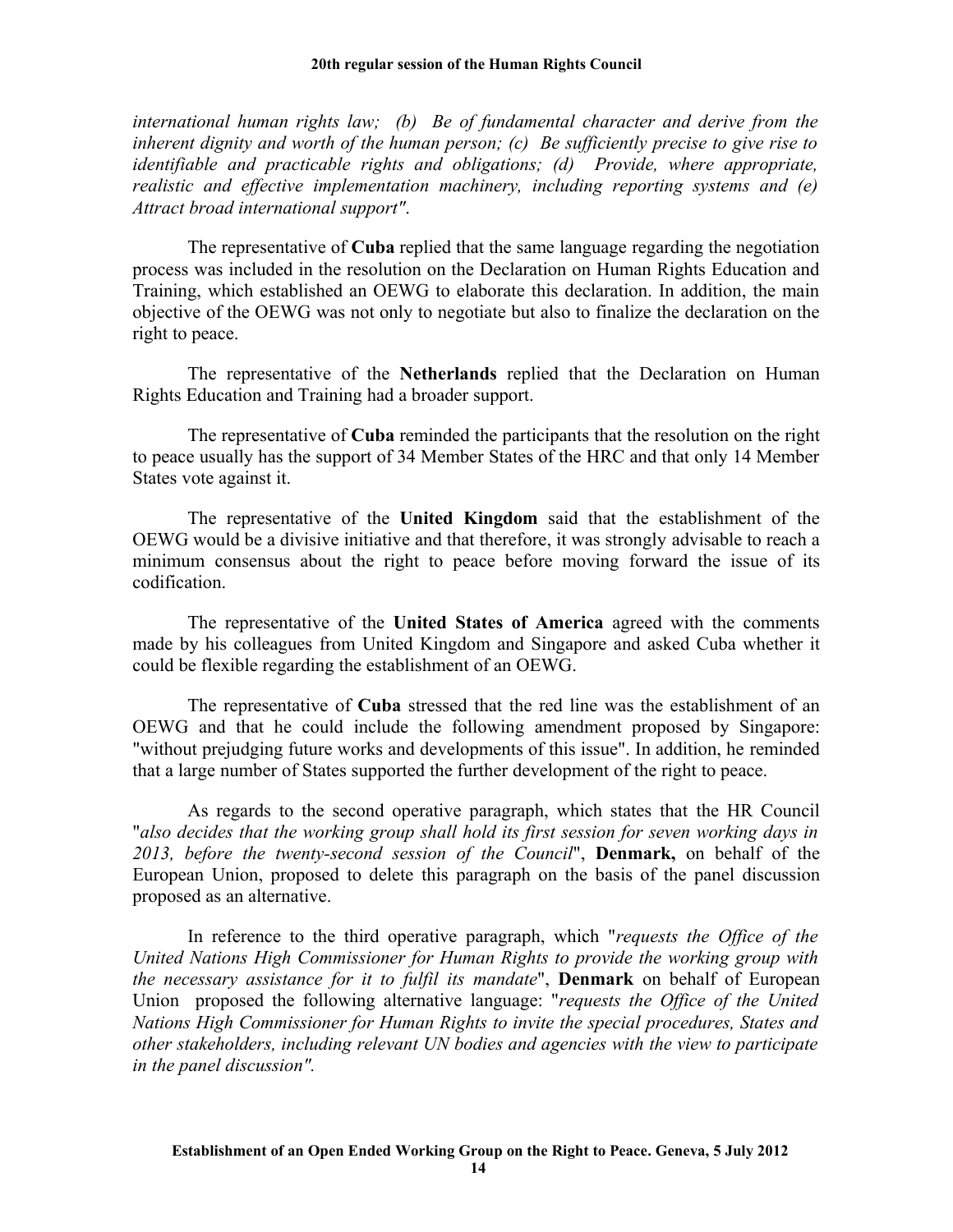*international human rights law; (b) Be of fundamental character and derive from the inherent dignity and worth of the human person; (c) Be sufficiently precise to give rise to identifiable and practicable rights and obligations; (d) Provide, where appropriate, realistic and effective implementation machinery, including reporting systems and (e) Attract broad international support"*.

The representative of **Cuba** replied that the same language regarding the negotiation process was included in the resolution on the Declaration on Human Rights Education and Training, which established an OEWG to elaborate this declaration. In addition, the main objective of the OEWG was not only to negotiate but also to finalize the declaration on the right to peace.

The representative of the **Netherlands** replied that the Declaration on Human Rights Education and Training had a broader support.

The representative of **Cuba** reminded the participants that the resolution on the right to peace usually has the support of 34 Member States of the HRC and that only 14 Member States vote against it.

The representative of the **United Kingdom** said that the establishment of the OEWG would be a divisive initiative and that therefore, it was strongly advisable to reach a minimum consensus about the right to peace before moving forward the issue of its codification.

The representative of the **United States of America** agreed with the comments made by his colleagues from United Kingdom and Singapore and asked Cuba whether it could be flexible regarding the establishment of an OEWG.

The representative of **Cuba** stressed that the red line was the establishment of an OEWG and that he could include the following amendment proposed by Singapore: "without prejudging future works and developments of this issue". In addition, he reminded that a large number of States supported the further development of the right to peace.

As regards to the second operative paragraph, which states that the HR Council "*also decides that the working group shall hold its first session for seven working days in 2013, before the twenty-second session of the Council*", **Denmark,** on behalf of the European Union, proposed to delete this paragraph on the basis of the panel discussion proposed as an alternative.

In reference to the third operative paragraph, which "*requests the Office of the United Nations High Commissioner for Human Rights to provide the working group with the necessary assistance for it to fulfil its mandate*", **Denmark** on behalf of European Union proposed the following alternative language: "*requests the Office of the United Nations High Commissioner for Human Rights to invite the special procedures, States and other stakeholders, including relevant UN bodies and agencies with the view to participate in the panel discussion".*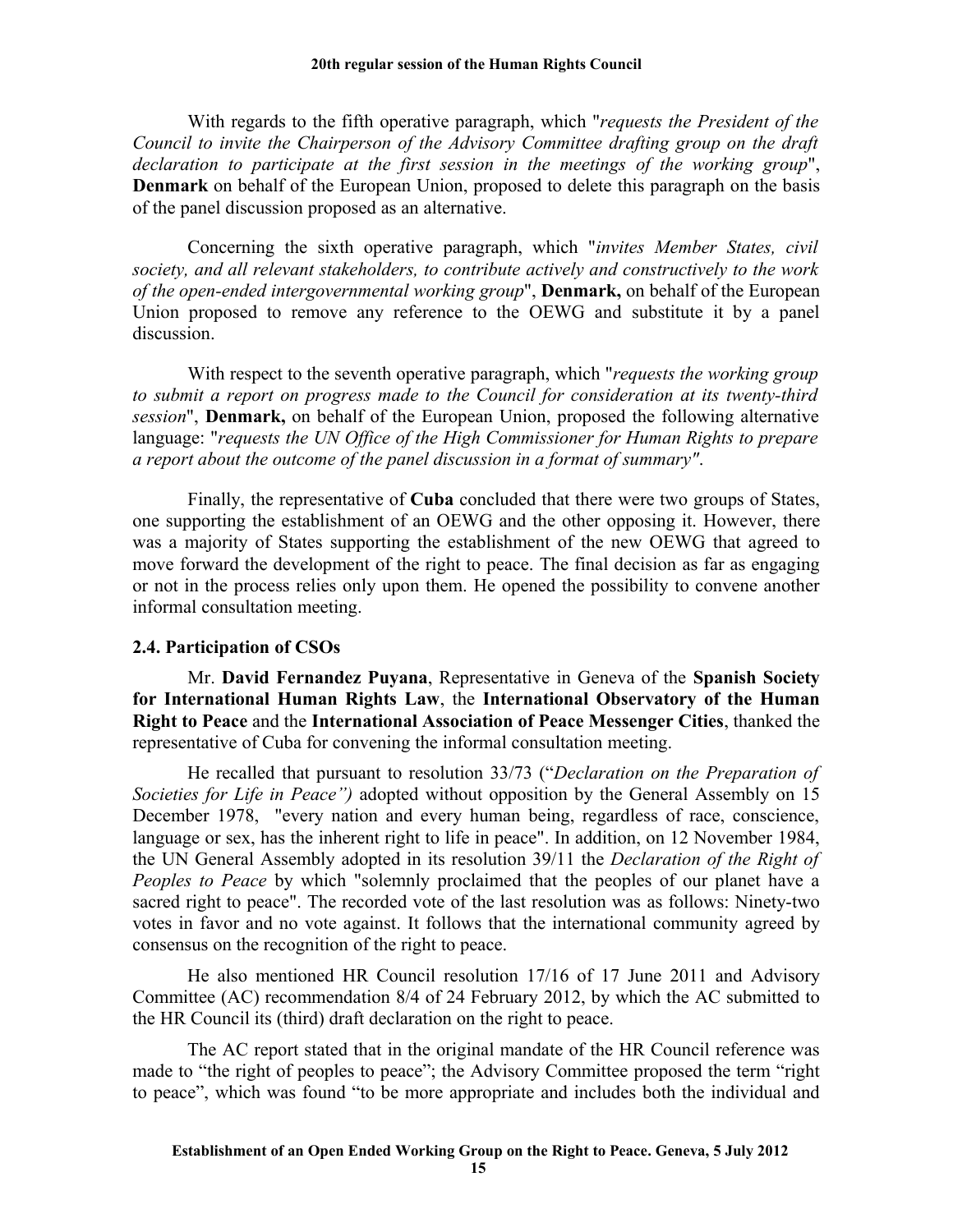With regards to the fifth operative paragraph, which "*requests the President of the Council to invite the Chairperson of the Advisory Committee drafting group on the draft declaration to participate at the first session in the meetings of the working group*", **Denmark** on behalf of the European Union, proposed to delete this paragraph on the basis of the panel discussion proposed as an alternative.

Concerning the sixth operative paragraph, which "*invites Member States, civil society, and all relevant stakeholders, to contribute actively and constructively to the work of the open-ended intergovernmental working group*", **Denmark,** on behalf of the European Union proposed to remove any reference to the OEWG and substitute it by a panel discussion.

With respect to the seventh operative paragraph, which "*requests the working group to submit a report on progress made to the Council for consideration at its twenty-third session*", **Denmark,** on behalf of the European Union, proposed the following alternative language: "*requests the UN Office of the High Commissioner for Human Rights to prepare a report about the outcome of the panel discussion in a format of summary"*.

Finally, the representative of **Cuba** concluded that there were two groups of States, one supporting the establishment of an OEWG and the other opposing it. However, there was a majority of States supporting the establishment of the new OEWG that agreed to move forward the development of the right to peace. The final decision as far as engaging or not in the process relies only upon them. He opened the possibility to convene another informal consultation meeting.

### **2.4. Participation of CSOs**

Mr. **David Fernandez Puyana**, Representative in Geneva of the **Spanish Society for International Human Rights Law**, the **International Observatory of the Human Right to Peace** and the **International Association of Peace Messenger Cities**, thanked the representative of Cuba for convening the informal consultation meeting.

He recalled that pursuant to resolution 33/73 ("*Declaration on the Preparation of Societies for Life in Peace")* adopted without opposition by the General Assembly on 15 December 1978, "every nation and every human being, regardless of race, conscience, language or sex, has the inherent right to life in peace". In addition, on 12 November 1984, the UN General Assembly adopted in its resolution 39/11 the *Declaration of the Right of Peoples to Peace* by which "solemnly proclaimed that the peoples of our planet have a sacred right to peace". The recorded vote of the last resolution was as follows: Ninety-two votes in favor and no vote against. It follows that the international community agreed by consensus on the recognition of the right to peace.

He also mentioned HR Council resolution 17/16 of 17 June 2011 and Advisory Committee (AC) recommendation 8/4 of 24 February 2012, by which the AC submitted to the HR Council its (third) draft declaration on the right to peace.

The AC report stated that in the original mandate of the HR Council reference was made to "the right of peoples to peace"; the Advisory Committee proposed the term "right to peace", which was found "to be more appropriate and includes both the individual and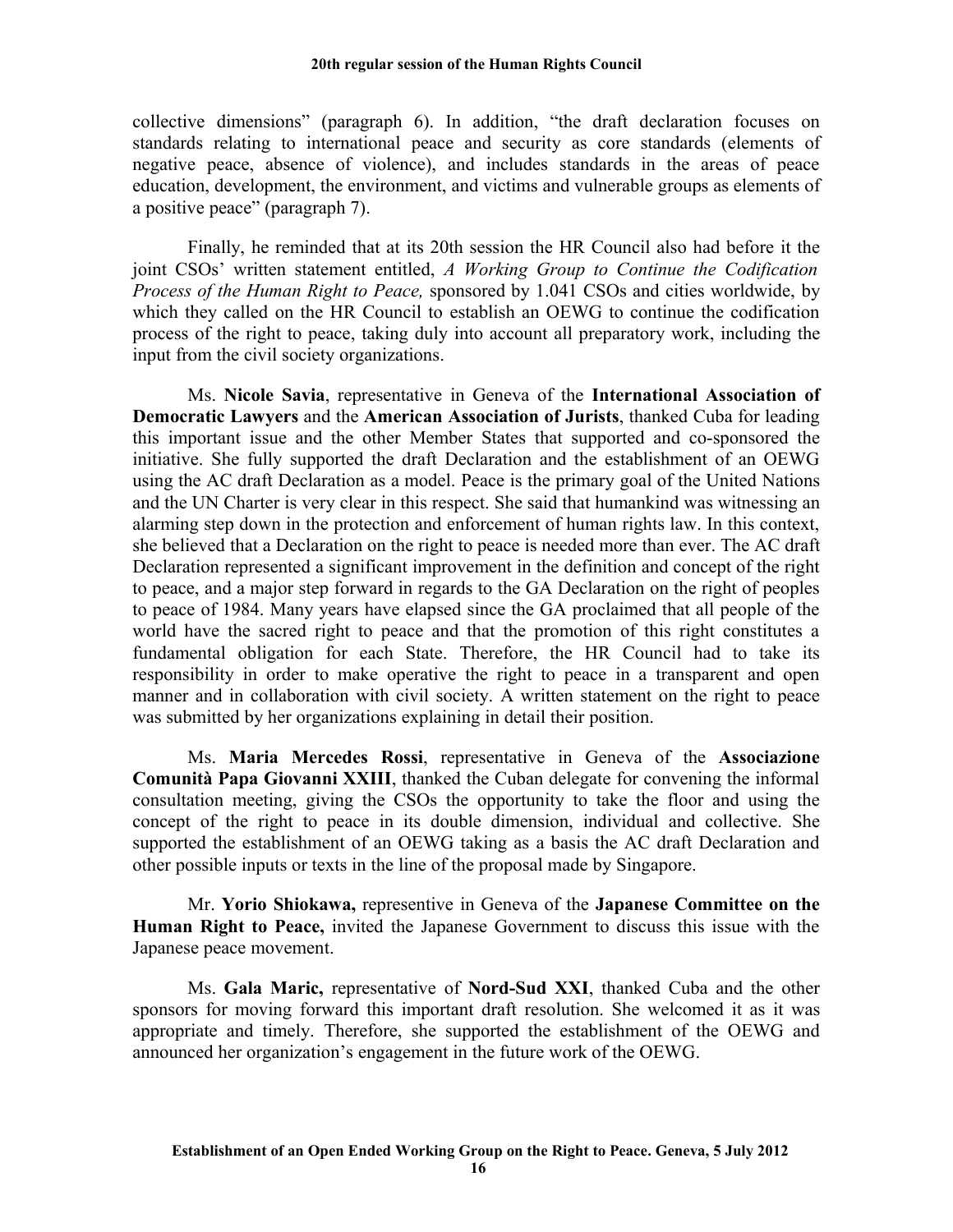collective dimensions" (paragraph 6). In addition, "the draft declaration focuses on standards relating to international peace and security as core standards (elements of negative peace, absence of violence), and includes standards in the areas of peace education, development, the environment, and victims and vulnerable groups as elements of a positive peace" (paragraph 7).

Finally, he reminded that at its 20th session the HR Council also had before it the joint CSOs' written statement entitled, *A Working Group to Continue the Codification Process of the Human Right to Peace,* sponsored by 1.041 CSOs and cities worldwide, by which they called on the HR Council to establish an OEWG to continue the codification process of the right to peace, taking duly into account all preparatory work, including the input from the civil society organizations.

Ms. **Nicole Savia**, representative in Geneva of the **International Association of Democratic Lawyers** and the **American Association of Jurists**, thanked Cuba for leading this important issue and the other Member States that supported and co-sponsored the initiative. She fully supported the draft Declaration and the establishment of an OEWG using the AC draft Declaration as a model. Peace is the primary goal of the United Nations and the UN Charter is very clear in this respect. She said that humankind was witnessing an alarming step down in the protection and enforcement of human rights law. In this context, she believed that a Declaration on the right to peace is needed more than ever. The AC draft Declaration represented a significant improvement in the definition and concept of the right to peace, and a major step forward in regards to the GA Declaration on the right of peoples to peace of 1984. Many years have elapsed since the GA proclaimed that all people of the world have the sacred right to peace and that the promotion of this right constitutes a fundamental obligation for each State. Therefore, the HR Council had to take its responsibility in order to make operative the right to peace in a transparent and open manner and in collaboration with civil society. A written statement on the right to peace was submitted by her organizations explaining in detail their position.

Ms. **Maria Mercedes Rossi**, representative in Geneva of the **Associazione Comunità Papa Giovanni XXIII**, thanked the Cuban delegate for convening the informal consultation meeting, giving the CSOs the opportunity to take the floor and using the concept of the right to peace in its double dimension, individual and collective. She supported the establishment of an OEWG taking as a basis the AC draft Declaration and other possible inputs or texts in the line of the proposal made by Singapore.

Mr. **Yorio Shiokawa,** representive in Geneva of the **Japanese Committee on the Human Right to Peace,** invited the Japanese Government to discuss this issue with the Japanese peace movement.

Ms. **Gala Maric,** representative of **Nord-Sud XXI**, thanked Cuba and the other sponsors for moving forward this important draft resolution. She welcomed it as it was appropriate and timely. Therefore, she supported the establishment of the OEWG and announced her organization's engagement in the future work of the OEWG.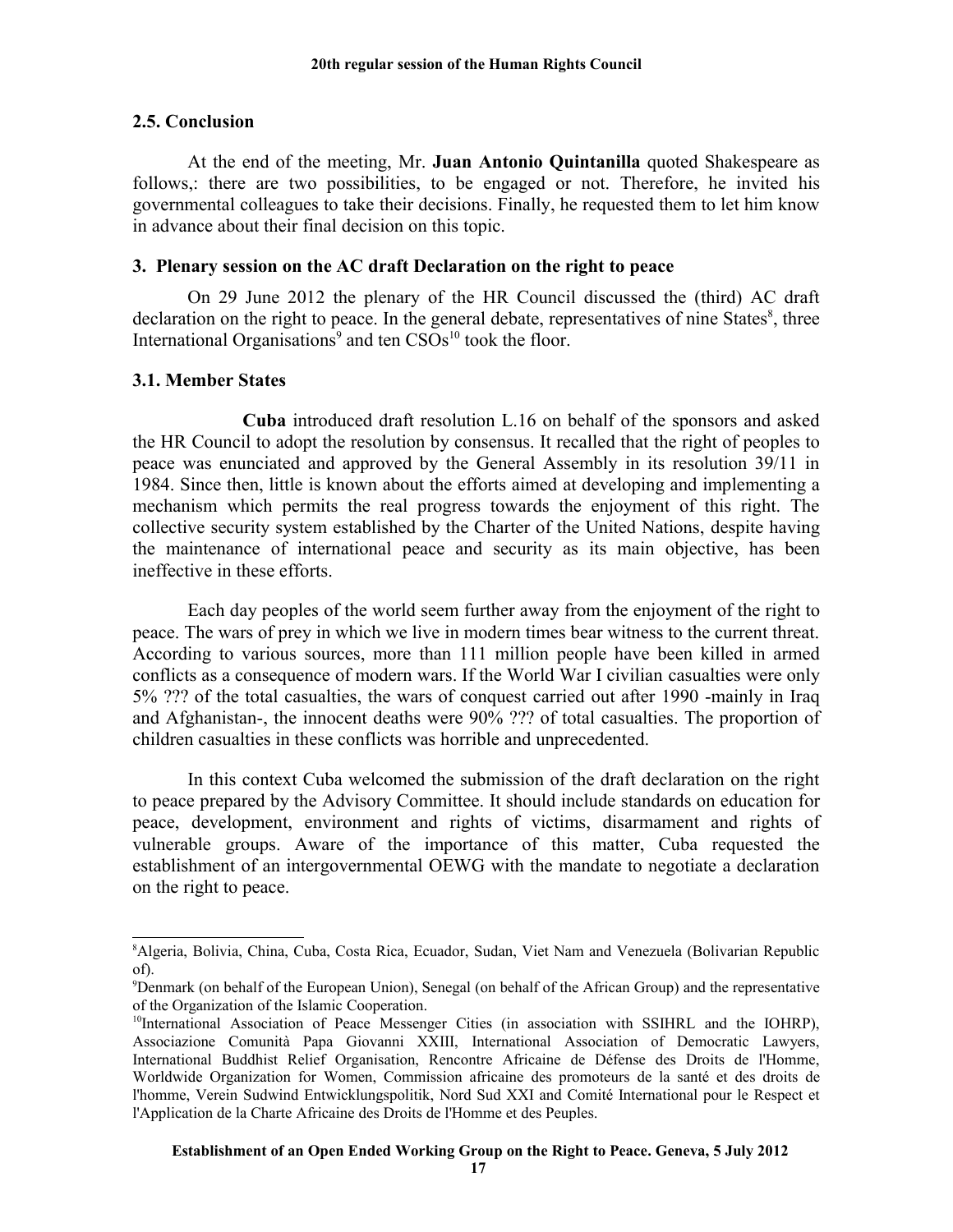### **2.5. Conclusion**

At the end of the meeting, Mr. **Juan Antonio Quintanilla** quoted Shakespeare as follows,: there are two possibilities, to be engaged or not. Therefore, he invited his governmental colleagues to take their decisions. Finally, he requested them to let him know in advance about their final decision on this topic.

### **3. Plenary session on the AC draft Declaration on the right to peace**

On 29 June 2012 the plenary of the HR Council discussed the (third) AC draft declaration on the right to peace. In the general debate, representatives of nine States $\delta$ , three International Organisations<sup>[9](#page-16-1)</sup> and ten  $CSOs<sup>10</sup>$  $CSOs<sup>10</sup>$  $CSOs<sup>10</sup>$  took the floor.

### **3.1. Member States**

**Cuba** introduced draft resolution L.16 on behalf of the sponsors and asked the HR Council to adopt the resolution by consensus. It recalled that the right of peoples to peace was enunciated and approved by the General Assembly in its resolution 39/11 in 1984. Since then, little is known about the efforts aimed at developing and implementing a mechanism which permits the real progress towards the enjoyment of this right. The collective security system established by the Charter of the United Nations, despite having the maintenance of international peace and security as its main objective, has been ineffective in these efforts.

Each day peoples of the world seem further away from the enjoyment of the right to peace. The wars of prey in which we live in modern times bear witness to the current threat. According to various sources, more than 111 million people have been killed in armed conflicts as a consequence of modern wars. If the World War I civilian casualties were only 5% ??? of the total casualties, the wars of conquest carried out after 1990 -mainly in Iraq and Afghanistan-, the innocent deaths were 90% ??? of total casualties. The proportion of children casualties in these conflicts was horrible and unprecedented.

In this context Cuba welcomed the submission of the draft declaration on the right to peace prepared by the Advisory Committee. It should include standards on education for peace, development, environment and rights of victims, disarmament and rights of vulnerable groups. Aware of the importance of this matter, Cuba requested the establishment of an intergovernmental OEWG with the mandate to negotiate a declaration on the right to peace.

<span id="page-16-0"></span><sup>8</sup>Algeria, Bolivia, China, Cuba, Costa Rica, Ecuador, Sudan, Viet Nam and Venezuela (Bolivarian Republic of).

<span id="page-16-1"></span><sup>9</sup>Denmark (on behalf of the European Union), Senegal (on behalf of the African Group) and the representative of the Organization of the Islamic Cooperation.

<span id="page-16-2"></span><sup>&</sup>lt;sup>10</sup>International Association of Peace Messenger Cities (in association with SSIHRL and the IOHRP), Associazione Comunità Papa Giovanni XXIII, International Association of Democratic Lawyers, International Buddhist Relief Organisation, Rencontre Africaine de Défense des Droits de l'Homme, Worldwide Organization for Women, Commission africaine des promoteurs de la santé et des droits de l'homme, Verein Sudwind Entwicklungspolitik, Nord Sud XXI and Comité International pour le Respect et l'Application de la Charte Africaine des Droits de l'Homme et des Peuples.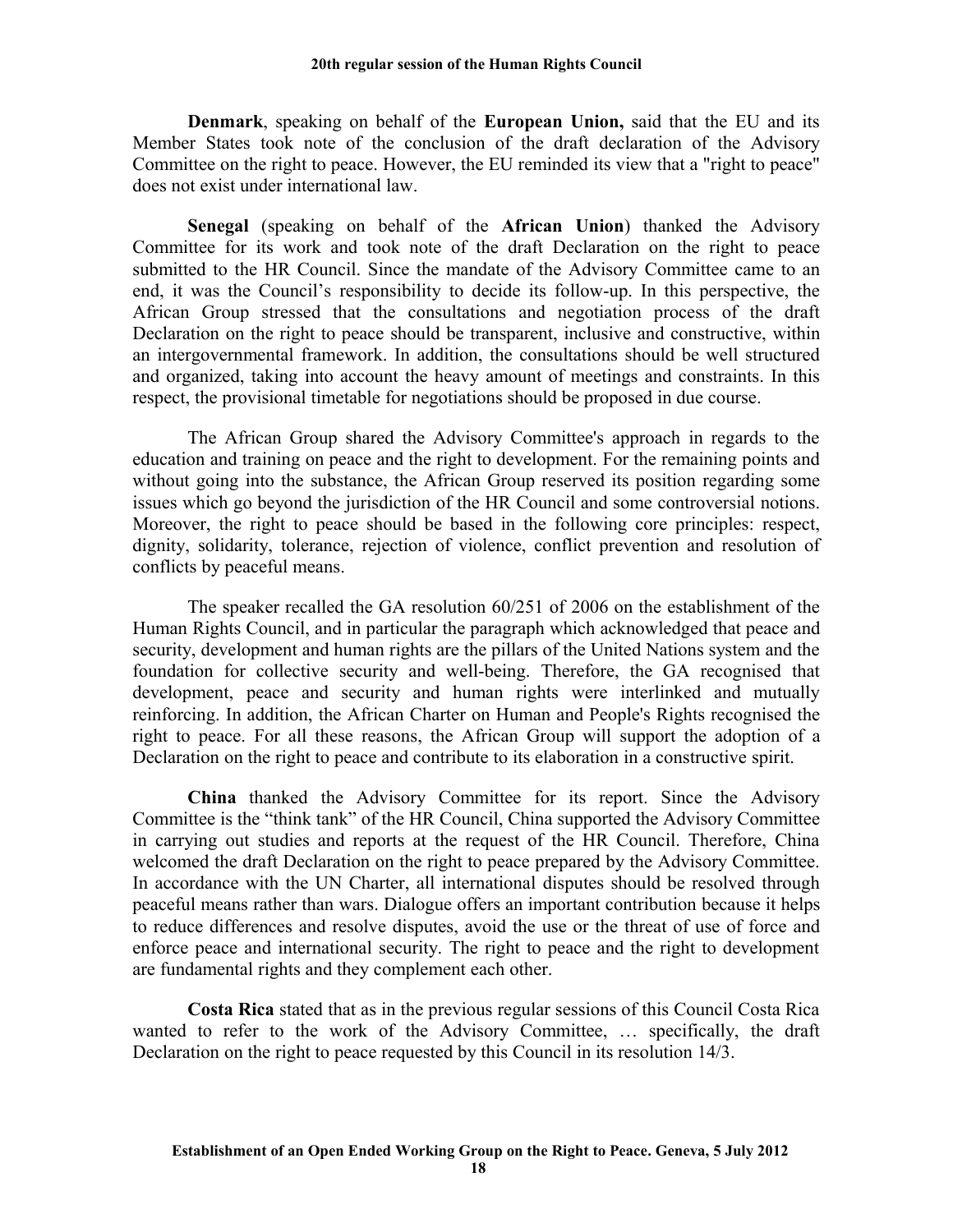**Denmark**, speaking on behalf of the **European Union,** said that the EU and its Member States took note of the conclusion of the draft declaration of the Advisory Committee on the right to peace. However, the EU reminded its view that a "right to peace" does not exist under international law.

**Senegal** (speaking on behalf of the **African Union**) thanked the Advisory Committee for its work and took note of the draft Declaration on the right to peace submitted to the HR Council. Since the mandate of the Advisory Committee came to an end, it was the Council's responsibility to decide its follow-up. In this perspective, the African Group stressed that the consultations and negotiation process of the draft Declaration on the right to peace should be transparent, inclusive and constructive, within an intergovernmental framework. In addition, the consultations should be well structured and organized, taking into account the heavy amount of meetings and constraints. In this respect, the provisional timetable for negotiations should be proposed in due course.

The African Group shared the Advisory Committee's approach in regards to the education and training on peace and the right to development. For the remaining points and without going into the substance, the African Group reserved its position regarding some issues which go beyond the jurisdiction of the HR Council and some controversial notions. Moreover, the right to peace should be based in the following core principles: respect, dignity, solidarity, tolerance, rejection of violence, conflict prevention and resolution of conflicts by peaceful means.

The speaker recalled the GA resolution 60/251 of 2006 on the establishment of the Human Rights Council, and in particular the paragraph which acknowledged that peace and security, development and human rights are the pillars of the United Nations system and the foundation for collective security and well-being. Therefore, the GA recognised that development, peace and security and human rights were interlinked and mutually reinforcing. In addition, the African Charter on Human and People's Rights recognised the right to peace. For all these reasons, the African Group will support the adoption of a Declaration on the right to peace and contribute to its elaboration in a constructive spirit.

**China** thanked the Advisory Committee for its report. Since the Advisory Committee is the "think tank" of the HR Council, China supported the Advisory Committee in carrying out studies and reports at the request of the HR Council. Therefore, China welcomed the draft Declaration on the right to peace prepared by the Advisory Committee. In accordance with the UN Charter, all international disputes should be resolved through peaceful means rather than wars. Dialogue offers an important contribution because it helps to reduce differences and resolve disputes, avoid the use or the threat of use of force and enforce peace and international security. The right to peace and the right to development are fundamental rights and they complement each other.

**Costa Rica** stated that as in the previous regular sessions of this Council Costa Rica wanted to refer to the work of the Advisory Committee, … specifically, the draft Declaration on the right to peace requested by this Council in its resolution 14/3.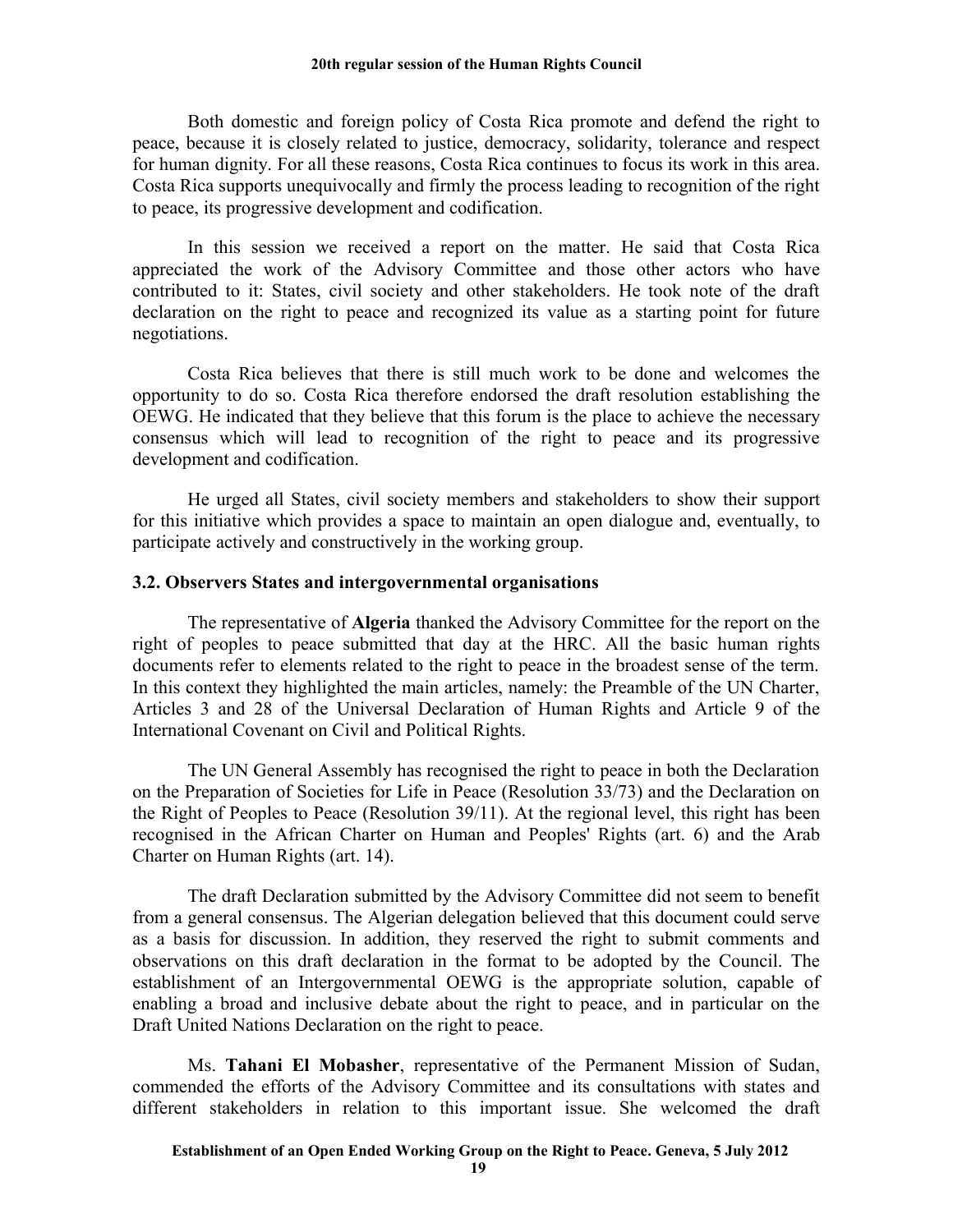Both domestic and foreign policy of Costa Rica promote and defend the right to peace, because it is closely related to justice, democracy, solidarity, tolerance and respect for human dignity. For all these reasons, Costa Rica continues to focus its work in this area. Costa Rica supports unequivocally and firmly the process leading to recognition of the right to peace, its progressive development and codification.

In this session we received a report on the matter. He said that Costa Rica appreciated the work of the Advisory Committee and those other actors who have contributed to it: States, civil society and other stakeholders. He took note of the draft declaration on the right to peace and recognized its value as a starting point for future negotiations.

Costa Rica believes that there is still much work to be done and welcomes the opportunity to do so. Costa Rica therefore endorsed the draft resolution establishing the OEWG. He indicated that they believe that this forum is the place to achieve the necessary consensus which will lead to recognition of the right to peace and its progressive development and codification.

He urged all States, civil society members and stakeholders to show their support for this initiative which provides a space to maintain an open dialogue and, eventually, to participate actively and constructively in the working group.

### **3.2. Observers States and intergovernmental organisations**

The representative of **Algeria** thanked the Advisory Committee for the report on the right of peoples to peace submitted that day at the HRC. All the basic human rights documents refer to elements related to the right to peace in the broadest sense of the term. In this context they highlighted the main articles, namely: the Preamble of the UN Charter, Articles 3 and 28 of the Universal Declaration of Human Rights and Article 9 of the International Covenant on Civil and Political Rights.

The UN General Assembly has recognised the right to peace in both the Declaration on the Preparation of Societies for Life in Peace (Resolution 33/73) and the Declaration on the Right of Peoples to Peace (Resolution 39/11). At the regional level, this right has been recognised in the African Charter on Human and Peoples' Rights (art. 6) and the Arab Charter on Human Rights (art. 14).

The draft Declaration submitted by the Advisory Committee did not seem to benefit from a general consensus. The Algerian delegation believed that this document could serve as a basis for discussion. In addition, they reserved the right to submit comments and observations on this draft declaration in the format to be adopted by the Council. The establishment of an Intergovernmental OEWG is the appropriate solution, capable of enabling a broad and inclusive debate about the right to peace, and in particular on the Draft United Nations Declaration on the right to peace.

Ms. **Tahani El Mobasher**, representative of the Permanent Mission of Sudan, commended the efforts of the Advisory Committee and its consultations with states and different stakeholders in relation to this important issue. She welcomed the draft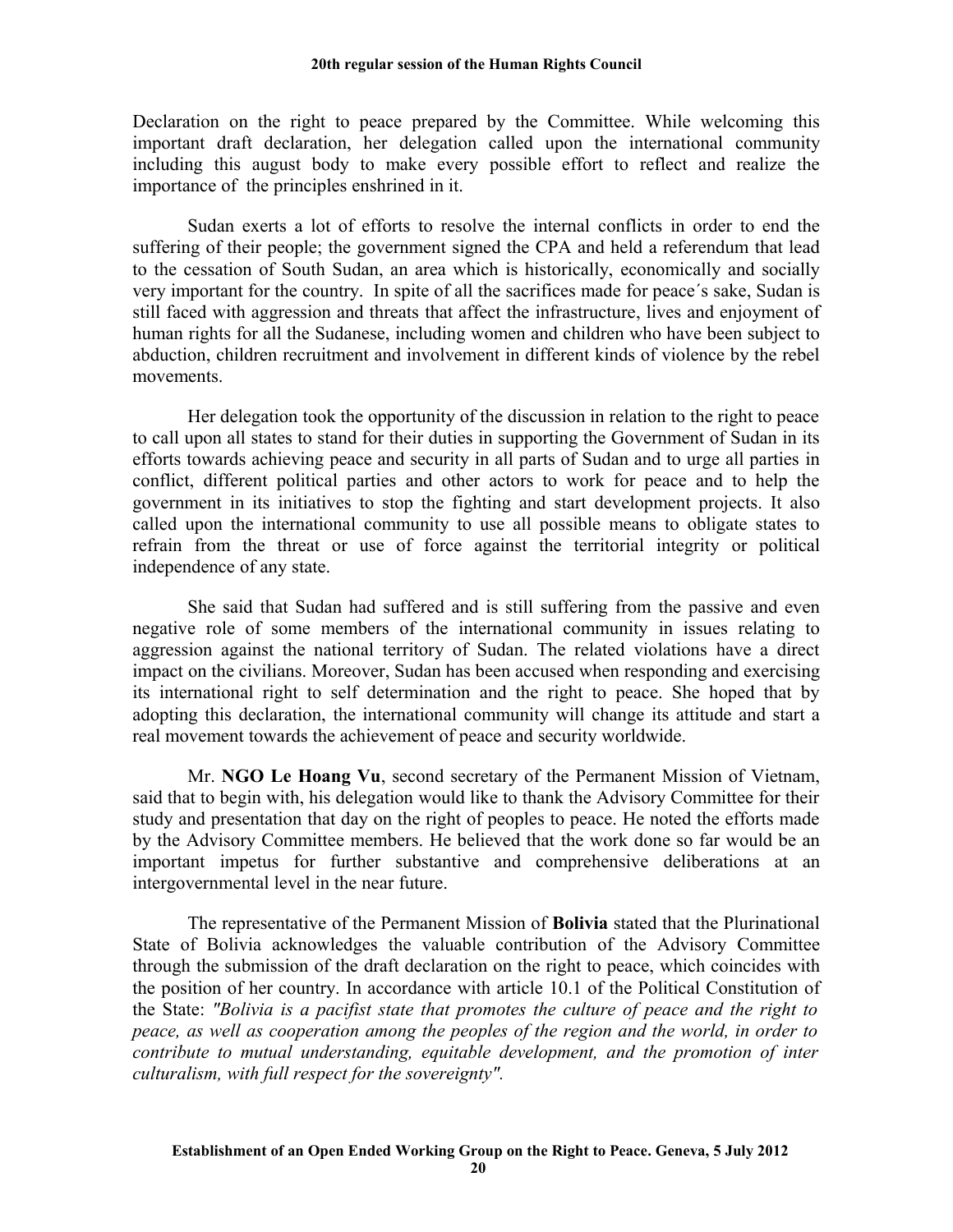Declaration on the right to peace prepared by the Committee. While welcoming this important draft declaration, her delegation called upon the international community including this august body to make every possible effort to reflect and realize the importance of the principles enshrined in it.

Sudan exerts a lot of efforts to resolve the internal conflicts in order to end the suffering of their people; the government signed the CPA and held a referendum that lead to the cessation of South Sudan, an area which is historically, economically and socially very important for the country. In spite of all the sacrifices made for peace´s sake, Sudan is still faced with aggression and threats that affect the infrastructure, lives and enjoyment of human rights for all the Sudanese, including women and children who have been subject to abduction, children recruitment and involvement in different kinds of violence by the rebel movements.

Her delegation took the opportunity of the discussion in relation to the right to peace to call upon all states to stand for their duties in supporting the Government of Sudan in its efforts towards achieving peace and security in all parts of Sudan and to urge all parties in conflict, different political parties and other actors to work for peace and to help the government in its initiatives to stop the fighting and start development projects. It also called upon the international community to use all possible means to obligate states to refrain from the threat or use of force against the territorial integrity or political independence of any state.

She said that Sudan had suffered and is still suffering from the passive and even negative role of some members of the international community in issues relating to aggression against the national territory of Sudan. The related violations have a direct impact on the civilians. Moreover, Sudan has been accused when responding and exercising its international right to self determination and the right to peace. She hoped that by adopting this declaration, the international community will change its attitude and start a real movement towards the achievement of peace and security worldwide.

Mr. **NGO Le Hoang Vu**, second secretary of the Permanent Mission of Vietnam, said that to begin with, his delegation would like to thank the Advisory Committee for their study and presentation that day on the right of peoples to peace. He noted the efforts made by the Advisory Committee members. He believed that the work done so far would be an important impetus for further substantive and comprehensive deliberations at an intergovernmental level in the near future.

The representative of the Permanent Mission of **Bolivia** stated that the Plurinational State of Bolivia acknowledges the valuable contribution of the Advisory Committee through the submission of the draft declaration on the right to peace, which coincides with the position of her country. In accordance with article 10.1 of the Political Constitution of the State: *"Bolivia is a pacifist state that promotes the culture of peace and the right to peace, as well as cooperation among the peoples of the region and the world, in order to contribute to mutual understanding, equitable development, and the promotion of inter culturalism, with full respect for the sovereignty".*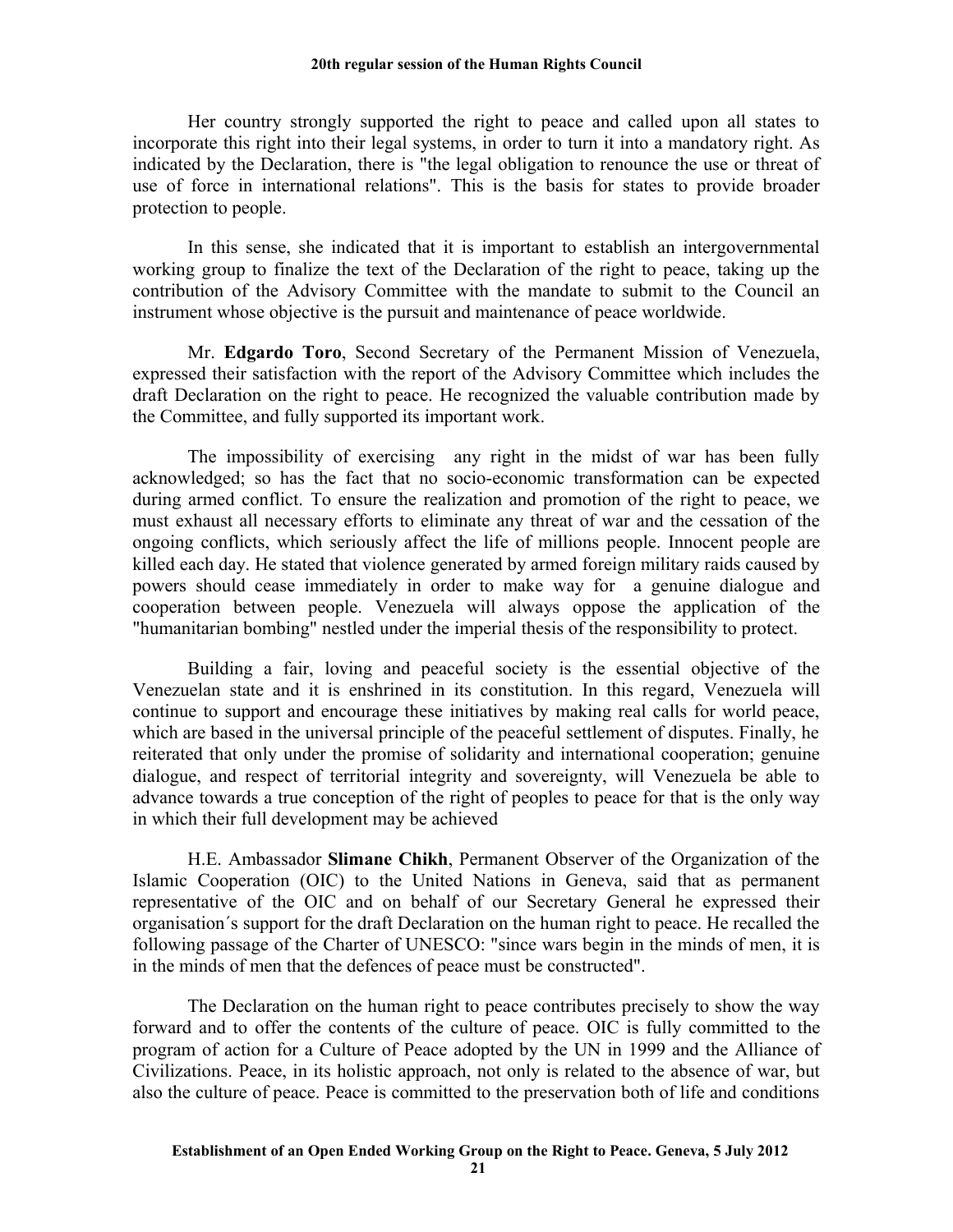Her country strongly supported the right to peace and called upon all states to incorporate this right into their legal systems, in order to turn it into a mandatory right. As indicated by the Declaration, there is "the legal obligation to renounce the use or threat of use of force in international relations". This is the basis for states to provide broader protection to people.

In this sense, she indicated that it is important to establish an intergovernmental working group to finalize the text of the Declaration of the right to peace, taking up the contribution of the Advisory Committee with the mandate to submit to the Council an instrument whose objective is the pursuit and maintenance of peace worldwide.

Mr. **Edgardo Toro**, Second Secretary of the Permanent Mission of Venezuela, expressed their satisfaction with the report of the Advisory Committee which includes the draft Declaration on the right to peace. He recognized the valuable contribution made by the Committee, and fully supported its important work.

The impossibility of exercising any right in the midst of war has been fully acknowledged; so has the fact that no socio-economic transformation can be expected during armed conflict. To ensure the realization and promotion of the right to peace, we must exhaust all necessary efforts to eliminate any threat of war and the cessation of the ongoing conflicts, which seriously affect the life of millions people. Innocent people are killed each day. He stated that violence generated by armed foreign military raids caused by powers should cease immediately in order to make way for a genuine dialogue and cooperation between people. Venezuela will always oppose the application of the "humanitarian bombing" nestled under the imperial thesis of the responsibility to protect.

Building a fair, loving and peaceful society is the essential objective of the Venezuelan state and it is enshrined in its constitution. In this regard, Venezuela will continue to support and encourage these initiatives by making real calls for world peace, which are based in the universal principle of the peaceful settlement of disputes. Finally, he reiterated that only under the promise of solidarity and international cooperation; genuine dialogue, and respect of territorial integrity and sovereignty, will Venezuela be able to advance towards a true conception of the right of peoples to peace for that is the only way in which their full development may be achieved

H.E. Ambassador **Slimane Chikh**, Permanent Observer of the Organization of the Islamic Cooperation (OIC) to the United Nations in Geneva, said that as permanent representative of the OIC and on behalf of our Secretary General he expressed their organisation´s support for the draft Declaration on the human right to peace. He recalled the following passage of the Charter of UNESCO: "since wars begin in the minds of men, it is in the minds of men that the defences of peace must be constructed".

The Declaration on the human right to peace contributes precisely to show the way forward and to offer the contents of the culture of peace. OIC is fully committed to the program of action for a Culture of Peace adopted by the UN in 1999 and the Alliance of Civilizations. Peace, in its holistic approach, not only is related to the absence of war, but also the culture of peace. Peace is committed to the preservation both of life and conditions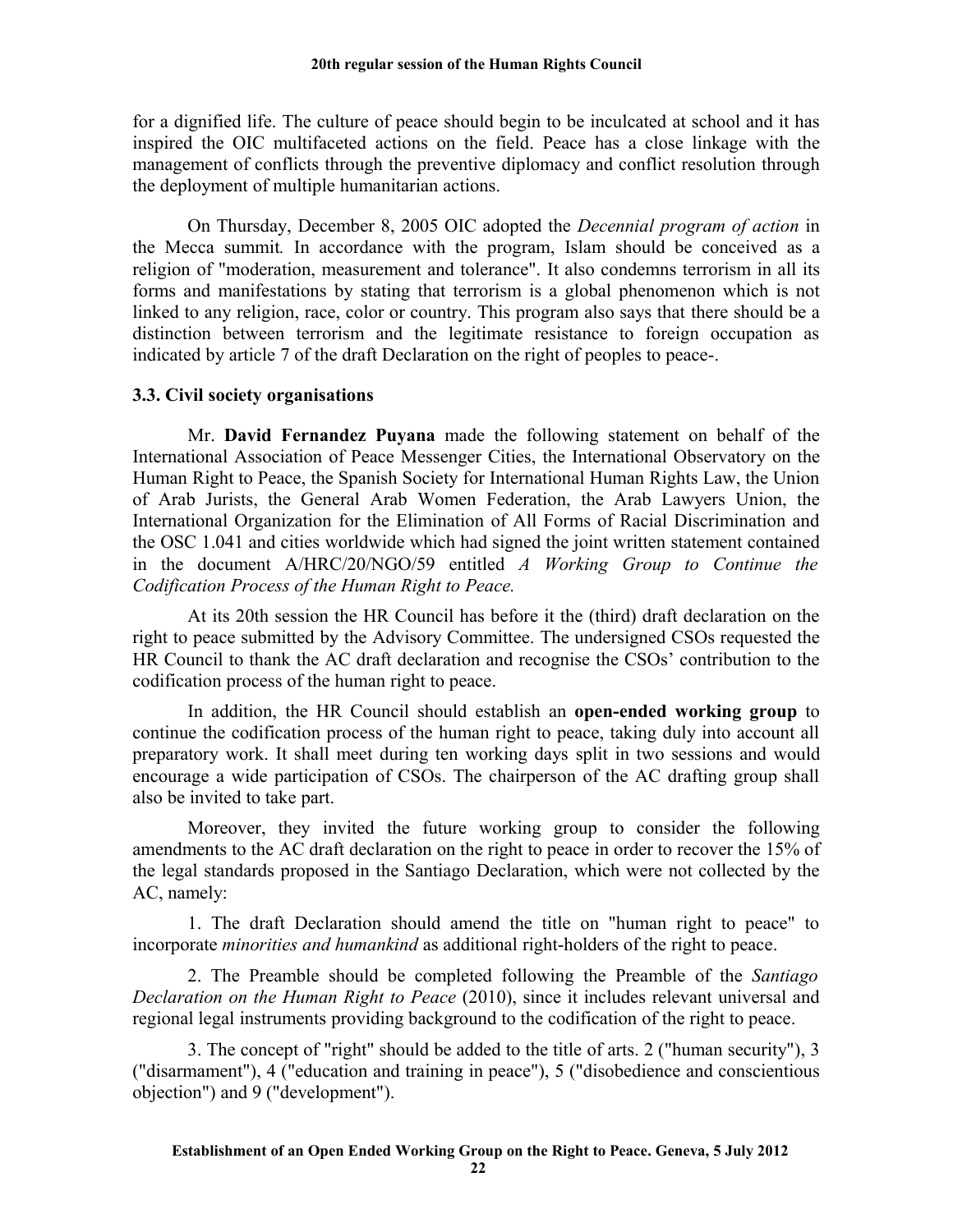for a dignified life. The culture of peace should begin to be inculcated at school and it has inspired the OIC multifaceted actions on the field. Peace has a close linkage with the management of conflicts through the preventive diplomacy and conflict resolution through the deployment of multiple humanitarian actions.

On Thursday, December 8, 2005 OIC adopted the *Decennial program of action* in the Mecca summit*.* In accordance with the program, Islam should be conceived as a religion of "moderation, measurement and tolerance". It also condemns terrorism in all its forms and manifestations by stating that terrorism is a global phenomenon which is not linked to any religion, race, color or country. This program also says that there should be a distinction between terrorism and the legitimate resistance to foreign occupation as indicated by article 7 of the draft Declaration on the right of peoples to peace-.

### **3.3. Civil society organisations**

Mr. **David Fernandez Puyana** made the following statement on behalf of the International Association of Peace Messenger Cities, the International Observatory on the Human Right to Peace, the Spanish Society for International Human Rights Law, the Union of Arab Jurists, the General Arab Women Federation, the Arab Lawyers Union, the International Organization for the Elimination of All Forms of Racial Discrimination and the OSC 1.041 and cities worldwide which had signed the joint written statement contained in the document A/HRC/20/NGO/59 entitled *A Working Group to Continue the Codification Process of the Human Right to Peace.* 

At its 20th session the HR Council has before it the (third) draft declaration on the right to peace submitted by the Advisory Committee. The undersigned CSOs requested the HR Council to thank the AC draft declaration and recognise the CSOs' contribution to the codification process of the human right to peace.

In addition, the HR Council should establish an **open-ended working group** to continue the codification process of the human right to peace, taking duly into account all preparatory work. It shall meet during ten working days split in two sessions and would encourage a wide participation of CSOs. The chairperson of the AC drafting group shall also be invited to take part.

Moreover, they invited the future working group to consider the following amendments to the AC draft declaration on the right to peace in order to recover the 15% of the legal standards proposed in the Santiago Declaration, which were not collected by the AC, namely:

1. The draft Declaration should amend the title on "human right to peace" to incorporate *minorities and humankind* as additional right-holders of the right to peace.

2. The Preamble should be completed following the Preamble of the *Santiago Declaration on the Human Right to Peace* (2010), since it includes relevant universal and regional legal instruments providing background to the codification of the right to peace.

3. The concept of "right" should be added to the title of arts. 2 ("human security"), 3 ("disarmament"), 4 ("education and training in peace"), 5 ("disobedience and conscientious objection") and 9 ("development").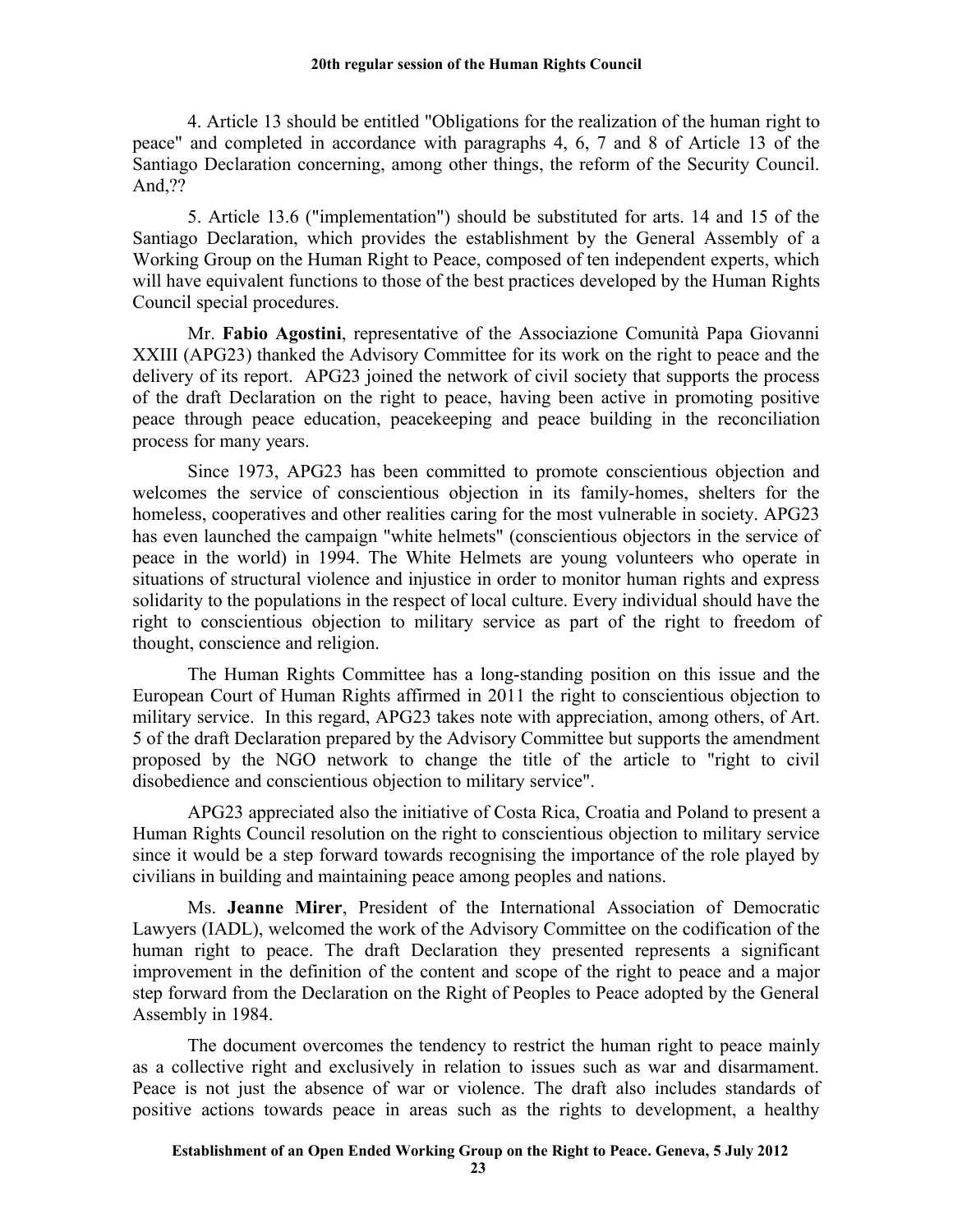4. Article 13 should be entitled "Obligations for the realization of the human right to peace" and completed in accordance with paragraphs 4, 6, 7 and 8 of Article 13 of the Santiago Declaration concerning, among other things, the reform of the Security Council. And,??

5. Article 13.6 ("implementation") should be substituted for arts. 14 and 15 of the Santiago Declaration, which provides the establishment by the General Assembly of a Working Group on the Human Right to Peace, composed of ten independent experts, which will have equivalent functions to those of the best practices developed by the Human Rights Council special procedures.

Mr. **Fabio Agostini**, representative of the Associazione Comunità Papa Giovanni XXIII (APG23) thanked the Advisory Committee for its work on the right to peace and the delivery of its report. APG23 joined the network of civil society that supports the process of the draft Declaration on the right to peace, having been active in promoting positive peace through peace education, peacekeeping and peace building in the reconciliation process for many years.

Since 1973, APG23 has been committed to promote conscientious objection and welcomes the service of conscientious objection in its family-homes, shelters for the homeless, cooperatives and other realities caring for the most vulnerable in society. APG23 has even launched the campaign "white helmets" (conscientious objectors in the service of peace in the world) in 1994. The White Helmets are young volunteers who operate in situations of structural violence and injustice in order to monitor human rights and express solidarity to the populations in the respect of local culture. Every individual should have the right to conscientious objection to military service as part of the right to freedom of thought, conscience and religion.

The Human Rights Committee has a long-standing position on this issue and the European Court of Human Rights affirmed in 2011 the right to conscientious objection to military service. In this regard, APG23 takes note with appreciation, among others, of Art. 5 of the draft Declaration prepared by the Advisory Committee but supports the amendment proposed by the NGO network to change the title of the article to "right to civil disobedience and conscientious objection to military service".

APG23 appreciated also the initiative of Costa Rica, Croatia and Poland to present a Human Rights Council resolution on the right to conscientious objection to military service since it would be a step forward towards recognising the importance of the role played by civilians in building and maintaining peace among peoples and nations.

Ms. **Jeanne Mirer**, President of the International Association of Democratic Lawyers (IADL), welcomed the work of the Advisory Committee on the codification of the human right to peace. The draft Declaration they presented represents a significant improvement in the definition of the content and scope of the right to peace and a major step forward from the Declaration on the Right of Peoples to Peace adopted by the General Assembly in 1984.

The document overcomes the tendency to restrict the human right to peace mainly as a collective right and exclusively in relation to issues such as war and disarmament. Peace is not just the absence of war or violence. The draft also includes standards of positive actions towards peace in areas such as the rights to development, a healthy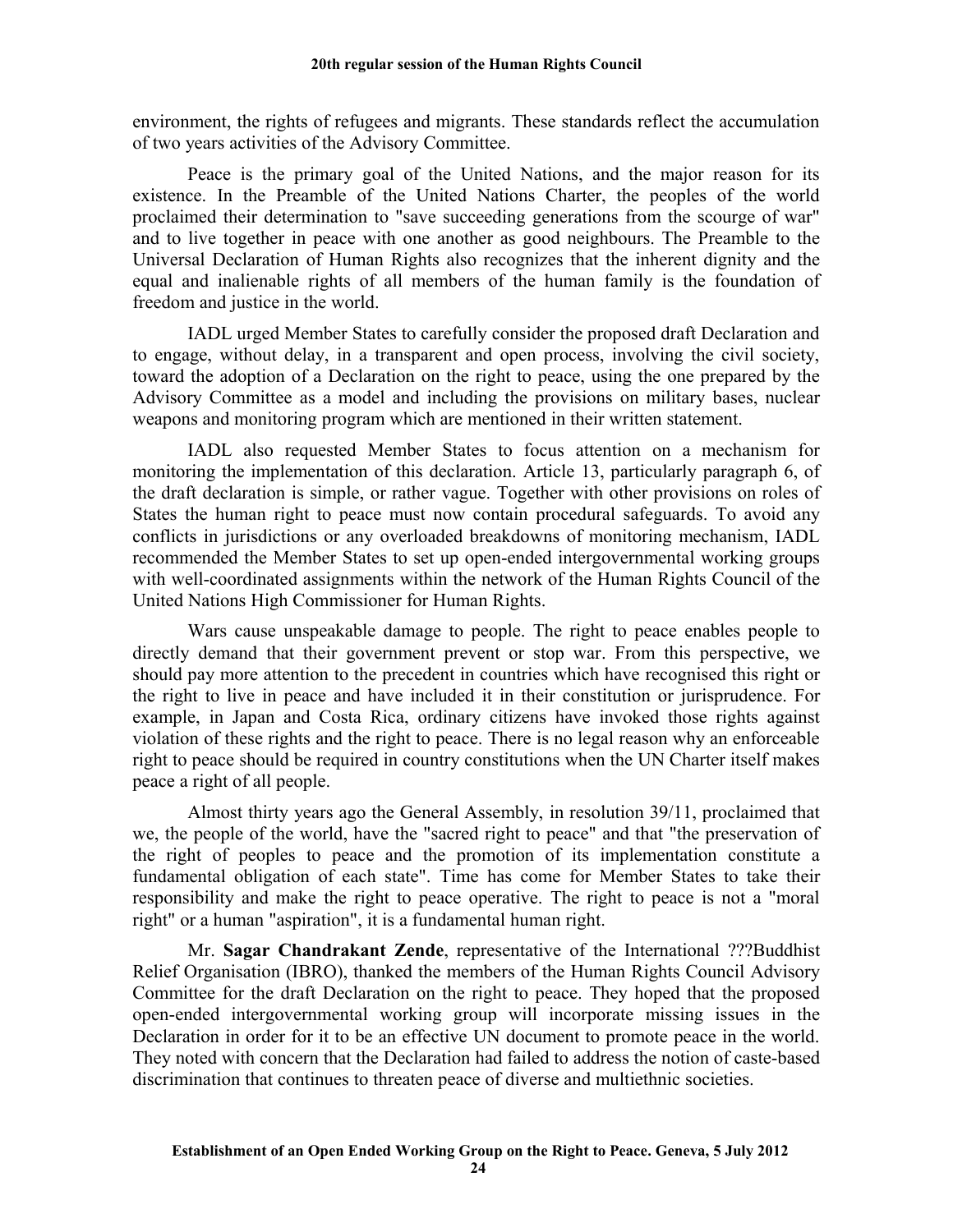environment, the rights of refugees and migrants. These standards reflect the accumulation of two years activities of the Advisory Committee.

Peace is the primary goal of the United Nations, and the major reason for its existence. In the Preamble of the United Nations Charter, the peoples of the world proclaimed their determination to "save succeeding generations from the scourge of war" and to live together in peace with one another as good neighbours. The Preamble to the Universal Declaration of Human Rights also recognizes that the inherent dignity and the equal and inalienable rights of all members of the human family is the foundation of freedom and justice in the world.

IADL urged Member States to carefully consider the proposed draft Declaration and to engage, without delay, in a transparent and open process, involving the civil society, toward the adoption of a Declaration on the right to peace, using the one prepared by the Advisory Committee as a model and including the provisions on military bases, nuclear weapons and monitoring program which are mentioned in their written statement.

IADL also requested Member States to focus attention on a mechanism for monitoring the implementation of this declaration. Article 13, particularly paragraph 6, of the draft declaration is simple, or rather vague. Together with other provisions on roles of States the human right to peace must now contain procedural safeguards. To avoid any conflicts in jurisdictions or any overloaded breakdowns of monitoring mechanism, IADL recommended the Member States to set up open-ended intergovernmental working groups with well-coordinated assignments within the network of the Human Rights Council of the United Nations High Commissioner for Human Rights.

Wars cause unspeakable damage to people. The right to peace enables people to directly demand that their government prevent or stop war. From this perspective, we should pay more attention to the precedent in countries which have recognised this right or the right to live in peace and have included it in their constitution or jurisprudence. For example, in Japan and Costa Rica, ordinary citizens have invoked those rights against violation of these rights and the right to peace. There is no legal reason why an enforceable right to peace should be required in country constitutions when the UN Charter itself makes peace a right of all people.

Almost thirty years ago the General Assembly, in resolution 39/11, proclaimed that we, the people of the world, have the "sacred right to peace" and that "the preservation of the right of peoples to peace and the promotion of its implementation constitute a fundamental obligation of each state". Time has come for Member States to take their responsibility and make the right to peace operative. The right to peace is not a "moral right" or a human "aspiration", it is a fundamental human right.

Mr. **Sagar Chandrakant Zende**, representative of the International ???Buddhist Relief Organisation (IBRO), thanked the members of the Human Rights Council Advisory Committee for the draft Declaration on the right to peace. They hoped that the proposed open-ended intergovernmental working group will incorporate missing issues in the Declaration in order for it to be an effective UN document to promote peace in the world. They noted with concern that the Declaration had failed to address the notion of caste-based discrimination that continues to threaten peace of diverse and multiethnic societies.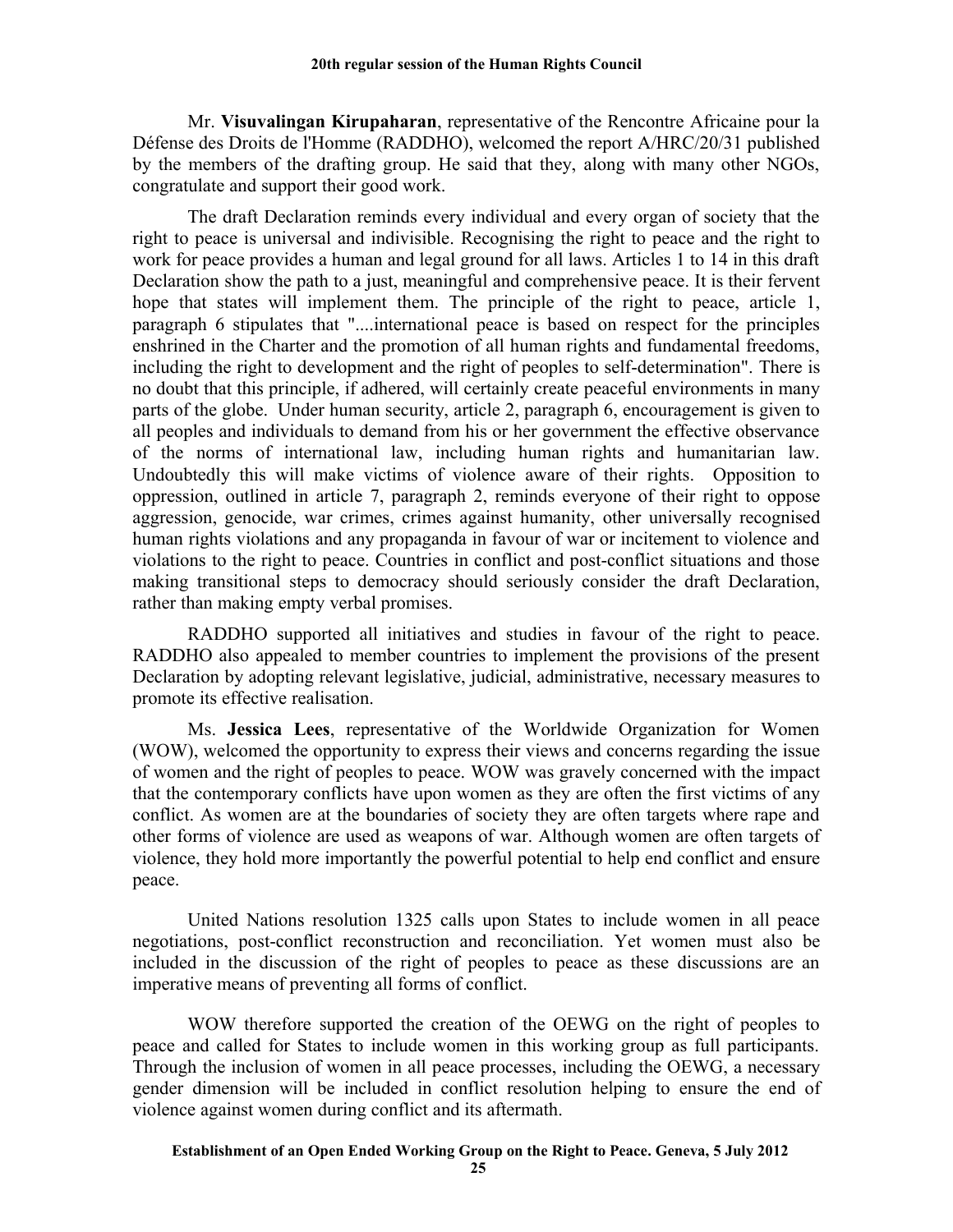Mr. **Visuvalingan Kirupaharan**, representative of the Rencontre Africaine pour la Défense des Droits de l'Homme (RADDHO), welcomed the report A/HRC/20/31 published by the members of the drafting group. He said that they, along with many other NGOs, congratulate and support their good work.

The draft Declaration reminds every individual and every organ of society that the right to peace is universal and indivisible. Recognising the right to peace and the right to work for peace provides a human and legal ground for all laws. Articles 1 to 14 in this draft Declaration show the path to a just, meaningful and comprehensive peace. It is their fervent hope that states will implement them. The principle of the right to peace, article 1, paragraph 6 stipulates that "....international peace is based on respect for the principles enshrined in the Charter and the promotion of all human rights and fundamental freedoms, including the right to development and the right of peoples to self-determination". There is no doubt that this principle, if adhered, will certainly create peaceful environments in many parts of the globe. Under human security, article 2, paragraph 6, encouragement is given to all peoples and individuals to demand from his or her government the effective observance of the norms of international law, including human rights and humanitarian law. Undoubtedly this will make victims of violence aware of their rights. Opposition to oppression, outlined in article 7, paragraph 2, reminds everyone of their right to oppose aggression, genocide, war crimes, crimes against humanity, other universally recognised human rights violations and any propaganda in favour of war or incitement to violence and violations to the right to peace. Countries in conflict and post-conflict situations and those making transitional steps to democracy should seriously consider the draft Declaration, rather than making empty verbal promises.

RADDHO supported all initiatives and studies in favour of the right to peace. RADDHO also appealed to member countries to implement the provisions of the present Declaration by adopting relevant legislative, judicial, administrative, necessary measures to promote its effective realisation.

Ms. **Jessica Lees**, representative of the Worldwide Organization for Women (WOW), welcomed the opportunity to express their views and concerns regarding the issue of women and the right of peoples to peace. WOW was gravely concerned with the impact that the contemporary conflicts have upon women as they are often the first victims of any conflict. As women are at the boundaries of society they are often targets where rape and other forms of violence are used as weapons of war. Although women are often targets of violence, they hold more importantly the powerful potential to help end conflict and ensure peace.

United Nations resolution 1325 calls upon States to include women in all peace negotiations, post-conflict reconstruction and reconciliation. Yet women must also be included in the discussion of the right of peoples to peace as these discussions are an imperative means of preventing all forms of conflict.

WOW therefore supported the creation of the OEWG on the right of peoples to peace and called for States to include women in this working group as full participants. Through the inclusion of women in all peace processes, including the OEWG, a necessary gender dimension will be included in conflict resolution helping to ensure the end of violence against women during conflict and its aftermath.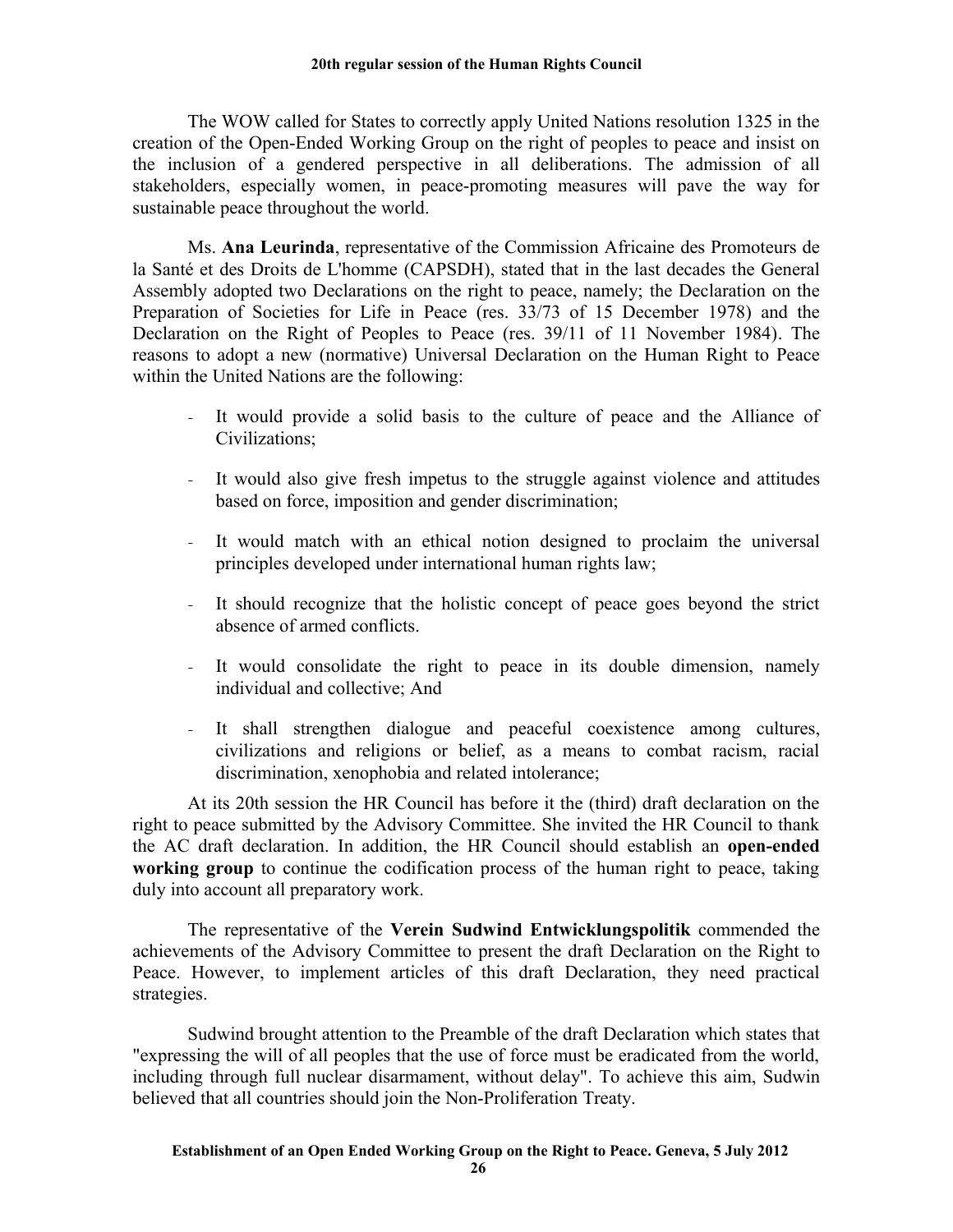The WOW called for States to correctly apply United Nations resolution 1325 in the creation of the Open-Ended Working Group on the right of peoples to peace and insist on the inclusion of a gendered perspective in all deliberations. The admission of all stakeholders, especially women, in peace-promoting measures will pave the way for sustainable peace throughout the world.

Ms. **Ana Leurinda**, representative of the Commission Africaine des Promoteurs de la Santé et des Droits de L'homme (CAPSDH), stated that in the last decades the General Assembly adopted two Declarations on the right to peace, namely; the Declaration on the Preparation of Societies for Life in Peace (res. 33/73 of 15 December 1978) and the Declaration on the Right of Peoples to Peace (res. 39/11 of 11 November 1984). The reasons to adopt a new (normative) Universal Declaration on the Human Right to Peace within the United Nations are the following:

- It would provide a solid basis to the culture of peace and the Alliance of Civilizations;
- It would also give fresh impetus to the struggle against violence and attitudes based on force, imposition and gender discrimination;
- It would match with an ethical notion designed to proclaim the universal principles developed under international human rights law;
- It should recognize that the holistic concept of peace goes beyond the strict absence of armed conflicts.
- It would consolidate the right to peace in its double dimension, namely individual and collective; And
- It shall strengthen dialogue and peaceful coexistence among cultures, civilizations and religions or belief, as a means to combat racism, racial discrimination, xenophobia and related intolerance;

At its 20th session the HR Council has before it the (third) draft declaration on the right to peace submitted by the Advisory Committee. She invited the HR Council to thank the AC draft declaration. In addition, the HR Council should establish an **open-ended working group** to continue the codification process of the human right to peace, taking duly into account all preparatory work.

The representative of the **Verein Sudwind Entwicklungspolitik** commended the achievements of the Advisory Committee to present the draft Declaration on the Right to Peace. However, to implement articles of this draft Declaration, they need practical strategies.

Sudwind brought attention to the Preamble of the draft Declaration which states that "expressing the will of all peoples that the use of force must be eradicated from the world, including through full nuclear disarmament, without delay". To achieve this aim, Sudwin believed that all countries should join the Non-Proliferation Treaty.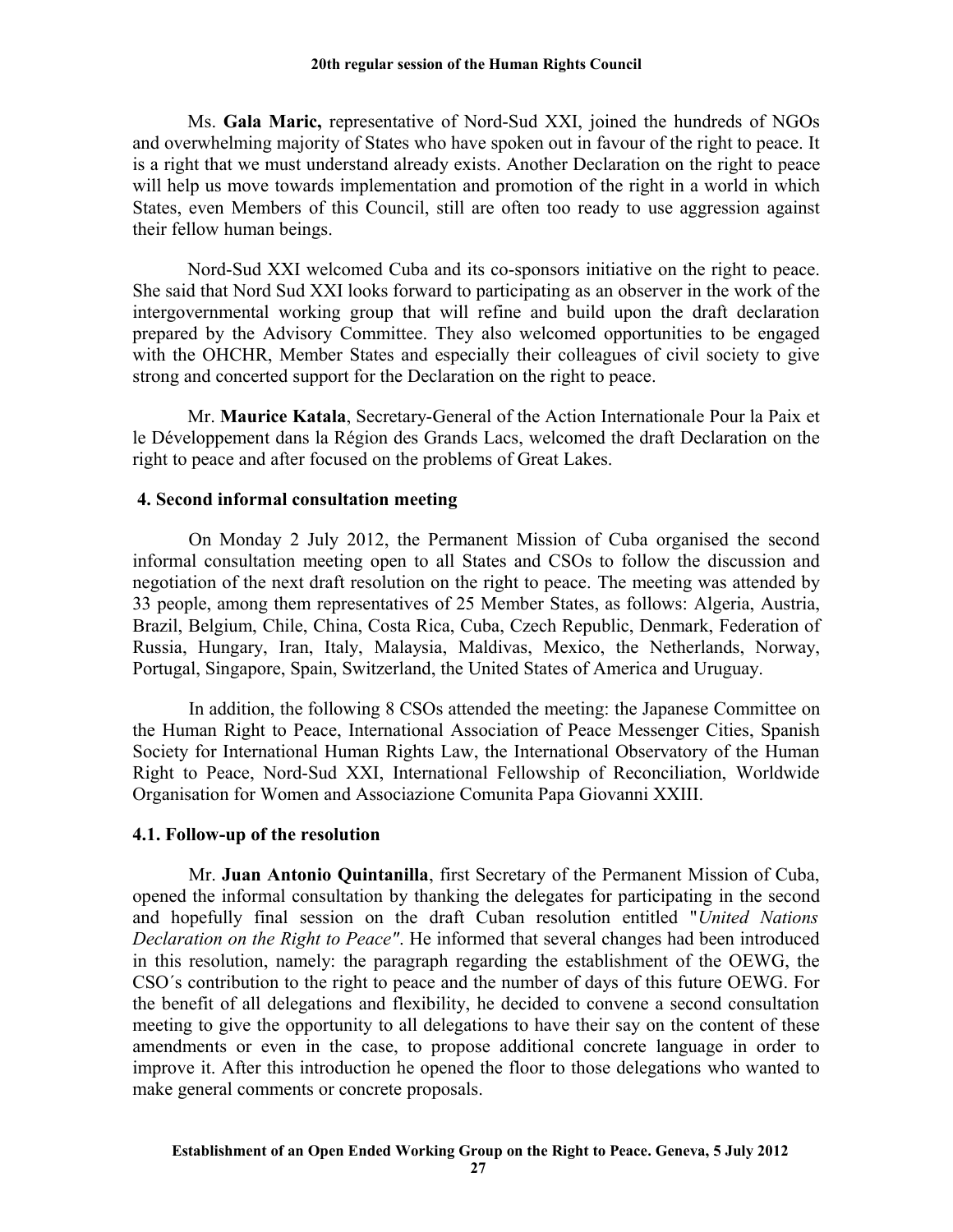Ms. **Gala Maric,** representative of Nord-Sud XXI, joined the hundreds of NGOs and overwhelming majority of States who have spoken out in favour of the right to peace. It is a right that we must understand already exists. Another Declaration on the right to peace will help us move towards implementation and promotion of the right in a world in which States, even Members of this Council, still are often too ready to use aggression against their fellow human beings.

Nord-Sud XXI welcomed Cuba and its co-sponsors initiative on the right to peace. She said that Nord Sud XXI looks forward to participating as an observer in the work of the intergovernmental working group that will refine and build upon the draft declaration prepared by the Advisory Committee. They also welcomed opportunities to be engaged with the OHCHR, Member States and especially their colleagues of civil society to give strong and concerted support for the Declaration on the right to peace.

Mr. **Maurice Katala**, Secretary-General of the Action Internationale Pour la Paix et le Développement dans la Région des Grands Lacs, welcomed the draft Declaration on the right to peace and after focused on the problems of Great Lakes.

### **4. Second informal consultation meeting**

On Monday 2 July 2012, the Permanent Mission of Cuba organised the second informal consultation meeting open to all States and CSOs to follow the discussion and negotiation of the next draft resolution on the right to peace. The meeting was attended by 33 people, among them representatives of 25 Member States, as follows: Algeria, Austria, Brazil, Belgium, Chile, China, Costa Rica, Cuba, Czech Republic, Denmark, Federation of Russia, Hungary, Iran, Italy, Malaysia, Maldivas, Mexico, the Netherlands, Norway, Portugal, Singapore, Spain, Switzerland, the United States of America and Uruguay.

In addition, the following 8 CSOs attended the meeting: the Japanese Committee on the Human Right to Peace, International Association of Peace Messenger Cities, Spanish Society for International Human Rights Law, the International Observatory of the Human Right to Peace, Nord-Sud XXI, International Fellowship of Reconciliation, Worldwide Organisation for Women and Associazione Comunita Papa Giovanni XXIII.

### **4.1. Follow-up of the resolution**

Mr. **Juan Antonio Quintanilla**, first Secretary of the Permanent Mission of Cuba, opened the informal consultation by thanking the delegates for participating in the second and hopefully final session on the draft Cuban resolution entitled "*United Nations Declaration on the Right to Peace"*. He informed that several changes had been introduced in this resolution, namely: the paragraph regarding the establishment of the OEWG, the CSO´s contribution to the right to peace and the number of days of this future OEWG. For the benefit of all delegations and flexibility, he decided to convene a second consultation meeting to give the opportunity to all delegations to have their say on the content of these amendments or even in the case, to propose additional concrete language in order to improve it. After this introduction he opened the floor to those delegations who wanted to make general comments or concrete proposals.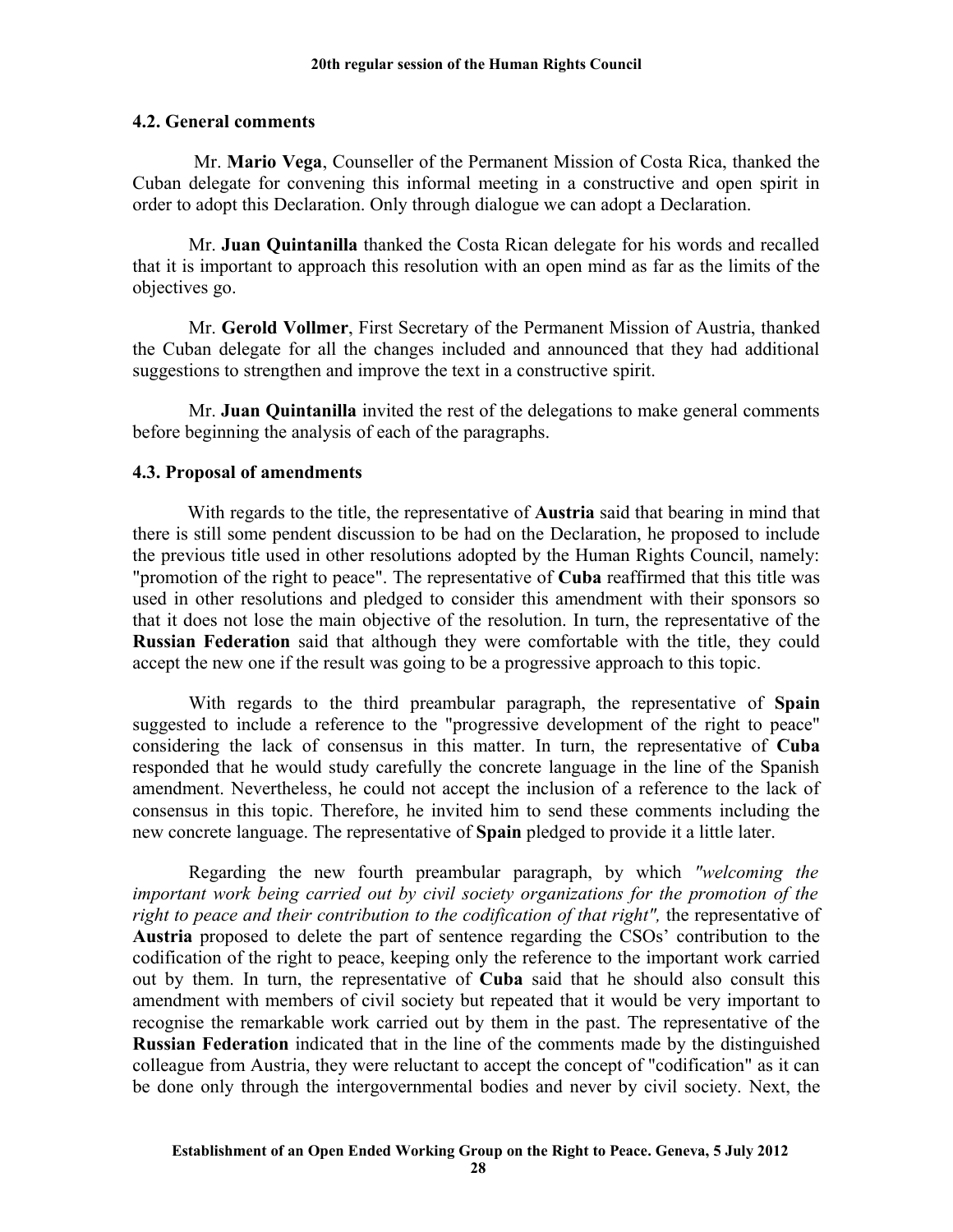### **4.2. General comments**

 Mr. **Mario Vega**, Counseller of the Permanent Mission of Costa Rica, thanked the Cuban delegate for convening this informal meeting in a constructive and open spirit in order to adopt this Declaration. Only through dialogue we can adopt a Declaration.

Mr. **Juan Quintanilla** thanked the Costa Rican delegate for his words and recalled that it is important to approach this resolution with an open mind as far as the limits of the objectives go.

Mr. **Gerold Vollmer**, First Secretary of the Permanent Mission of Austria, thanked the Cuban delegate for all the changes included and announced that they had additional suggestions to strengthen and improve the text in a constructive spirit.

Mr. **Juan Quintanilla** invited the rest of the delegations to make general comments before beginning the analysis of each of the paragraphs.

### **4.3. Proposal of amendments**

With regards to the title, the representative of **Austria** said that bearing in mind that there is still some pendent discussion to be had on the Declaration, he proposed to include the previous title used in other resolutions adopted by the Human Rights Council, namely: "promotion of the right to peace". The representative of **Cuba** reaffirmed that this title was used in other resolutions and pledged to consider this amendment with their sponsors so that it does not lose the main objective of the resolution. In turn, the representative of the **Russian Federation** said that although they were comfortable with the title, they could accept the new one if the result was going to be a progressive approach to this topic.

With regards to the third preambular paragraph, the representative of **Spain** suggested to include a reference to the "progressive development of the right to peace" considering the lack of consensus in this matter. In turn, the representative of **Cuba** responded that he would study carefully the concrete language in the line of the Spanish amendment. Nevertheless, he could not accept the inclusion of a reference to the lack of consensus in this topic. Therefore, he invited him to send these comments including the new concrete language. The representative of **Spain** pledged to provide it a little later.

Regarding the new fourth preambular paragraph, by which *"welcoming the important work being carried out by civil society organizations for the promotion of the* right to peace and their contribution to the codification of that right", the representative of **Austria** proposed to delete the part of sentence regarding the CSOs' contribution to the codification of the right to peace, keeping only the reference to the important work carried out by them. In turn, the representative of **Cuba** said that he should also consult this amendment with members of civil society but repeated that it would be very important to recognise the remarkable work carried out by them in the past. The representative of the **Russian Federation** indicated that in the line of the comments made by the distinguished colleague from Austria, they were reluctant to accept the concept of "codification" as it can be done only through the intergovernmental bodies and never by civil society. Next, the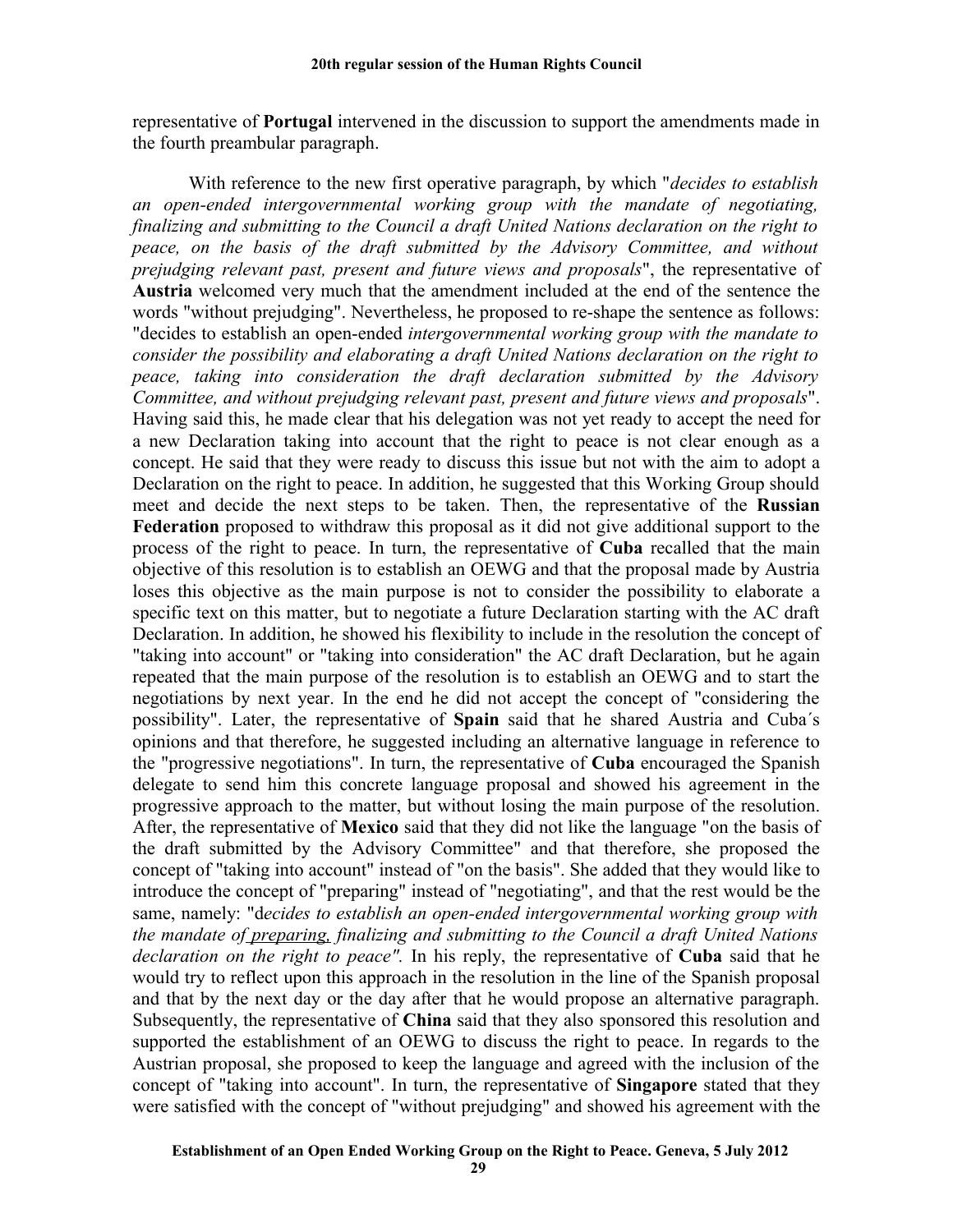representative of **Portugal** intervened in the discussion to support the amendments made in the fourth preambular paragraph.

With reference to the new first operative paragraph, by which "*decides to establish an open-ended intergovernmental working group with the mandate of negotiating, finalizing and submitting to the Council a draft United Nations declaration on the right to peace, on the basis of the draft submitted by the Advisory Committee, and without prejudging relevant past, present and future views and proposals*", the representative of **Austria** welcomed very much that the amendment included at the end of the sentence the words "without prejudging". Nevertheless, he proposed to re-shape the sentence as follows: "decides to establish an open-ended *intergovernmental working group with the mandate to consider the possibility and elaborating a draft United Nations declaration on the right to peace, taking into consideration the draft declaration submitted by the Advisory Committee, and without prejudging relevant past, present and future views and proposals*". Having said this, he made clear that his delegation was not yet ready to accept the need for a new Declaration taking into account that the right to peace is not clear enough as a concept. He said that they were ready to discuss this issue but not with the aim to adopt a Declaration on the right to peace. In addition, he suggested that this Working Group should meet and decide the next steps to be taken. Then, the representative of the **Russian Federation** proposed to withdraw this proposal as it did not give additional support to the process of the right to peace. In turn, the representative of **Cuba** recalled that the main objective of this resolution is to establish an OEWG and that the proposal made by Austria loses this objective as the main purpose is not to consider the possibility to elaborate a specific text on this matter, but to negotiate a future Declaration starting with the AC draft Declaration. In addition, he showed his flexibility to include in the resolution the concept of "taking into account" or "taking into consideration" the AC draft Declaration, but he again repeated that the main purpose of the resolution is to establish an OEWG and to start the negotiations by next year. In the end he did not accept the concept of "considering the possibility". Later, the representative of **Spain** said that he shared Austria and Cuba´s opinions and that therefore, he suggested including an alternative language in reference to the "progressive negotiations". In turn, the representative of **Cuba** encouraged the Spanish delegate to send him this concrete language proposal and showed his agreement in the progressive approach to the matter, but without losing the main purpose of the resolution. After, the representative of **Mexico** said that they did not like the language "on the basis of the draft submitted by the Advisory Committee" and that therefore, she proposed the concept of "taking into account" instead of "on the basis". She added that they would like to introduce the concept of "preparing" instead of "negotiating", and that the rest would be the same, namely: "d*ecides to establish an open-ended intergovernmental working group with the mandate of preparing, finalizing and submitting to the Council a draft United Nations declaration on the right to peace".* In his reply, the representative of **Cuba** said that he would try to reflect upon this approach in the resolution in the line of the Spanish proposal and that by the next day or the day after that he would propose an alternative paragraph. Subsequently, the representative of **China** said that they also sponsored this resolution and supported the establishment of an OEWG to discuss the right to peace. In regards to the Austrian proposal, she proposed to keep the language and agreed with the inclusion of the concept of "taking into account". In turn, the representative of **Singapore** stated that they were satisfied with the concept of "without prejudging" and showed his agreement with the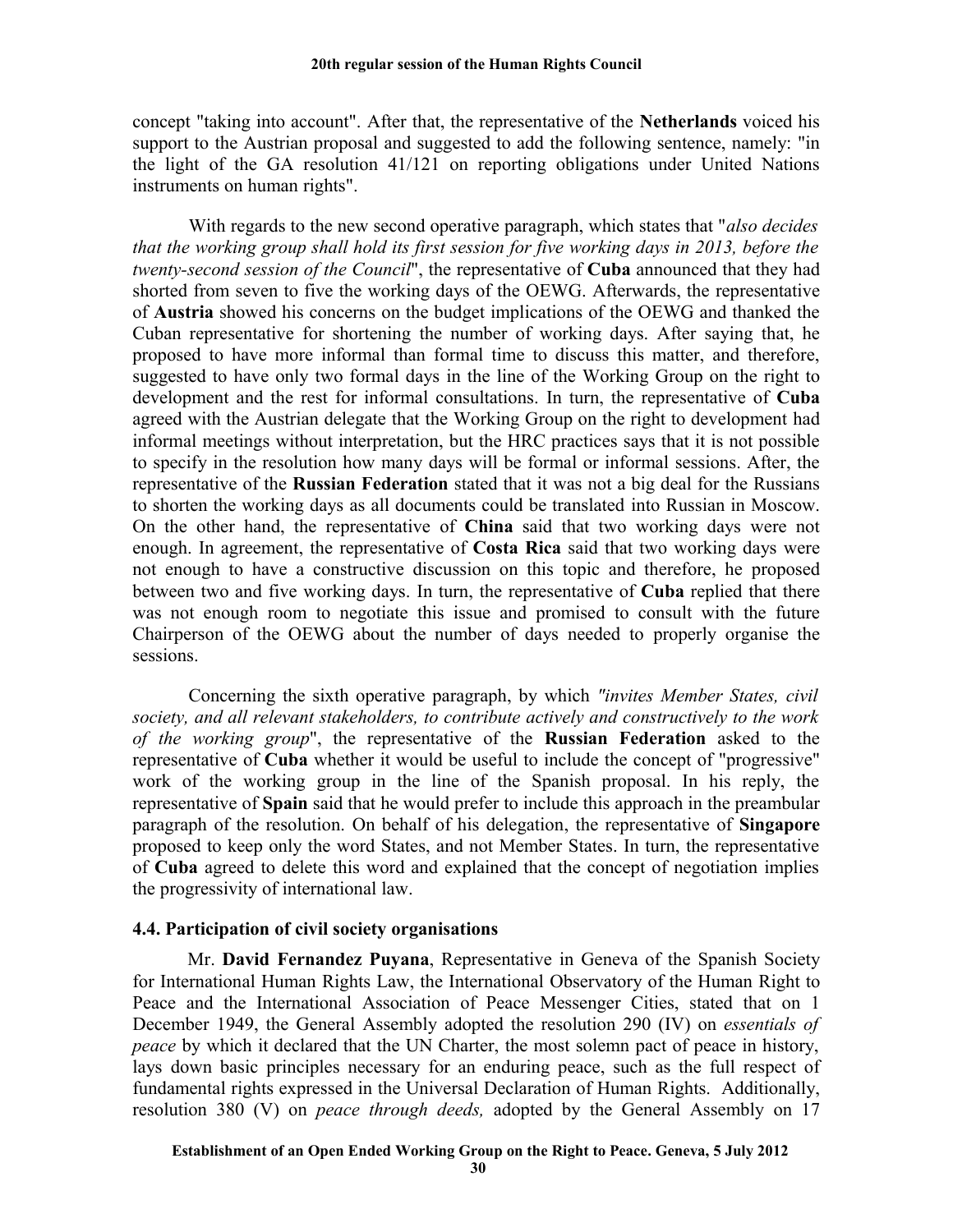concept "taking into account". After that, the representative of the **Netherlands** voiced his support to the Austrian proposal and suggested to add the following sentence, namely: "in the light of the GA resolution 41/121 on reporting obligations under United Nations instruments on human rights".

With regards to the new second operative paragraph, which states that "*also decides that the working group shall hold its first session for five working days in 2013, before the twenty-second session of the Council*", the representative of **Cuba** announced that they had shorted from seven to five the working days of the OEWG. Afterwards, the representative of **Austria** showed his concerns on the budget implications of the OEWG and thanked the Cuban representative for shortening the number of working days. After saying that, he proposed to have more informal than formal time to discuss this matter, and therefore, suggested to have only two formal days in the line of the Working Group on the right to development and the rest for informal consultations. In turn, the representative of **Cuba** agreed with the Austrian delegate that the Working Group on the right to development had informal meetings without interpretation, but the HRC practices says that it is not possible to specify in the resolution how many days will be formal or informal sessions. After, the representative of the **Russian Federation** stated that it was not a big deal for the Russians to shorten the working days as all documents could be translated into Russian in Moscow. On the other hand, the representative of **China** said that two working days were not enough. In agreement, the representative of **Costa Rica** said that two working days were not enough to have a constructive discussion on this topic and therefore, he proposed between two and five working days. In turn, the representative of **Cuba** replied that there was not enough room to negotiate this issue and promised to consult with the future Chairperson of the OEWG about the number of days needed to properly organise the sessions.

Concerning the sixth operative paragraph, by which *"invites Member States, civil society, and all relevant stakeholders, to contribute actively and constructively to the work of the working group*", the representative of the **Russian Federation** asked to the representative of **Cuba** whether it would be useful to include the concept of "progressive" work of the working group in the line of the Spanish proposal. In his reply, the representative of **Spain** said that he would prefer to include this approach in the preambular paragraph of the resolution. On behalf of his delegation, the representative of **Singapore** proposed to keep only the word States, and not Member States. In turn, the representative of **Cuba** agreed to delete this word and explained that the concept of negotiation implies the progressivity of international law.

### **4.4. Participation of civil society organisations**

Mr. **David Fernandez Puyana**, Representative in Geneva of the Spanish Society for International Human Rights Law, the International Observatory of the Human Right to Peace and the International Association of Peace Messenger Cities, stated that on 1 December 1949, the General Assembly adopted the resolution 290 (IV) on *essentials of peace* by which it declared that the UN Charter, the most solemn pact of peace in history, lays down basic principles necessary for an enduring peace, such as the full respect of fundamental rights expressed in the Universal Declaration of Human Rights. Additionally, resolution 380 (V) on *peace through deeds,* adopted by the General Assembly on 17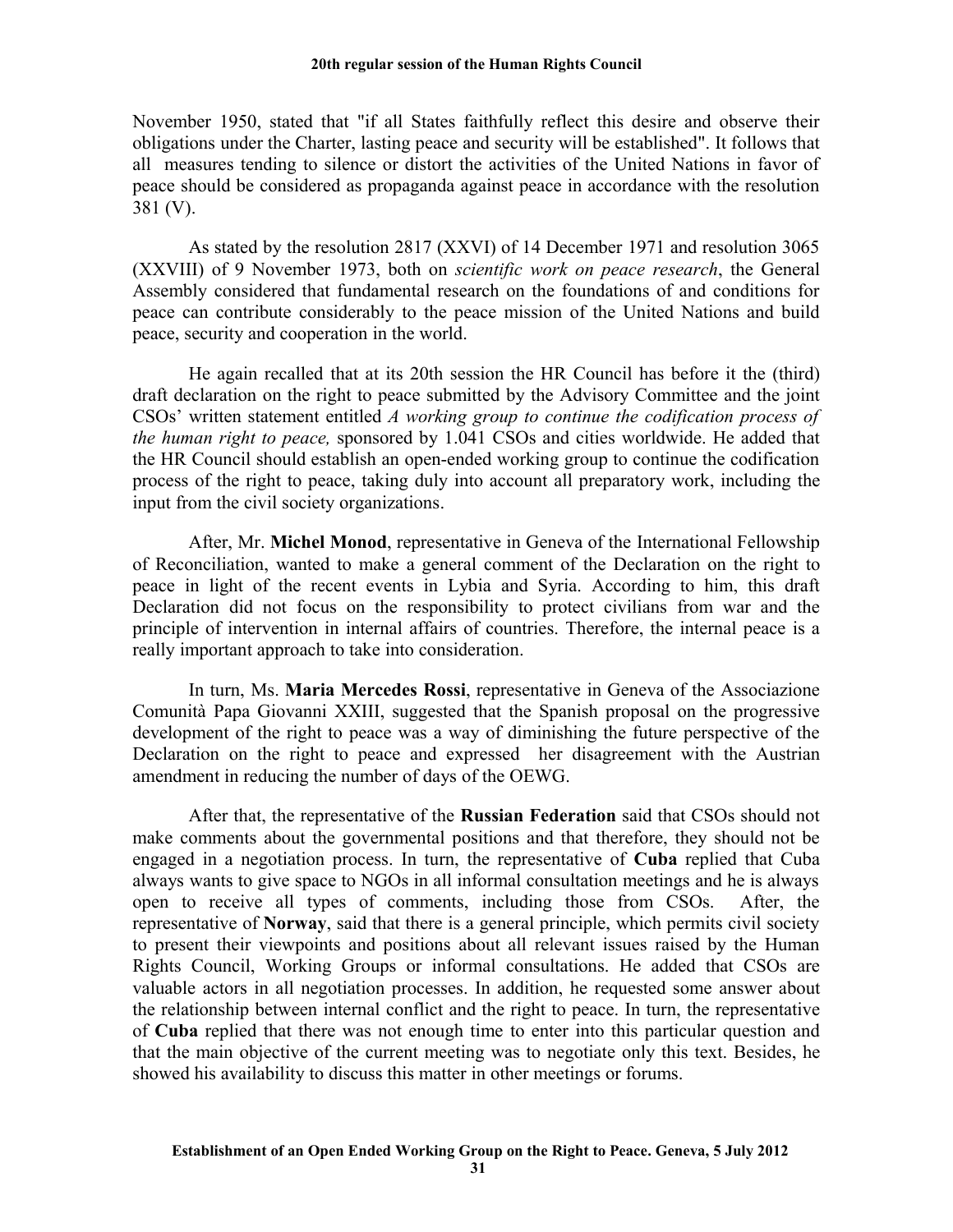November 1950, stated that "if all States faithfully reflect this desire and observe their obligations under the Charter, lasting peace and security will be established". It follows that all measures tending to silence or distort the activities of the United Nations in favor of peace should be considered as propaganda against peace in accordance with the resolution 381 (V).

As stated by the resolution 2817 (XXVI) of 14 December 1971 and resolution 3065 (XXVIII) of 9 November 1973, both on *scientific work on peace research*, the General Assembly considered that fundamental research on the foundations of and conditions for peace can contribute considerably to the peace mission of the United Nations and build peace, security and cooperation in the world.

He again recalled that at its 20th session the HR Council has before it the (third) draft declaration on the right to peace submitted by the Advisory Committee and the joint CSOs' written statement entitled *A working group to continue the codification process of the human right to peace,* sponsored by 1.041 CSOs and cities worldwide. He added that the HR Council should establish an open-ended working group to continue the codification process of the right to peace, taking duly into account all preparatory work, including the input from the civil society organizations.

After, Mr. **Michel Monod**, representative in Geneva of the International Fellowship of Reconciliation, wanted to make a general comment of the Declaration on the right to peace in light of the recent events in Lybia and Syria. According to him, this draft Declaration did not focus on the responsibility to protect civilians from war and the principle of intervention in internal affairs of countries. Therefore, the internal peace is a really important approach to take into consideration.

In turn, Ms. **Maria Mercedes Rossi**, representative in Geneva of the Associazione Comunità Papa Giovanni XXIII, suggested that the Spanish proposal on the progressive development of the right to peace was a way of diminishing the future perspective of the Declaration on the right to peace and expressed her disagreement with the Austrian amendment in reducing the number of days of the OEWG.

After that, the representative of the **Russian Federation** said that CSOs should not make comments about the governmental positions and that therefore, they should not be engaged in a negotiation process. In turn, the representative of **Cuba** replied that Cuba always wants to give space to NGOs in all informal consultation meetings and he is always open to receive all types of comments, including those from CSOs. After, the representative of **Norway**, said that there is a general principle, which permits civil society to present their viewpoints and positions about all relevant issues raised by the Human Rights Council, Working Groups or informal consultations. He added that CSOs are valuable actors in all negotiation processes. In addition, he requested some answer about the relationship between internal conflict and the right to peace. In turn, the representative of **Cuba** replied that there was not enough time to enter into this particular question and that the main objective of the current meeting was to negotiate only this text. Besides, he showed his availability to discuss this matter in other meetings or forums.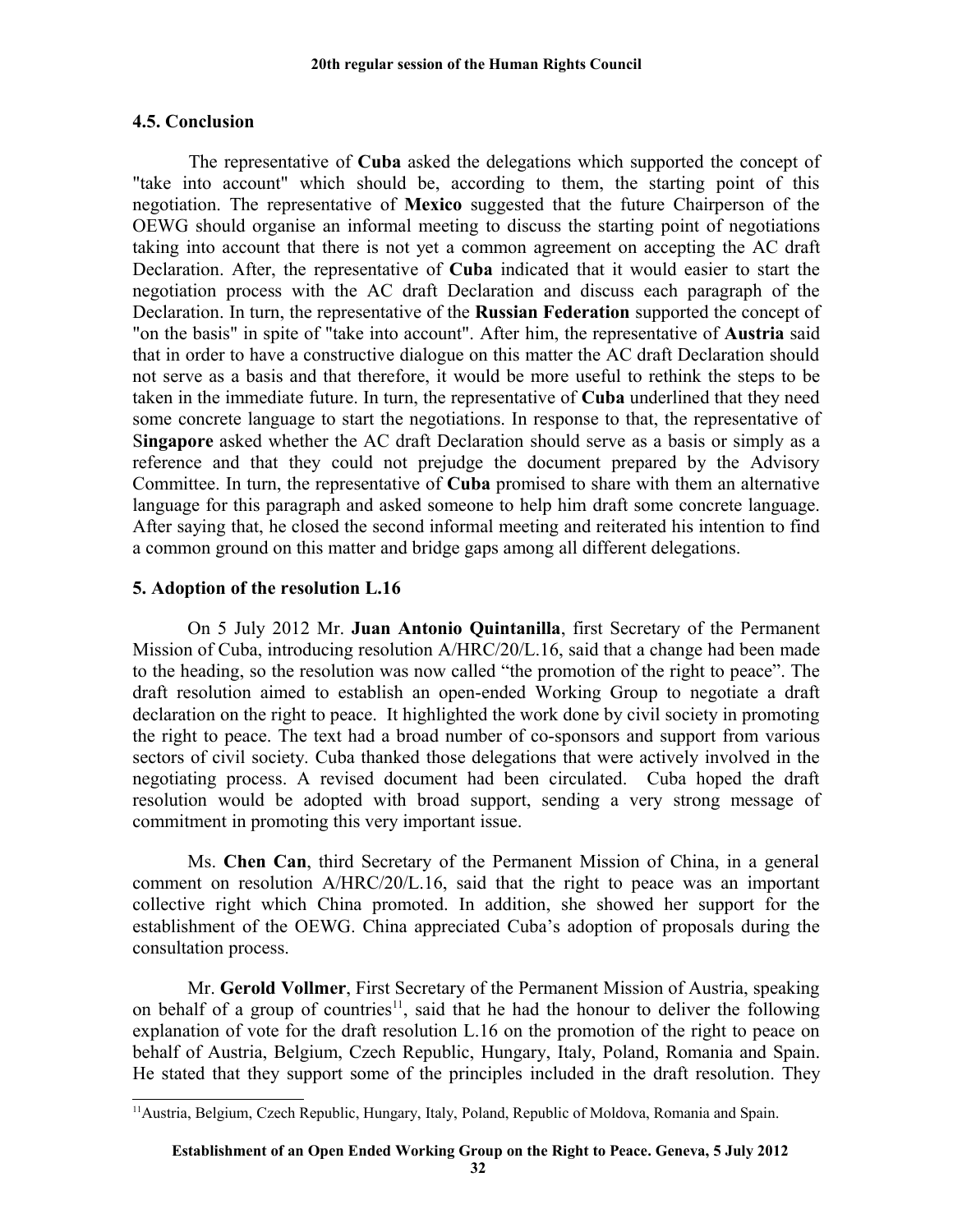## **4.5. Conclusion**

The representative of **Cuba** asked the delegations which supported the concept of "take into account" which should be, according to them, the starting point of this negotiation. The representative of **Mexico** suggested that the future Chairperson of the OEWG should organise an informal meeting to discuss the starting point of negotiations taking into account that there is not yet a common agreement on accepting the AC draft Declaration. After, the representative of **Cuba** indicated that it would easier to start the negotiation process with the AC draft Declaration and discuss each paragraph of the Declaration. In turn, the representative of the **Russian Federation** supported the concept of "on the basis" in spite of "take into account". After him, the representative of **Austria** said that in order to have a constructive dialogue on this matter the AC draft Declaration should not serve as a basis and that therefore, it would be more useful to rethink the steps to be taken in the immediate future. In turn, the representative of **Cuba** underlined that they need some concrete language to start the negotiations. In response to that, the representative of S**ingapore** asked whether the AC draft Declaration should serve as a basis or simply as a reference and that they could not prejudge the document prepared by the Advisory Committee. In turn, the representative of **Cuba** promised to share with them an alternative language for this paragraph and asked someone to help him draft some concrete language. After saying that, he closed the second informal meeting and reiterated his intention to find a common ground on this matter and bridge gaps among all different delegations.

# **5. Adoption of the resolution L.16**

On 5 July 2012 Mr. **Juan Antonio Quintanilla**, first Secretary of the Permanent Mission of Cuba, introducing resolution A/HRC/20/L.16, said that a change had been made to the heading, so the resolution was now called "the promotion of the right to peace". The draft resolution aimed to establish an open-ended Working Group to negotiate a draft declaration on the right to peace. It highlighted the work done by civil society in promoting the right to peace. The text had a broad number of co-sponsors and support from various sectors of civil society. Cuba thanked those delegations that were actively involved in the negotiating process. A revised document had been circulated. Cuba hoped the draft resolution would be adopted with broad support, sending a very strong message of commitment in promoting this very important issue.

Ms. **Chen Can**, third Secretary of the Permanent Mission of China, in a general comment on resolution A/HRC/20/L.16, said that the right to peace was an important collective right which China promoted. In addition, she showed her support for the establishment of the OEWG. China appreciated Cuba's adoption of proposals during the consultation process.

Mr. **Gerold Vollmer**, First Secretary of the Permanent Mission of Austria, speaking on behalf of a group of countries<sup>[11](#page-31-0)</sup>, said that he had the honour to deliver the following explanation of vote for the draft resolution L.16 on the promotion of the right to peace on behalf of Austria, Belgium, Czech Republic, Hungary, Italy, Poland, Romania and Spain. He stated that they support some of the principles included in the draft resolution. They

<span id="page-31-0"></span><sup>&</sup>lt;sup>11</sup> Austria, Belgium, Czech Republic, Hungary, Italy, Poland, Republic of Moldova, Romania and Spain.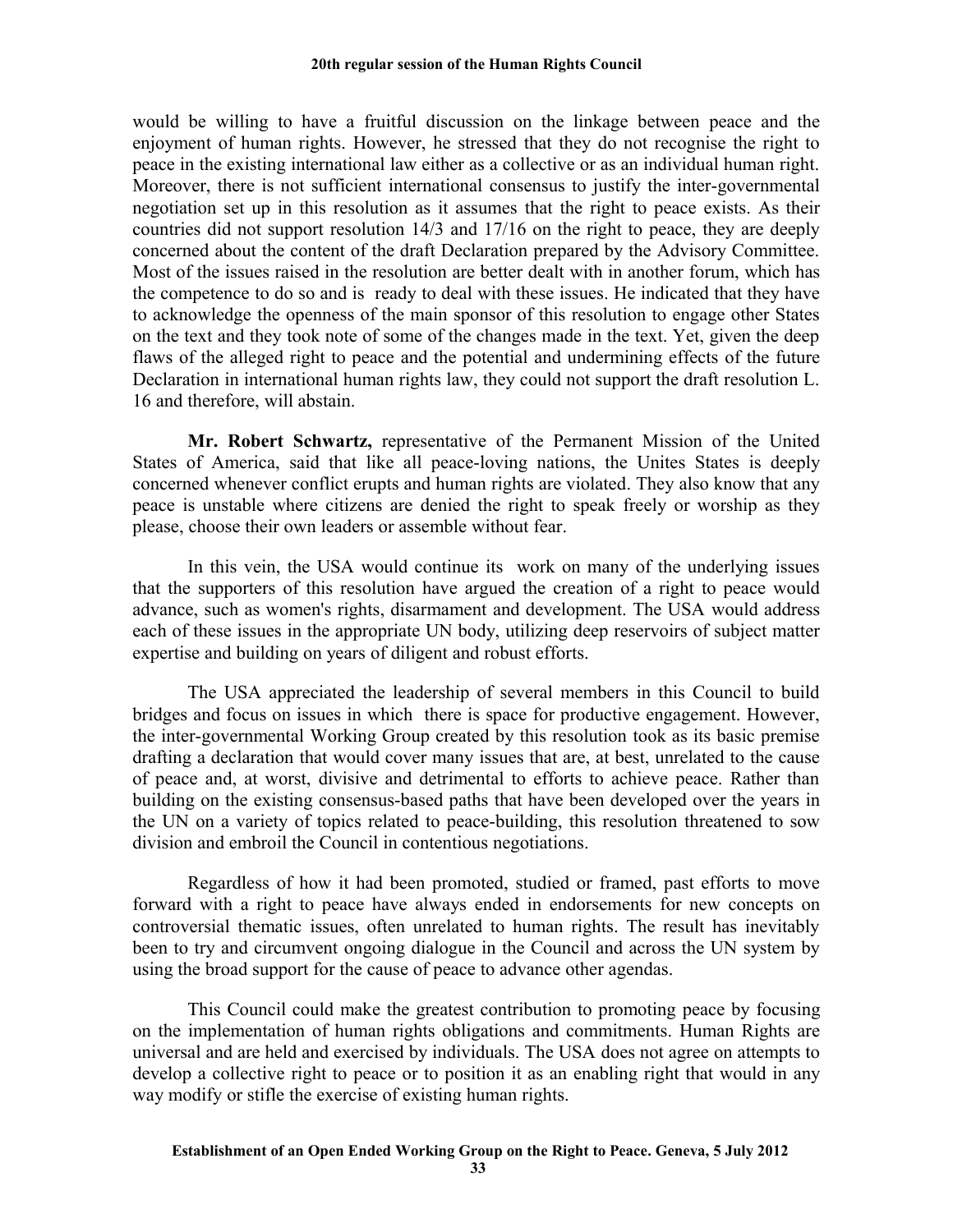would be willing to have a fruitful discussion on the linkage between peace and the enjoyment of human rights. However, he stressed that they do not recognise the right to peace in the existing international law either as a collective or as an individual human right. Moreover, there is not sufficient international consensus to justify the inter-governmental negotiation set up in this resolution as it assumes that the right to peace exists. As their countries did not support resolution 14/3 and 17/16 on the right to peace, they are deeply concerned about the content of the draft Declaration prepared by the Advisory Committee. Most of the issues raised in the resolution are better dealt with in another forum, which has the competence to do so and is ready to deal with these issues. He indicated that they have to acknowledge the openness of the main sponsor of this resolution to engage other States on the text and they took note of some of the changes made in the text. Yet, given the deep flaws of the alleged right to peace and the potential and undermining effects of the future Declaration in international human rights law, they could not support the draft resolution L. 16 and therefore, will abstain.

**Mr. Robert Schwartz,** representative of the Permanent Mission of the United States of America, said that like all peace-loving nations, the Unites States is deeply concerned whenever conflict erupts and human rights are violated. They also know that any peace is unstable where citizens are denied the right to speak freely or worship as they please, choose their own leaders or assemble without fear.

In this vein, the USA would continue its work on many of the underlying issues that the supporters of this resolution have argued the creation of a right to peace would advance, such as women's rights, disarmament and development. The USA would address each of these issues in the appropriate UN body, utilizing deep reservoirs of subject matter expertise and building on years of diligent and robust efforts.

The USA appreciated the leadership of several members in this Council to build bridges and focus on issues in which there is space for productive engagement. However, the inter-governmental Working Group created by this resolution took as its basic premise drafting a declaration that would cover many issues that are, at best, unrelated to the cause of peace and, at worst, divisive and detrimental to efforts to achieve peace. Rather than building on the existing consensus-based paths that have been developed over the years in the UN on a variety of topics related to peace-building, this resolution threatened to sow division and embroil the Council in contentious negotiations.

Regardless of how it had been promoted, studied or framed, past efforts to move forward with a right to peace have always ended in endorsements for new concepts on controversial thematic issues, often unrelated to human rights. The result has inevitably been to try and circumvent ongoing dialogue in the Council and across the UN system by using the broad support for the cause of peace to advance other agendas.

This Council could make the greatest contribution to promoting peace by focusing on the implementation of human rights obligations and commitments. Human Rights are universal and are held and exercised by individuals. The USA does not agree on attempts to develop a collective right to peace or to position it as an enabling right that would in any way modify or stifle the exercise of existing human rights.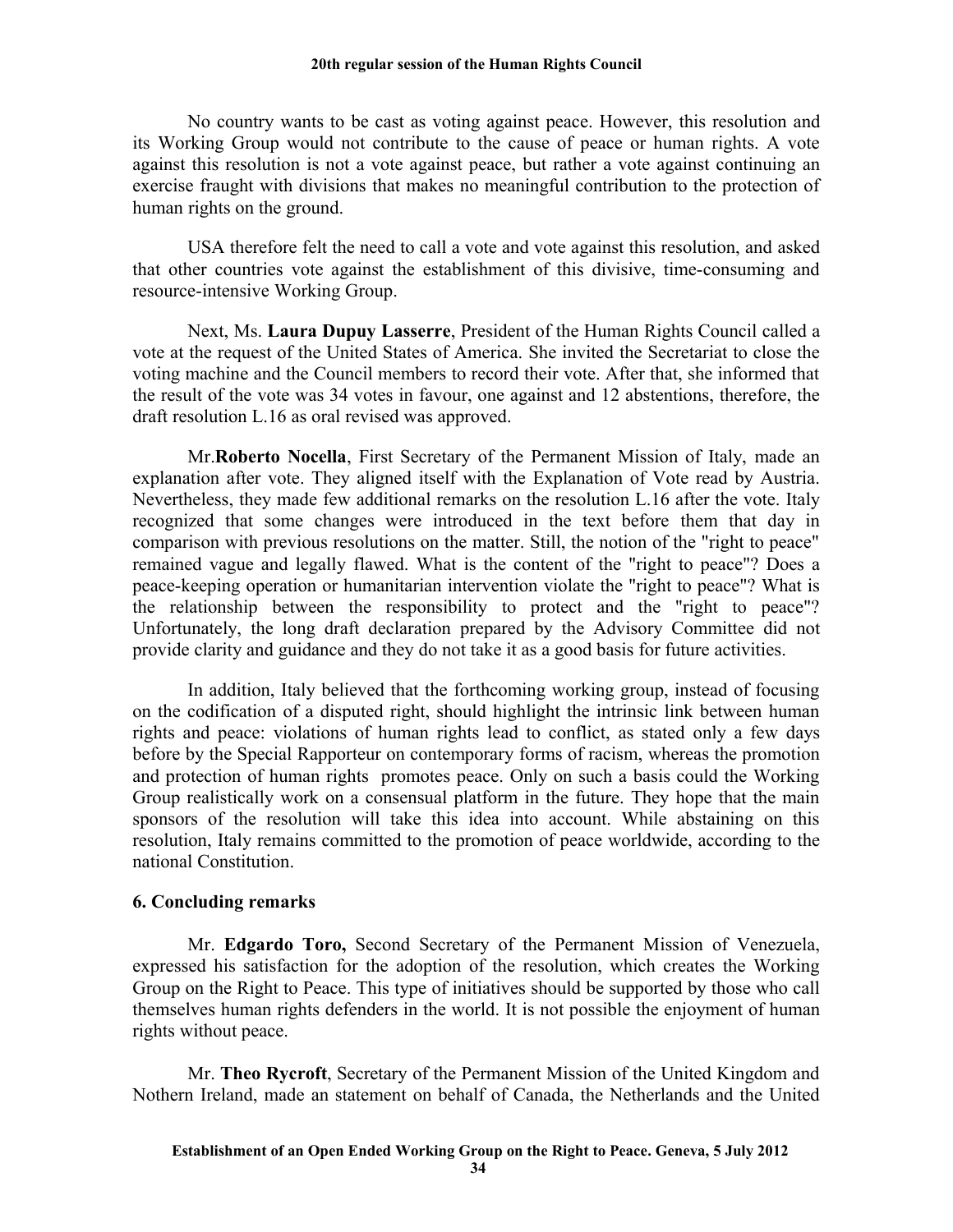No country wants to be cast as voting against peace. However, this resolution and its Working Group would not contribute to the cause of peace or human rights. A vote against this resolution is not a vote against peace, but rather a vote against continuing an exercise fraught with divisions that makes no meaningful contribution to the protection of human rights on the ground.

USA therefore felt the need to call a vote and vote against this resolution, and asked that other countries vote against the establishment of this divisive, time-consuming and resource-intensive Working Group.

Next, Ms. **Laura Dupuy Lasserre**, President of the Human Rights Council called a vote at the request of the United States of America. She invited the Secretariat to close the voting machine and the Council members to record their vote. After that, she informed that the result of the vote was 34 votes in favour, one against and 12 abstentions, therefore, the draft resolution L.16 as oral revised was approved.

Mr.**Roberto Nocella**, First Secretary of the Permanent Mission of Italy, made an explanation after vote. They aligned itself with the Explanation of Vote read by Austria. Nevertheless, they made few additional remarks on the resolution L.16 after the vote. Italy recognized that some changes were introduced in the text before them that day in comparison with previous resolutions on the matter. Still, the notion of the "right to peace" remained vague and legally flawed. What is the content of the "right to peace"? Does a peace-keeping operation or humanitarian intervention violate the "right to peace"? What is the relationship between the responsibility to protect and the "right to peace"? Unfortunately, the long draft declaration prepared by the Advisory Committee did not provide clarity and guidance and they do not take it as a good basis for future activities.

In addition, Italy believed that the forthcoming working group, instead of focusing on the codification of a disputed right, should highlight the intrinsic link between human rights and peace: violations of human rights lead to conflict, as stated only a few days before by the Special Rapporteur on contemporary forms of racism, whereas the promotion and protection of human rights promotes peace. Only on such a basis could the Working Group realistically work on a consensual platform in the future. They hope that the main sponsors of the resolution will take this idea into account. While abstaining on this resolution, Italy remains committed to the promotion of peace worldwide, according to the national Constitution.

### **6. Concluding remarks**

Mr. **Edgardo Toro,** Second Secretary of the Permanent Mission of Venezuela, expressed his satisfaction for the adoption of the resolution, which creates the Working Group on the Right to Peace. This type of initiatives should be supported by those who call themselves human rights defenders in the world. It is not possible the enjoyment of human rights without peace.

Mr. **Theo Rycroft**, Secretary of the Permanent Mission of the United Kingdom and Nothern Ireland, made an statement on behalf of Canada, the Netherlands and the United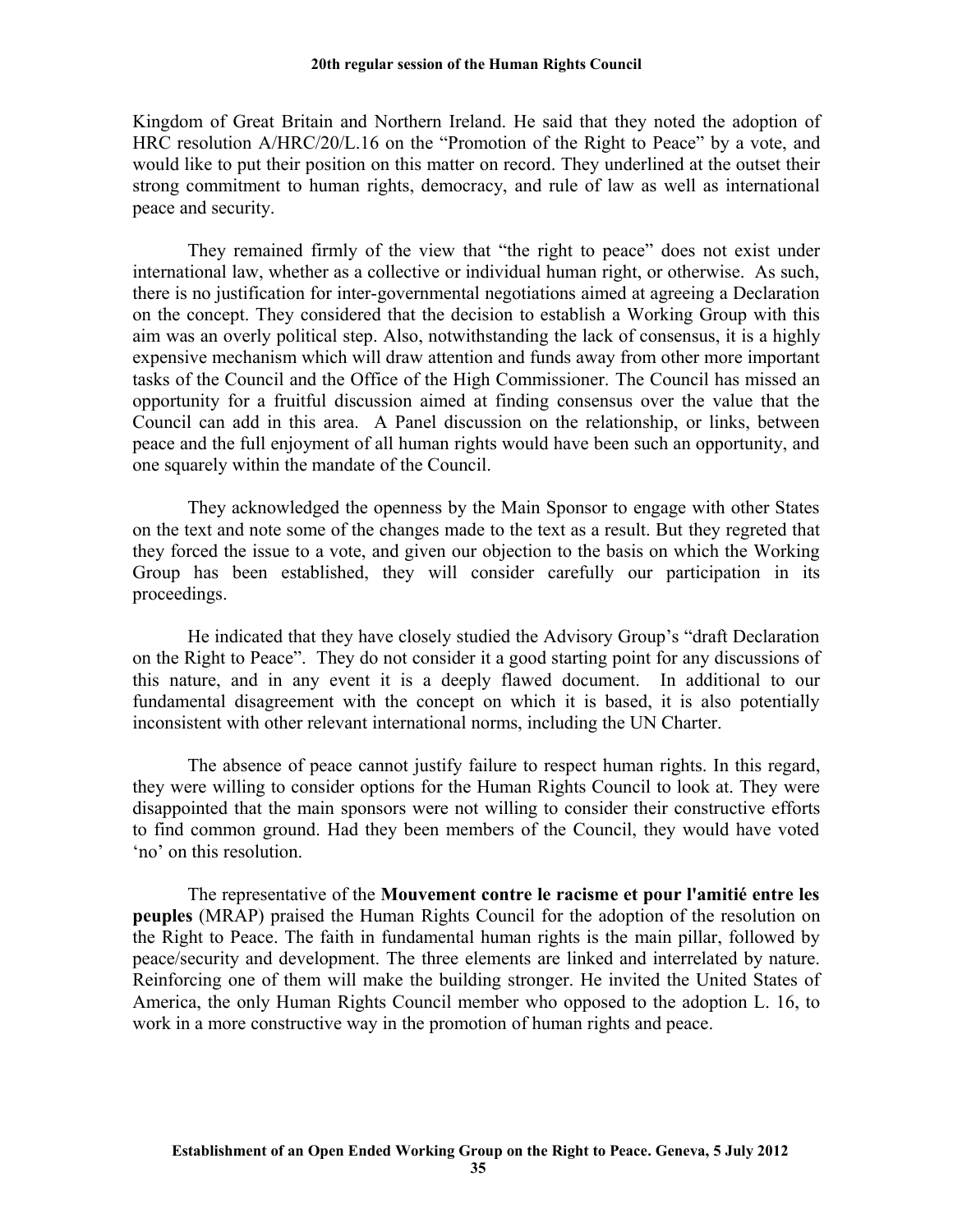Kingdom of Great Britain and Northern Ireland. He said that they noted the adoption of HRC resolution A/HRC/20/L.16 on the "Promotion of the Right to Peace" by a vote, and would like to put their position on this matter on record. They underlined at the outset their strong commitment to human rights, democracy, and rule of law as well as international peace and security.

They remained firmly of the view that "the right to peace" does not exist under international law, whether as a collective or individual human right, or otherwise. As such, there is no justification for inter-governmental negotiations aimed at agreeing a Declaration on the concept. They considered that the decision to establish a Working Group with this aim was an overly political step. Also, notwithstanding the lack of consensus, it is a highly expensive mechanism which will draw attention and funds away from other more important tasks of the Council and the Office of the High Commissioner. The Council has missed an opportunity for a fruitful discussion aimed at finding consensus over the value that the Council can add in this area. A Panel discussion on the relationship, or links, between peace and the full enjoyment of all human rights would have been such an opportunity, and one squarely within the mandate of the Council.

They acknowledged the openness by the Main Sponsor to engage with other States on the text and note some of the changes made to the text as a result. But they regreted that they forced the issue to a vote, and given our objection to the basis on which the Working Group has been established, they will consider carefully our participation in its proceedings.

He indicated that they have closely studied the Advisory Group's "draft Declaration on the Right to Peace". They do not consider it a good starting point for any discussions of this nature, and in any event it is a deeply flawed document. In additional to our fundamental disagreement with the concept on which it is based, it is also potentially inconsistent with other relevant international norms, including the UN Charter.

The absence of peace cannot justify failure to respect human rights. In this regard, they were willing to consider options for the Human Rights Council to look at. They were disappointed that the main sponsors were not willing to consider their constructive efforts to find common ground. Had they been members of the Council, they would have voted 'no' on this resolution.

The representative of the **Mouvement contre le racisme et pour l'amitié entre les peuples** (MRAP) praised the Human Rights Council for the adoption of the resolution on the Right to Peace. The faith in fundamental human rights is the main pillar, followed by peace/security and development. The three elements are linked and interrelated by nature. Reinforcing one of them will make the building stronger. He invited the United States of America, the only Human Rights Council member who opposed to the adoption L. 16, to work in a more constructive way in the promotion of human rights and peace.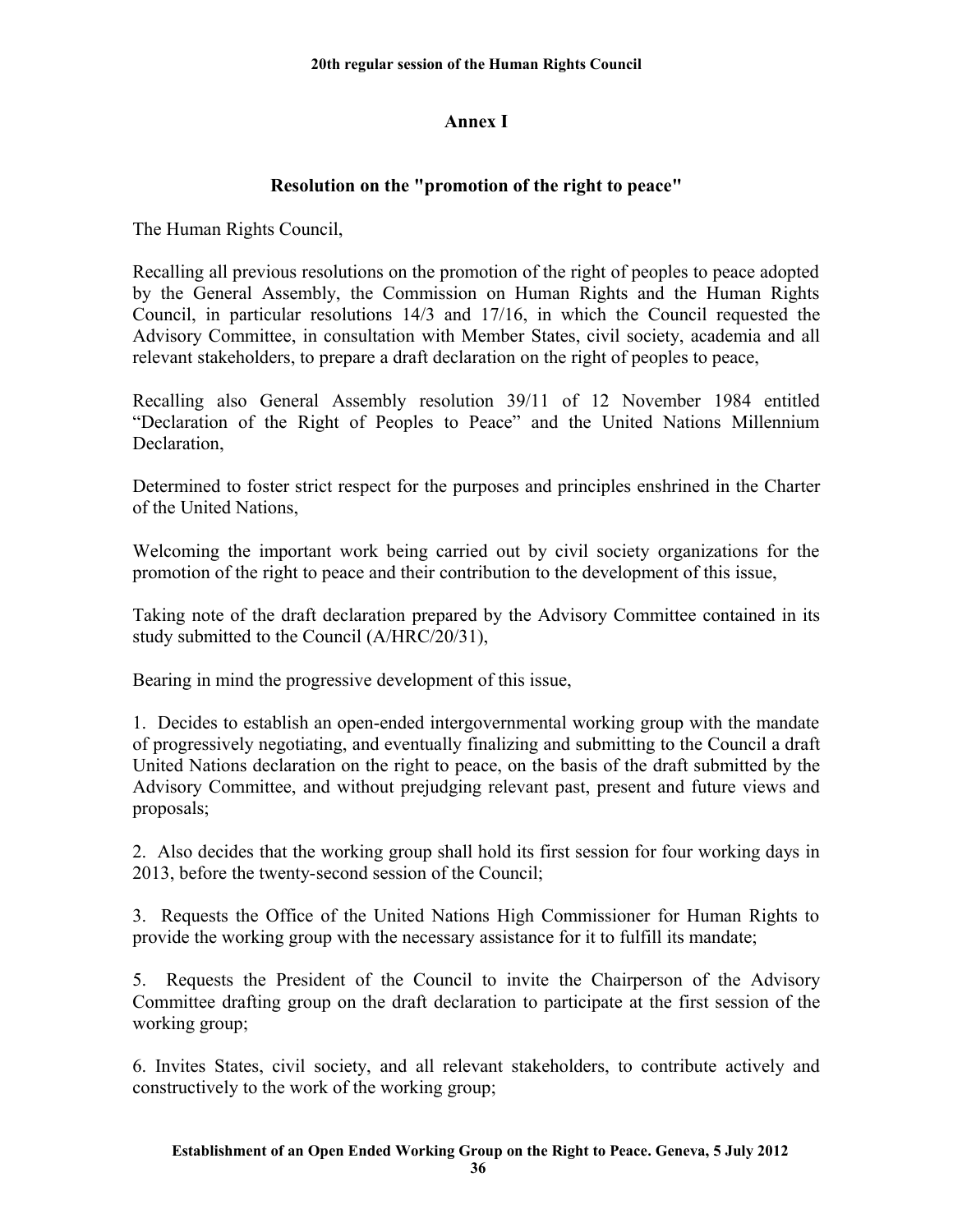# **Annex I**

# **Resolution on the "promotion of the right to peace"**

The Human Rights Council,

Recalling all previous resolutions on the promotion of the right of peoples to peace adopted by the General Assembly, the Commission on Human Rights and the Human Rights Council, in particular resolutions 14/3 and 17/16, in which the Council requested the Advisory Committee, in consultation with Member States, civil society, academia and all relevant stakeholders, to prepare a draft declaration on the right of peoples to peace,

Recalling also General Assembly resolution 39/11 of 12 November 1984 entitled "Declaration of the Right of Peoples to Peace" and the United Nations Millennium Declaration,

Determined to foster strict respect for the purposes and principles enshrined in the Charter of the United Nations,

Welcoming the important work being carried out by civil society organizations for the promotion of the right to peace and their contribution to the development of this issue,

Taking note of the draft declaration prepared by the Advisory Committee contained in its study submitted to the Council (A/HRC/20/31),

Bearing in mind the progressive development of this issue,

1. Decides to establish an open-ended intergovernmental working group with the mandate of progressively negotiating, and eventually finalizing and submitting to the Council a draft United Nations declaration on the right to peace, on the basis of the draft submitted by the Advisory Committee, and without prejudging relevant past, present and future views and proposals;

2. Also decides that the working group shall hold its first session for four working days in 2013, before the twenty-second session of the Council;

3. Requests the Office of the United Nations High Commissioner for Human Rights to provide the working group with the necessary assistance for it to fulfill its mandate;

5. Requests the President of the Council to invite the Chairperson of the Advisory Committee drafting group on the draft declaration to participate at the first session of the working group;

6. Invites States, civil society, and all relevant stakeholders, to contribute actively and constructively to the work of the working group;